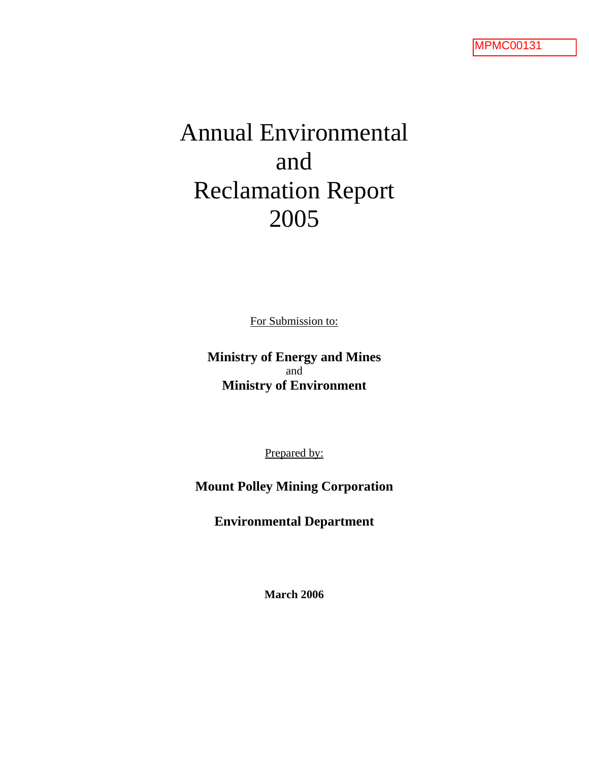# Annual Environmental and Reclamation Report 2005

For Submission to:

**Ministry of Energy and Mines** and **Ministry of Environment**

Prepared by:

**Mount Polley Mining Corporation** 

**Environmental Department** 

**March 2006**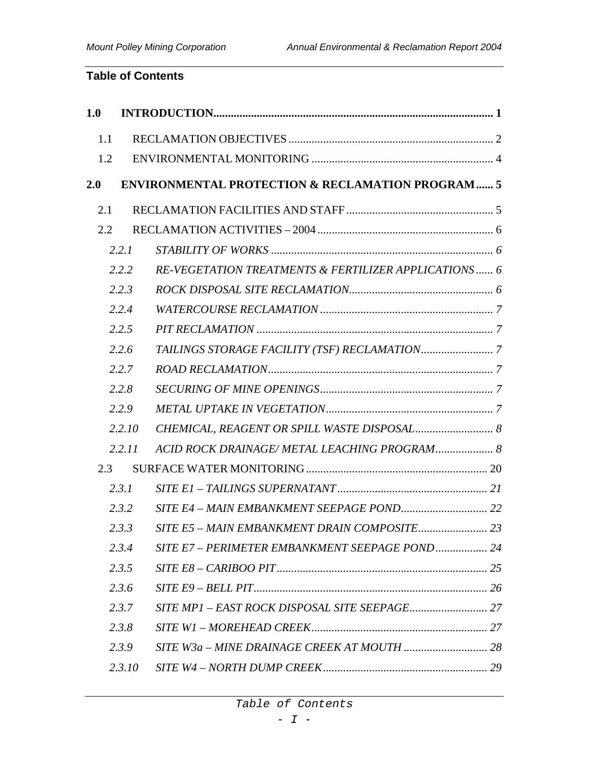# **Table of Contents**

| 1.0 |        |                                                             |  |
|-----|--------|-------------------------------------------------------------|--|
| 1.1 |        |                                                             |  |
| 1.2 |        |                                                             |  |
| 2.0 |        | <b>ENVIRONMENTAL PROTECTION &amp; RECLAMATION PROGRAM 5</b> |  |
| 2.1 |        |                                                             |  |
| 2.2 |        |                                                             |  |
|     | 2.2.1  |                                                             |  |
|     | 2.2.2  | RE-VEGETATION TREATMENTS & FERTILIZER APPLICATIONS 6        |  |
|     | 2.2.3  |                                                             |  |
|     | 2.2.4  |                                                             |  |
|     | 2.2.5  |                                                             |  |
|     | 2.2.6  |                                                             |  |
|     | 2.2.7  |                                                             |  |
|     | 2.2.8  |                                                             |  |
|     | 2.2.9  |                                                             |  |
|     | 2.2.10 | CHEMICAL, REAGENT OR SPILL WASTE DISPOSAL 8                 |  |
|     | 2.2.11 | ACID ROCK DRAINAGE/ METAL LEACHING PROGRAM 8                |  |
| 2.3 |        |                                                             |  |
|     | 2.3.1  |                                                             |  |
|     | 2.3.2  |                                                             |  |
|     | 2.3.3  |                                                             |  |
|     | 2.3.4  | SITE E7 - PERIMETER EMBANKMENT SEEPAGE POND 24              |  |
|     | 2.3.5  |                                                             |  |
|     | 2.3.6  |                                                             |  |
|     | 2.3.7  |                                                             |  |
|     | 2.3.8  |                                                             |  |
|     | 2.3.9  |                                                             |  |
|     | 2.3.10 |                                                             |  |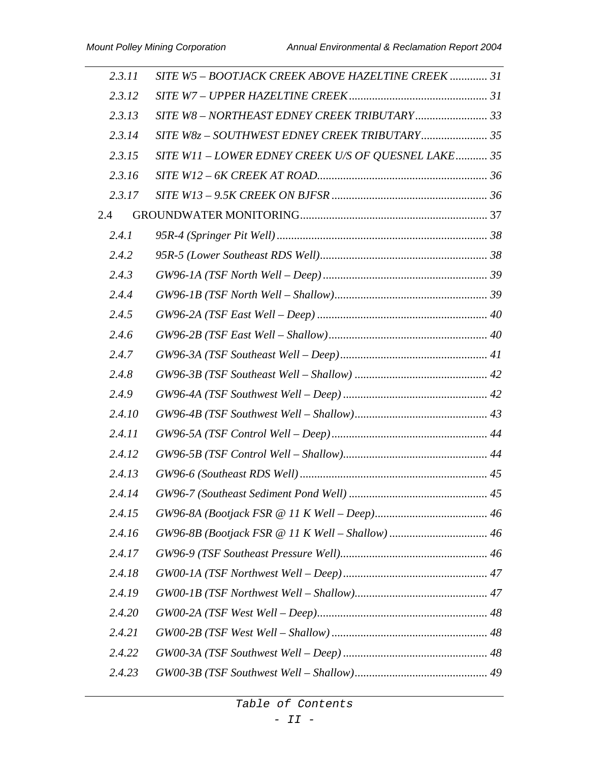| 2.3.11 | SITE W5 - BOOTJACK CREEK ABOVE HAZELTINE CREEK  31  |  |
|--------|-----------------------------------------------------|--|
| 2.3.12 |                                                     |  |
| 2.3.13 | SITE W8 - NORTHEAST EDNEY CREEK TRIBUTARY 33        |  |
| 2.3.14 | SITE W8z - SOUTHWEST EDNEY CREEK TRIBUTARY 35       |  |
| 2.3.15 | SITE W11 - LOWER EDNEY CREEK U/S OF QUESNEL LAKE 35 |  |
| 2.3.16 |                                                     |  |
| 2.3.17 |                                                     |  |
| 2.4    |                                                     |  |
| 2.4.1  |                                                     |  |
| 2.4.2  |                                                     |  |
| 2.4.3  |                                                     |  |
| 2.4.4  |                                                     |  |
| 2.4.5  |                                                     |  |
| 2.4.6  |                                                     |  |
| 2.4.7  |                                                     |  |
| 2.4.8  |                                                     |  |
| 2.4.9  |                                                     |  |
| 2.4.10 |                                                     |  |
| 2.4.11 |                                                     |  |
| 2.4.12 |                                                     |  |
| 2.4.13 |                                                     |  |
| 2.4.14 |                                                     |  |
| 2.4.15 |                                                     |  |
| 2.4.16 |                                                     |  |
| 2.4.17 |                                                     |  |
| 2.4.18 |                                                     |  |
| 2.4.19 |                                                     |  |
| 2.4.20 |                                                     |  |
| 2.4.21 |                                                     |  |
| 2.4.22 |                                                     |  |
| 2.4.23 |                                                     |  |

*Table of Contents*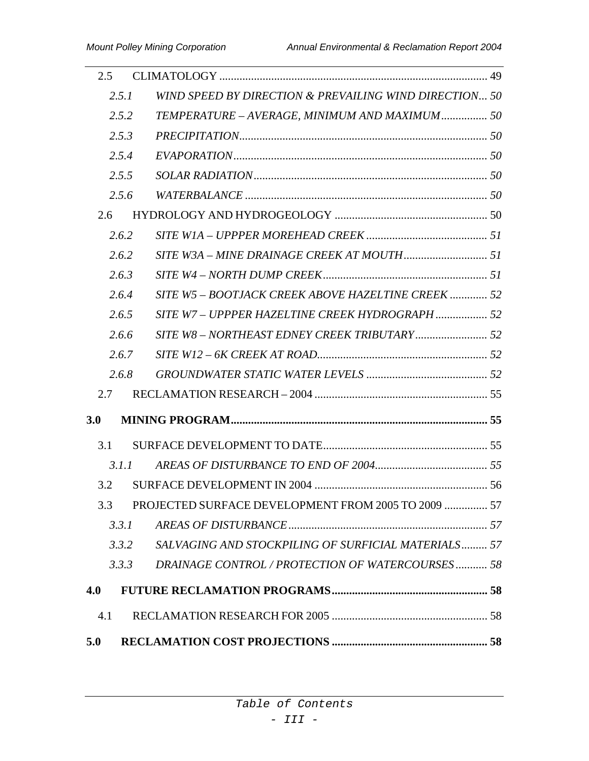| 2.5 |       |                                                        |  |
|-----|-------|--------------------------------------------------------|--|
|     | 2.5.1 | WIND SPEED BY DIRECTION & PREVAILING WIND DIRECTION 50 |  |
|     | 2.5.2 | TEMPERATURE - AVERAGE, MINIMUM AND MAXIMUM 50          |  |
|     | 2.5.3 |                                                        |  |
|     | 2.5.4 |                                                        |  |
|     | 2.5.5 |                                                        |  |
|     | 2.5.6 |                                                        |  |
| 2.6 |       |                                                        |  |
|     | 2.6.2 |                                                        |  |
|     | 2.6.2 |                                                        |  |
|     | 2.6.3 |                                                        |  |
|     | 2.6.4 | SITE W5 - BOOTJACK CREEK ABOVE HAZELTINE CREEK  52     |  |
|     | 2.6.5 | SITE W7 - UPPPER HAZELTINE CREEK HYDROGRAPH  52        |  |
|     | 2.6.6 |                                                        |  |
|     | 2.6.7 |                                                        |  |
|     | 2.6.8 |                                                        |  |
| 2.7 |       |                                                        |  |
| 3.0 |       |                                                        |  |
| 3.1 |       |                                                        |  |
|     | 3.1.1 |                                                        |  |
| 3.2 |       |                                                        |  |
| 3.3 |       | PROJECTED SURFACE DEVELOPMENT FROM 2005 TO 2009  57    |  |
|     | 3.3.1 |                                                        |  |
|     | 3.3.2 | SALVAGING AND STOCKPILING OF SURFICIAL MATERIALS 57    |  |
|     | 3.3.3 | DRAINAGE CONTROL / PROTECTION OF WATERCOURSES 58       |  |
| 4.0 |       |                                                        |  |
| 4.1 |       |                                                        |  |
| 5.0 |       |                                                        |  |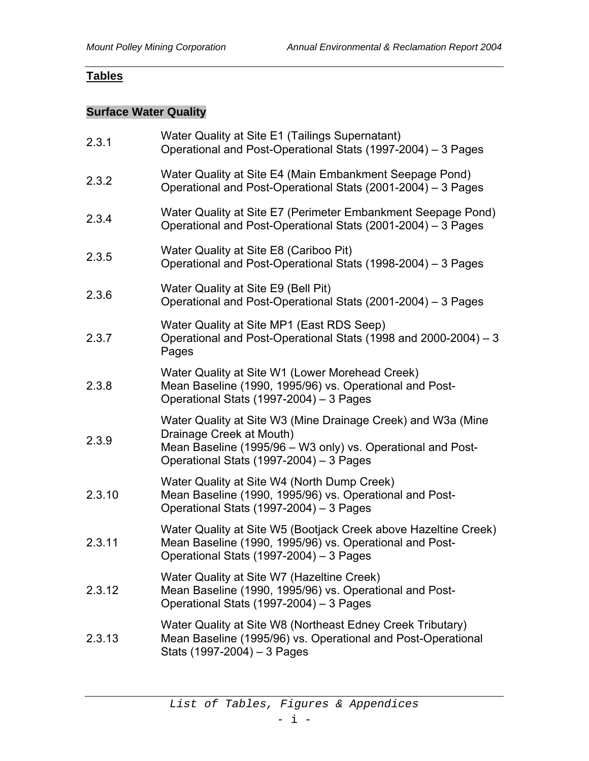# **Tables**

## **Surface Water Quality**

| 2.3.1  | Water Quality at Site E1 (Tailings Supernatant)<br>Operational and Post-Operational Stats (1997-2004) - 3 Pages                                                                                    |
|--------|----------------------------------------------------------------------------------------------------------------------------------------------------------------------------------------------------|
| 2.3.2  | Water Quality at Site E4 (Main Embankment Seepage Pond)<br>Operational and Post-Operational Stats (2001-2004) – 3 Pages                                                                            |
| 2.3.4  | Water Quality at Site E7 (Perimeter Embankment Seepage Pond)<br>Operational and Post-Operational Stats (2001-2004) - 3 Pages                                                                       |
| 2.3.5  | Water Quality at Site E8 (Cariboo Pit)<br>Operational and Post-Operational Stats (1998-2004) - 3 Pages                                                                                             |
| 2.3.6  | Water Quality at Site E9 (Bell Pit)<br>Operational and Post-Operational Stats (2001-2004) - 3 Pages                                                                                                |
| 2.3.7  | Water Quality at Site MP1 (East RDS Seep)<br>Operational and Post-Operational Stats (1998 and 2000-2004) - 3<br>Pages                                                                              |
| 2.3.8  | Water Quality at Site W1 (Lower Morehead Creek)<br>Mean Baseline (1990, 1995/96) vs. Operational and Post-<br>Operational Stats (1997-2004) - 3 Pages                                              |
| 2.3.9  | Water Quality at Site W3 (Mine Drainage Creek) and W3a (Mine<br>Drainage Creek at Mouth)<br>Mean Baseline (1995/96 - W3 only) vs. Operational and Post-<br>Operational Stats (1997-2004) - 3 Pages |
| 2.3.10 | Water Quality at Site W4 (North Dump Creek)<br>Mean Baseline (1990, 1995/96) vs. Operational and Post-<br>Operational Stats (1997-2004) - 3 Pages                                                  |
| 2.3.11 | Water Quality at Site W5 (Bootjack Creek above Hazeltine Creek)<br>Mean Baseline (1990, 1995/96) vs. Operational and Post-<br>Operational Stats (1997-2004) - 3 Pages                              |
| 2.3.12 | Water Quality at Site W7 (Hazeltine Creek)<br>Mean Baseline (1990, 1995/96) vs. Operational and Post-<br>Operational Stats (1997-2004) - 3 Pages                                                   |
| 2.3.13 | Water Quality at Site W8 (Northeast Edney Creek Tributary)<br>Mean Baseline (1995/96) vs. Operational and Post-Operational<br>Stats (1997-2004) - 3 Pages                                          |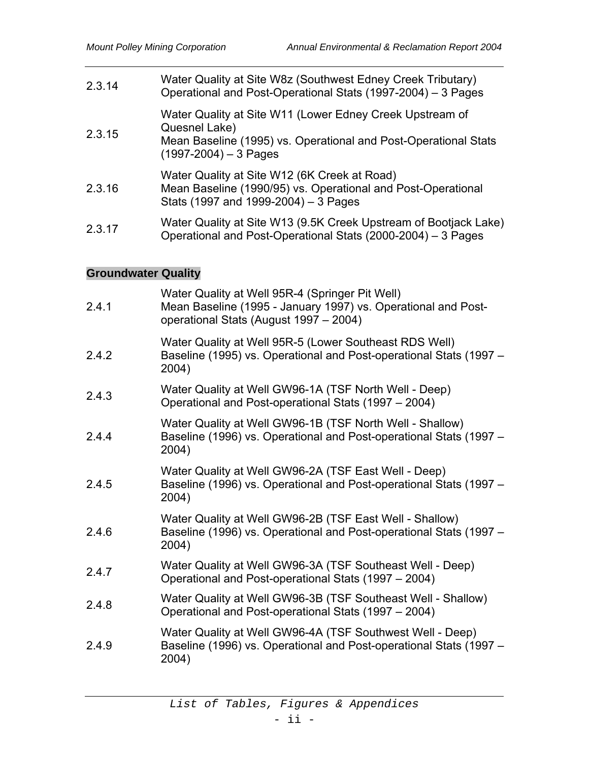| 2.3.14 | Water Quality at Site W8z (Southwest Edney Creek Tributary)<br>Operational and Post-Operational Stats (1997-2004) - 3 Pages                                             |
|--------|-------------------------------------------------------------------------------------------------------------------------------------------------------------------------|
| 2.3.15 | Water Quality at Site W11 (Lower Edney Creek Upstream of<br>Quesnel Lake)<br>Mean Baseline (1995) vs. Operational and Post-Operational Stats<br>$(1997-2004) - 3$ Pages |
| 2.3.16 | Water Quality at Site W12 (6K Creek at Road)<br>Mean Baseline (1990/95) vs. Operational and Post-Operational<br>Stats (1997 and 1999-2004) – 3 Pages                    |
| 2.3.17 | Water Quality at Site W13 (9.5K Creek Upstream of Bootjack Lake)<br>Operational and Post-Operational Stats (2000-2004) - 3 Pages                                        |

# **Groundwater Quality**

| 2.4.1 | Water Quality at Well 95R-4 (Springer Pit Well)<br>Mean Baseline (1995 - January 1997) vs. Operational and Post-<br>operational Stats (August 1997 - 2004) |
|-------|------------------------------------------------------------------------------------------------------------------------------------------------------------|
| 2.4.2 | Water Quality at Well 95R-5 (Lower Southeast RDS Well)<br>Baseline (1995) vs. Operational and Post-operational Stats (1997 –<br>2004)                      |
| 2.4.3 | Water Quality at Well GW96-1A (TSF North Well - Deep)<br>Operational and Post-operational Stats (1997 – 2004)                                              |
| 2.4.4 | Water Quality at Well GW96-1B (TSF North Well - Shallow)<br>Baseline (1996) vs. Operational and Post-operational Stats (1997 -<br>2004)                    |
| 2.4.5 | Water Quality at Well GW96-2A (TSF East Well - Deep)<br>Baseline (1996) vs. Operational and Post-operational Stats (1997 -<br>2004)                        |
| 2.4.6 | Water Quality at Well GW96-2B (TSF East Well - Shallow)<br>Baseline (1996) vs. Operational and Post-operational Stats (1997 -<br>2004)                     |
| 2.4.7 | Water Quality at Well GW96-3A (TSF Southeast Well - Deep)<br>Operational and Post-operational Stats (1997 – 2004)                                          |
| 2.4.8 | Water Quality at Well GW96-3B (TSF Southeast Well - Shallow)<br>Operational and Post-operational Stats (1997 - 2004)                                       |
| 2.4.9 | Water Quality at Well GW96-4A (TSF Southwest Well - Deep)<br>Baseline (1996) vs. Operational and Post-operational Stats (1997 -<br>2004)                   |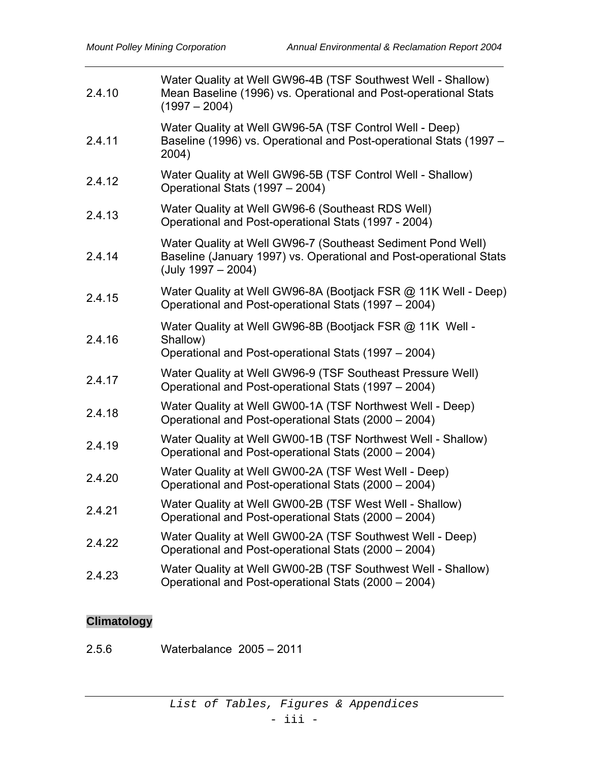| Water Quality at Well GW96-4B (TSF Southwest Well - Shallow)<br>Mean Baseline (1996) vs. Operational and Post-operational Stats<br>$(1997 - 2004)$        |
|-----------------------------------------------------------------------------------------------------------------------------------------------------------|
| Water Quality at Well GW96-5A (TSF Control Well - Deep)<br>Baseline (1996) vs. Operational and Post-operational Stats (1997 -<br>2004)                    |
| Water Quality at Well GW96-5B (TSF Control Well - Shallow)<br>Operational Stats (1997 - 2004)                                                             |
| Water Quality at Well GW96-6 (Southeast RDS Well)<br>Operational and Post-operational Stats (1997 - 2004)                                                 |
| Water Quality at Well GW96-7 (Southeast Sediment Pond Well)<br>Baseline (January 1997) vs. Operational and Post-operational Stats<br>$(July 1997 - 2004)$ |
| Water Quality at Well GW96-8A (Bootjack FSR @ 11K Well - Deep)<br>Operational and Post-operational Stats (1997 – 2004)                                    |
| Water Quality at Well GW96-8B (Bootjack FSR @ 11K Well -<br>Shallow)<br>Operational and Post-operational Stats (1997 – 2004)                              |
| Water Quality at Well GW96-9 (TSF Southeast Pressure Well)<br>Operational and Post-operational Stats (1997 – 2004)                                        |
| Water Quality at Well GW00-1A (TSF Northwest Well - Deep)<br>Operational and Post-operational Stats (2000 - 2004)                                         |
| Water Quality at Well GW00-1B (TSF Northwest Well - Shallow)<br>Operational and Post-operational Stats (2000 - 2004)                                      |
| Water Quality at Well GW00-2A (TSF West Well - Deep)<br>Operational and Post-operational Stats (2000 – 2004)                                              |
| Water Quality at Well GW00-2B (TSF West Well - Shallow)<br>Operational and Post-operational Stats (2000 - 2004)                                           |
| Water Quality at Well GW00-2A (TSF Southwest Well - Deep)<br>Operational and Post-operational Stats (2000 – 2004)                                         |
| Water Quality at Well GW00-2B (TSF Southwest Well - Shallow)<br>Operational and Post-operational Stats (2000 – 2004)                                      |
|                                                                                                                                                           |

# **Climatology**

2.5.6 Waterbalance 2005 – 2011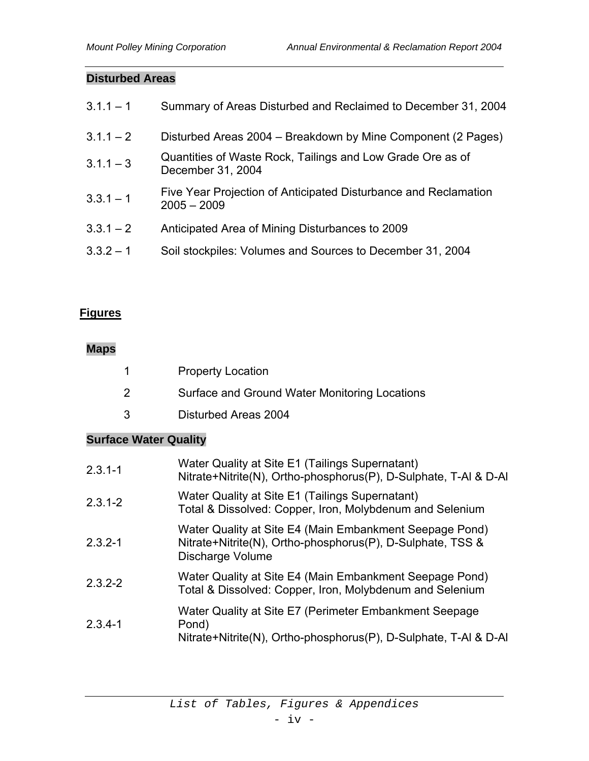#### **Disturbed Areas**

| $3.1.1 - 1$ | Summary of Areas Disturbed and Reclaimed to December 31, 2004                    |
|-------------|----------------------------------------------------------------------------------|
| $3.1.1 - 2$ | Disturbed Areas 2004 – Breakdown by Mine Component (2 Pages)                     |
| $3.1.1 - 3$ | Quantities of Waste Rock, Tailings and Low Grade Ore as of<br>December 31, 2004  |
| $3.3.1 - 1$ | Five Year Projection of Anticipated Disturbance and Reclamation<br>$2005 - 2009$ |
| $3.3.1 - 2$ | Anticipated Area of Mining Disturbances to 2009                                  |
| $3.3.2 - 1$ | Soil stockpiles: Volumes and Sources to December 31, 2004                        |
|             |                                                                                  |

# **Figures**

# **Maps**

|    | <b>Property Location</b>                      |
|----|-----------------------------------------------|
| -2 | Surface and Ground Water Monitoring Locations |

3 Disturbed Areas 2004

## **Surface Water Quality**

| $2.3.1 - 1$ | Water Quality at Site E1 (Tailings Supernatant)<br>Nitrate+Nitrite(N), Ortho-phosphorus(P), D-Sulphate, T-AI & D-AI                       |
|-------------|-------------------------------------------------------------------------------------------------------------------------------------------|
| $2.3.1 - 2$ | Water Quality at Site E1 (Tailings Supernatant)<br>Total & Dissolved: Copper, Iron, Molybdenum and Selenium                               |
| $2.3.2 - 1$ | Water Quality at Site E4 (Main Embankment Seepage Pond)<br>Nitrate+Nitrite(N), Ortho-phosphorus(P), D-Sulphate, TSS &<br>Discharge Volume |
| $2.3.2 - 2$ | Water Quality at Site E4 (Main Embankment Seepage Pond)<br>Total & Dissolved: Copper, Iron, Molybdenum and Selenium                       |
| $2.3.4 - 1$ | Water Quality at Site E7 (Perimeter Embankment Seepage<br>Pond)<br>Nitrate+Nitrite(N), Ortho-phosphorus(P), D-Sulphate, T-AI & D-AI       |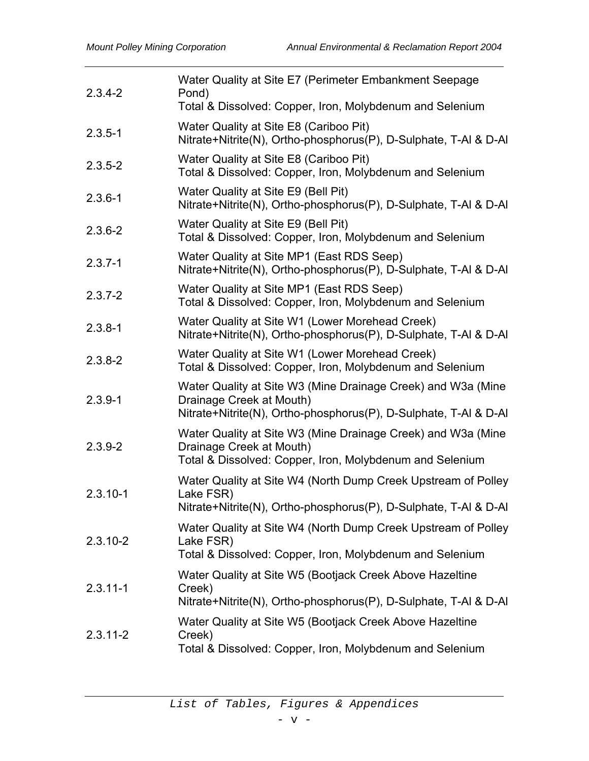| $2.3.4 - 2$  | Water Quality at Site E7 (Perimeter Embankment Seepage<br>Pond)<br>Total & Dissolved: Copper, Iron, Molybdenum and Selenium                                  |
|--------------|--------------------------------------------------------------------------------------------------------------------------------------------------------------|
| $2.3.5 - 1$  | Water Quality at Site E8 (Cariboo Pit)<br>Nitrate+Nitrite(N), Ortho-phosphorus(P), D-Sulphate, T-AI & D-AI                                                   |
| $2.3.5 - 2$  | Water Quality at Site E8 (Cariboo Pit)<br>Total & Dissolved: Copper, Iron, Molybdenum and Selenium                                                           |
| $2.3.6 - 1$  | Water Quality at Site E9 (Bell Pit)<br>Nitrate+Nitrite(N), Ortho-phosphorus(P), D-Sulphate, T-AI & D-AI                                                      |
| $2.3.6 - 2$  | Water Quality at Site E9 (Bell Pit)<br>Total & Dissolved: Copper, Iron, Molybdenum and Selenium                                                              |
| $2.3.7 - 1$  | Water Quality at Site MP1 (East RDS Seep)<br>Nitrate+Nitrite(N), Ortho-phosphorus(P), D-Sulphate, T-AI & D-AI                                                |
| $2.3.7 - 2$  | Water Quality at Site MP1 (East RDS Seep)<br>Total & Dissolved: Copper, Iron, Molybdenum and Selenium                                                        |
| $2.3.8 - 1$  | Water Quality at Site W1 (Lower Morehead Creek)<br>Nitrate+Nitrite(N), Ortho-phosphorus(P), D-Sulphate, T-AI & D-AI                                          |
| $2.3.8 - 2$  | Water Quality at Site W1 (Lower Morehead Creek)<br>Total & Dissolved: Copper, Iron, Molybdenum and Selenium                                                  |
| $2.3.9 - 1$  | Water Quality at Site W3 (Mine Drainage Creek) and W3a (Mine<br>Drainage Creek at Mouth)<br>Nitrate+Nitrite(N), Ortho-phosphorus(P), D-Sulphate, T-Al & D-Al |
| $2.3.9 - 2$  | Water Quality at Site W3 (Mine Drainage Creek) and W3a (Mine<br>Drainage Creek at Mouth)<br>Total & Dissolved: Copper, Iron, Molybdenum and Selenium         |
| $2.3.10 - 1$ | Water Quality at Site W4 (North Dump Creek Upstream of Polley<br>Lake FSR)<br>Nitrate+Nitrite(N), Ortho-phosphorus(P), D-Sulphate, T-AI & D-AI               |
| $2.3.10 - 2$ | Water Quality at Site W4 (North Dump Creek Upstream of Polley<br>Lake FSR)<br>Total & Dissolved: Copper, Iron, Molybdenum and Selenium                       |
| $2.3.11 - 1$ | Water Quality at Site W5 (Bootjack Creek Above Hazeltine<br>Creek)<br>Nitrate+Nitrite(N), Ortho-phosphorus(P), D-Sulphate, T-AI & D-AI                       |
| $2.3.11 - 2$ | Water Quality at Site W5 (Bootjack Creek Above Hazeltine<br>Creek)<br>Total & Dissolved: Copper, Iron, Molybdenum and Selenium                               |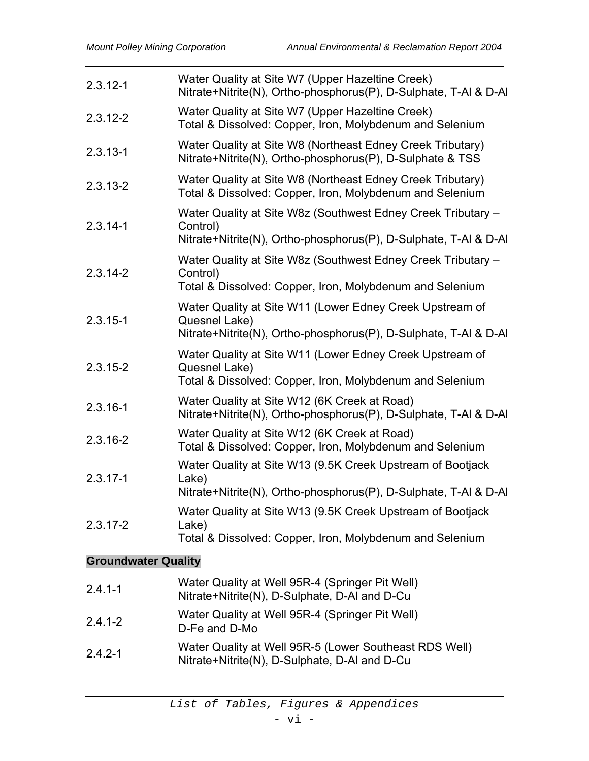| $2.3.12 - 1$               | Water Quality at Site W7 (Upper Hazeltine Creek)<br>Nitrate+Nitrite(N), Ortho-phosphorus(P), D-Sulphate, T-AI & D-AI                          |  |
|----------------------------|-----------------------------------------------------------------------------------------------------------------------------------------------|--|
| $2.3.12 - 2$               | Water Quality at Site W7 (Upper Hazeltine Creek)<br>Total & Dissolved: Copper, Iron, Molybdenum and Selenium                                  |  |
| $2.3.13 - 1$               | Water Quality at Site W8 (Northeast Edney Creek Tributary)<br>Nitrate+Nitrite(N), Ortho-phosphorus(P), D-Sulphate & TSS                       |  |
| $2.3.13 - 2$               | Water Quality at Site W8 (Northeast Edney Creek Tributary)<br>Total & Dissolved: Copper, Iron, Molybdenum and Selenium                        |  |
| $2.3.14 - 1$               | Water Quality at Site W8z (Southwest Edney Creek Tributary -<br>Control)<br>Nitrate+Nitrite(N), Ortho-phosphorus(P), D-Sulphate, T-AI & D-AI  |  |
| $2.3.14 - 2$               | Water Quality at Site W8z (Southwest Edney Creek Tributary -<br>Control)<br>Total & Dissolved: Copper, Iron, Molybdenum and Selenium          |  |
| $2.3.15 - 1$               | Water Quality at Site W11 (Lower Edney Creek Upstream of<br>Quesnel Lake)<br>Nitrate+Nitrite(N), Ortho-phosphorus(P), D-Sulphate, T-AI & D-AI |  |
| $2.3.15 - 2$               | Water Quality at Site W11 (Lower Edney Creek Upstream of<br>Quesnel Lake)<br>Total & Dissolved: Copper, Iron, Molybdenum and Selenium         |  |
| $2.3.16 - 1$               | Water Quality at Site W12 (6K Creek at Road)<br>Nitrate+Nitrite(N), Ortho-phosphorus(P), D-Sulphate, T-AI & D-AI                              |  |
| $2.3.16 - 2$               | Water Quality at Site W12 (6K Creek at Road)<br>Total & Dissolved: Copper, Iron, Molybdenum and Selenium                                      |  |
| $2.3.17 - 1$               | Water Quality at Site W13 (9.5K Creek Upstream of Bootjack<br>Lake)<br>Nitrate+Nitrite(N), Ortho-phosphorus(P), D-Sulphate, T-Al & D-Al       |  |
| $2.3.17 - 2$               | Water Quality at Site W13 (9.5K Creek Upstream of Bootjack<br>Lake)<br>Total & Dissolved: Copper, Iron, Molybdenum and Selenium               |  |
| <b>Groundwater Quality</b> |                                                                                                                                               |  |
| $2.4.1 - 1$                | Water Quality at Well 95R-4 (Springer Pit Well)<br>Nitrate+Nitrite(N), D-Sulphate, D-AI and D-Cu                                              |  |

- 2.4.1-2 Water Quality at Well 95R-4 (Springer Pit Well) D-Fe and D-Mo
- 2.4.2-1 Water Quality at Well 95R-5 (Lower Southeast RDS Well) Nitrate+Nitrite(N), D-Sulphate, D-Al and D-Cu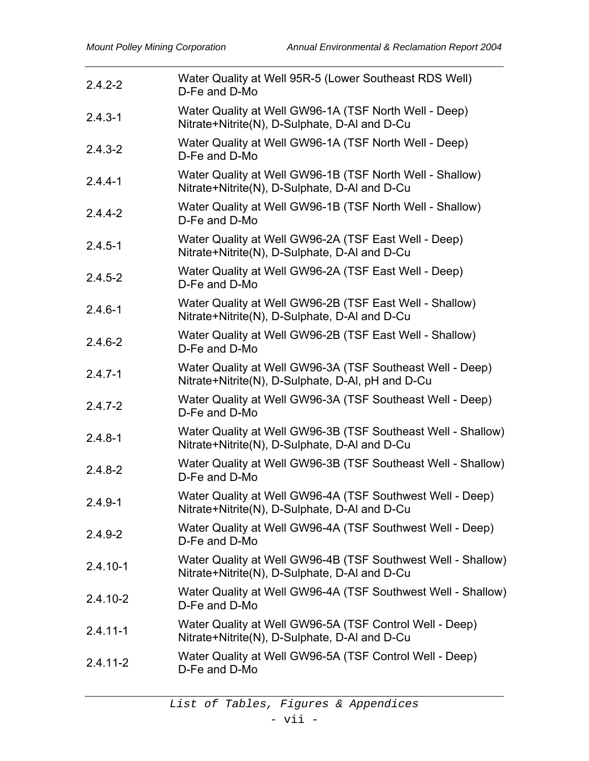| $2.4.2 - 2$  | Water Quality at Well 95R-5 (Lower Southeast RDS Well)<br>D-Fe and D-Mo                                        |
|--------------|----------------------------------------------------------------------------------------------------------------|
| $2.4.3 - 1$  | Water Quality at Well GW96-1A (TSF North Well - Deep)<br>Nitrate+Nitrite(N), D-Sulphate, D-AI and D-Cu         |
| $2.4.3 - 2$  | Water Quality at Well GW96-1A (TSF North Well - Deep)<br>D-Fe and D-Mo                                         |
| $2.4.4 - 1$  | Water Quality at Well GW96-1B (TSF North Well - Shallow)<br>Nitrate+Nitrite(N), D-Sulphate, D-AI and D-Cu      |
| $2.4.4 - 2$  | Water Quality at Well GW96-1B (TSF North Well - Shallow)<br>D-Fe and D-Mo                                      |
| $2.4.5 - 1$  | Water Quality at Well GW96-2A (TSF East Well - Deep)<br>Nitrate+Nitrite(N), D-Sulphate, D-AI and D-Cu          |
| $2.4.5 - 2$  | Water Quality at Well GW96-2A (TSF East Well - Deep)<br>D-Fe and D-Mo                                          |
| $2.4.6 - 1$  | Water Quality at Well GW96-2B (TSF East Well - Shallow)<br>Nitrate+Nitrite(N), D-Sulphate, D-AI and D-Cu       |
| $2.4.6 - 2$  | Water Quality at Well GW96-2B (TSF East Well - Shallow)<br>D-Fe and D-Mo                                       |
| $2.4.7 - 1$  | Water Quality at Well GW96-3A (TSF Southeast Well - Deep)<br>Nitrate+Nitrite(N), D-Sulphate, D-Al, pH and D-Cu |
| $2.4.7 - 2$  | Water Quality at Well GW96-3A (TSF Southeast Well - Deep)<br>D-Fe and D-Mo                                     |
| $2.4.8 - 1$  | Water Quality at Well GW96-3B (TSF Southeast Well - Shallow)<br>Nitrate+Nitrite(N), D-Sulphate, D-AI and D-Cu  |
| $2.4.8 - 2$  | Water Quality at Well GW96-3B (TSF Southeast Well - Shallow)<br>D-Fe and D-Mo                                  |
| $2.4.9 - 1$  | Water Quality at Well GW96-4A (TSF Southwest Well - Deep)<br>Nitrate+Nitrite(N), D-Sulphate, D-AI and D-Cu     |
| $2.4.9 - 2$  | Water Quality at Well GW96-4A (TSF Southwest Well - Deep)<br>D-Fe and D-Mo                                     |
| $2.4.10 - 1$ | Water Quality at Well GW96-4B (TSF Southwest Well - Shallow)<br>Nitrate+Nitrite(N), D-Sulphate, D-AI and D-Cu  |
| $2.4.10 - 2$ | Water Quality at Well GW96-4A (TSF Southwest Well - Shallow)<br>D-Fe and D-Mo                                  |
| $2.4.11 - 1$ | Water Quality at Well GW96-5A (TSF Control Well - Deep)<br>Nitrate+Nitrite(N), D-Sulphate, D-Al and D-Cu       |
| $2.4.11 - 2$ | Water Quality at Well GW96-5A (TSF Control Well - Deep)<br>D-Fe and D-Mo                                       |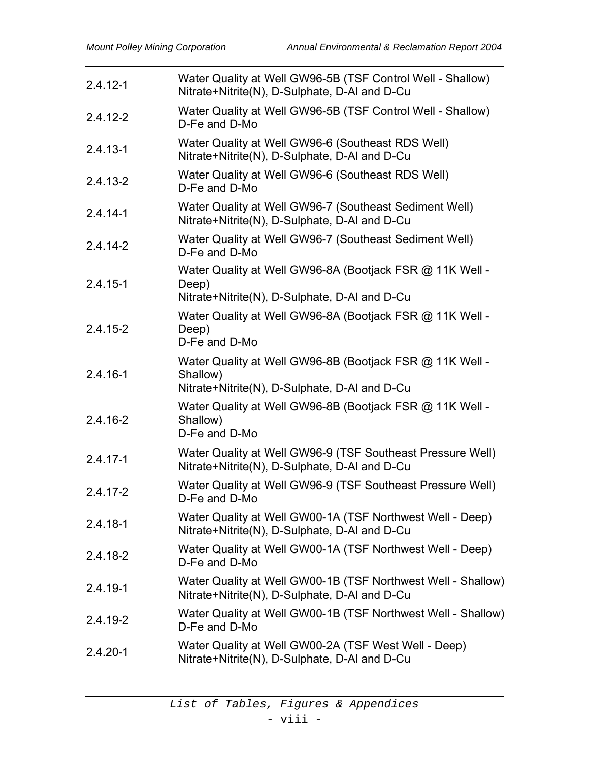| $2.4.12 - 1$ | Water Quality at Well GW96-5B (TSF Control Well - Shallow)<br>Nitrate+Nitrite(N), D-Sulphate, D-AI and D-Cu           |
|--------------|-----------------------------------------------------------------------------------------------------------------------|
| $2.4.12 - 2$ | Water Quality at Well GW96-5B (TSF Control Well - Shallow)<br>D-Fe and D-Mo                                           |
| $2.4.13 - 1$ | Water Quality at Well GW96-6 (Southeast RDS Well)<br>Nitrate+Nitrite(N), D-Sulphate, D-AI and D-Cu                    |
| $2.4.13 - 2$ | Water Quality at Well GW96-6 (Southeast RDS Well)<br>D-Fe and D-Mo                                                    |
| $2.4.14 - 1$ | Water Quality at Well GW96-7 (Southeast Sediment Well)<br>Nitrate+Nitrite(N), D-Sulphate, D-AI and D-Cu               |
| $2.4.14 - 2$ | Water Quality at Well GW96-7 (Southeast Sediment Well)<br>D-Fe and D-Mo                                               |
| $2.4.15 - 1$ | Water Quality at Well GW96-8A (Bootjack FSR @ 11K Well -<br>Deep)<br>Nitrate+Nitrite(N), D-Sulphate, D-AI and D-Cu    |
| $2.4.15 - 2$ | Water Quality at Well GW96-8A (Bootjack FSR @ 11K Well -<br>Deep)<br>D-Fe and D-Mo                                    |
| $2.4.16 - 1$ | Water Quality at Well GW96-8B (Bootjack FSR @ 11K Well -<br>Shallow)<br>Nitrate+Nitrite(N), D-Sulphate, D-AI and D-Cu |
| 2.4.16-2     | Water Quality at Well GW96-8B (Bootjack FSR @ 11K Well -<br>Shallow)<br>D-Fe and D-Mo                                 |
| $2.4.17 - 1$ | Water Quality at Well GW96-9 (TSF Southeast Pressure Well)<br>Nitrate+Nitrite(N), D-Sulphate, D-AI and D-Cu           |
| $2.4.17 - 2$ | Water Quality at Well GW96-9 (TSF Southeast Pressure Well)<br>D-Fe and D-Mo                                           |
| $2.4.18 - 1$ | Water Quality at Well GW00-1A (TSF Northwest Well - Deep)<br>Nitrate+Nitrite(N), D-Sulphate, D-AI and D-Cu            |
| 2.4.18-2     | Water Quality at Well GW00-1A (TSF Northwest Well - Deep)<br>D-Fe and D-Mo                                            |
| $2.4.19 - 1$ | Water Quality at Well GW00-1B (TSF Northwest Well - Shallow)<br>Nitrate+Nitrite(N), D-Sulphate, D-AI and D-Cu         |
| 2.4.19-2     | Water Quality at Well GW00-1B (TSF Northwest Well - Shallow)<br>D-Fe and D-Mo                                         |
| $2.4.20 - 1$ | Water Quality at Well GW00-2A (TSF West Well - Deep)<br>Nitrate+Nitrite(N), D-Sulphate, D-AI and D-Cu                 |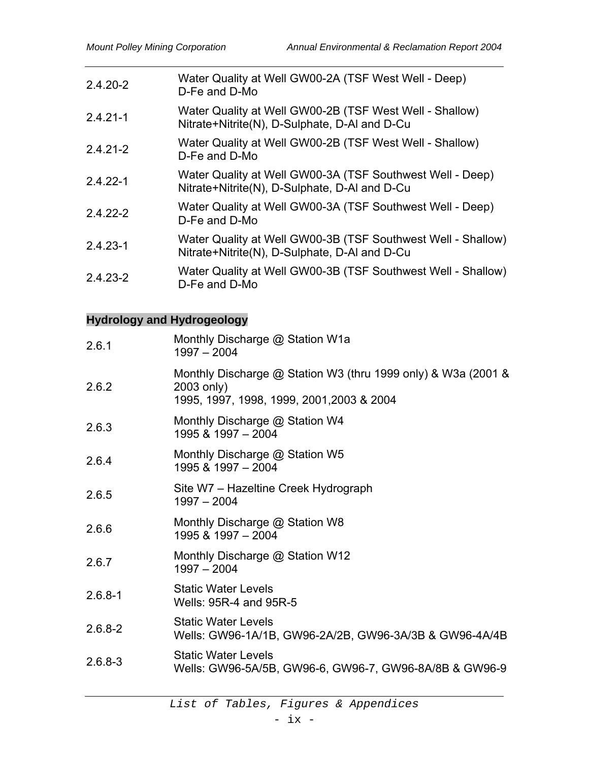| $2.4.20 - 2$ | Water Quality at Well GW00-2A (TSF West Well - Deep)<br>D-Fe and D-Mo                                         |
|--------------|---------------------------------------------------------------------------------------------------------------|
| $2.4.21 - 1$ | Water Quality at Well GW00-2B (TSF West Well - Shallow)<br>Nitrate+Nitrite(N), D-Sulphate, D-AI and D-Cu      |
| $2.4.21 - 2$ | Water Quality at Well GW00-2B (TSF West Well - Shallow)<br>D-Fe and D-Mo                                      |
| $2.4.22 - 1$ | Water Quality at Well GW00-3A (TSF Southwest Well - Deep)<br>Nitrate+Nitrite(N), D-Sulphate, D-AI and D-Cu    |
| $2.4.22 - 2$ | Water Quality at Well GW00-3A (TSF Southwest Well - Deep)<br>D-Fe and D-Mo                                    |
| $2.4.23 - 1$ | Water Quality at Well GW00-3B (TSF Southwest Well - Shallow)<br>Nitrate+Nitrite(N), D-Sulphate, D-Al and D-Cu |
| $2.4.23 - 2$ | Water Quality at Well GW00-3B (TSF Southwest Well - Shallow)<br>D-Fe and D-Mo                                 |

# **Hydrology and Hydrogeology**

| 2.6.1       | Monthly Discharge @ Station W1a<br>$1997 - 2004$                                                                         |
|-------------|--------------------------------------------------------------------------------------------------------------------------|
| 2.6.2       | Monthly Discharge @ Station W3 (thru 1999 only) & W3a (2001 &<br>2003 only)<br>1995, 1997, 1998, 1999, 2001, 2003 & 2004 |
| 2.6.3       | Monthly Discharge @ Station W4<br>1995 & 1997 - 2004                                                                     |
| 2.6.4       | Monthly Discharge @ Station W5<br>1995 & 1997 - 2004                                                                     |
| 2.6.5       | Site W7 - Hazeltine Creek Hydrograph<br>$1997 - 2004$                                                                    |
| 2.6.6       | Monthly Discharge @ Station W8<br>1995 & 1997 - 2004                                                                     |
| 2.6.7       | Monthly Discharge @ Station W12<br>$1997 - 2004$                                                                         |
| $2.6.8 - 1$ | <b>Static Water Levels</b><br>Wells: 95R-4 and 95R-5                                                                     |
| $2.6.8 - 2$ | <b>Static Water Levels</b><br>Wells: GW96-1A/1B, GW96-2A/2B, GW96-3A/3B & GW96-4A/4B                                     |
| $2.6.8 - 3$ | <b>Static Water Levels</b><br>Wells: GW96-5A/5B, GW96-6, GW96-7, GW96-8A/8B & GW96-9                                     |
|             |                                                                                                                          |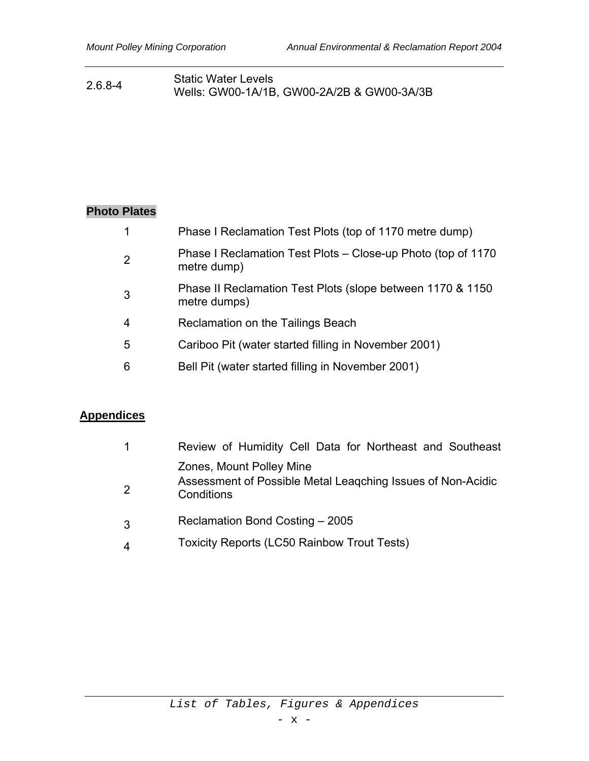#### 2.6.8-4 Static Water Levels Wells: GW00-1A/1B, GW00-2A/2B & GW00-3A/3B

# **Photo Plates**

| 1              | Phase I Reclamation Test Plots (top of 1170 metre dump)                     |
|----------------|-----------------------------------------------------------------------------|
| 2              | Phase I Reclamation Test Plots – Close-up Photo (top of 1170<br>metre dump) |
| 3              | Phase II Reclamation Test Plots (slope between 1170 & 1150<br>metre dumps)  |
| $\overline{4}$ | Reclamation on the Tailings Beach                                           |
| 5              | Cariboo Pit (water started filling in November 2001)                        |
| 6              | Bell Pit (water started filling in November 2001)                           |

# **Appendices**

| 1              | Review of Humidity Cell Data for Northeast and Southeast                                              |
|----------------|-------------------------------------------------------------------------------------------------------|
| $\overline{2}$ | Zones, Mount Polley Mine<br>Assessment of Possible Metal Leagching Issues of Non-Acidic<br>Conditions |
| 3              | Reclamation Bond Costing - 2005                                                                       |
| 4              | <b>Toxicity Reports (LC50 Rainbow Trout Tests)</b>                                                    |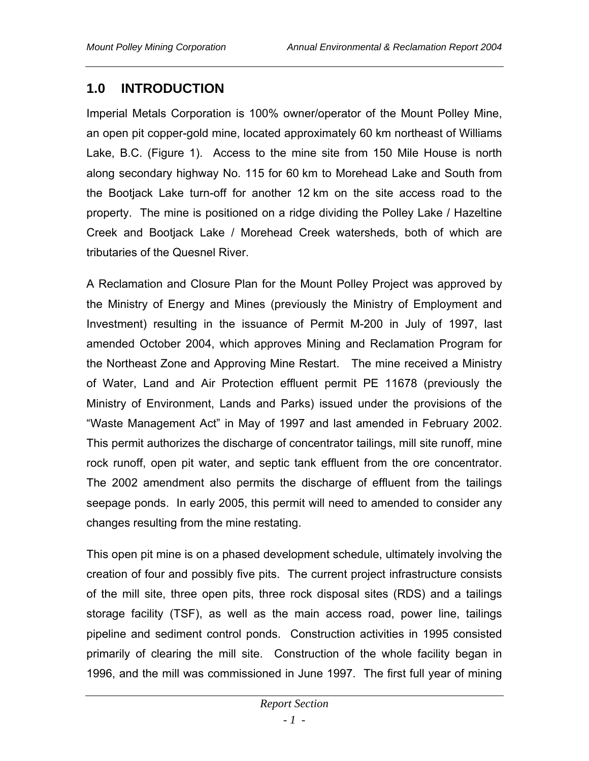# **1.0 INTRODUCTION**

Imperial Metals Corporation is 100% owner/operator of the Mount Polley Mine, an open pit copper-gold mine, located approximately 60 km northeast of Williams Lake, B.C. (Figure 1). Access to the mine site from 150 Mile House is north along secondary highway No. 115 for 60 km to Morehead Lake and South from the Bootjack Lake turn-off for another 12 km on the site access road to the property. The mine is positioned on a ridge dividing the Polley Lake / Hazeltine Creek and Bootjack Lake / Morehead Creek watersheds, both of which are tributaries of the Quesnel River.

A Reclamation and Closure Plan for the Mount Polley Project was approved by the Ministry of Energy and Mines (previously the Ministry of Employment and Investment) resulting in the issuance of Permit M-200 in July of 1997, last amended October 2004, which approves Mining and Reclamation Program for the Northeast Zone and Approving Mine Restart. The mine received a Ministry of Water, Land and Air Protection effluent permit PE 11678 (previously the Ministry of Environment, Lands and Parks) issued under the provisions of the "Waste Management Act" in May of 1997 and last amended in February 2002. This permit authorizes the discharge of concentrator tailings, mill site runoff, mine rock runoff, open pit water, and septic tank effluent from the ore concentrator. The 2002 amendment also permits the discharge of effluent from the tailings seepage ponds. In early 2005, this permit will need to amended to consider any changes resulting from the mine restating.

This open pit mine is on a phased development schedule, ultimately involving the creation of four and possibly five pits. The current project infrastructure consists of the mill site, three open pits, three rock disposal sites (RDS) and a tailings storage facility (TSF), as well as the main access road, power line, tailings pipeline and sediment control ponds. Construction activities in 1995 consisted primarily of clearing the mill site. Construction of the whole facility began in 1996, and the mill was commissioned in June 1997. The first full year of mining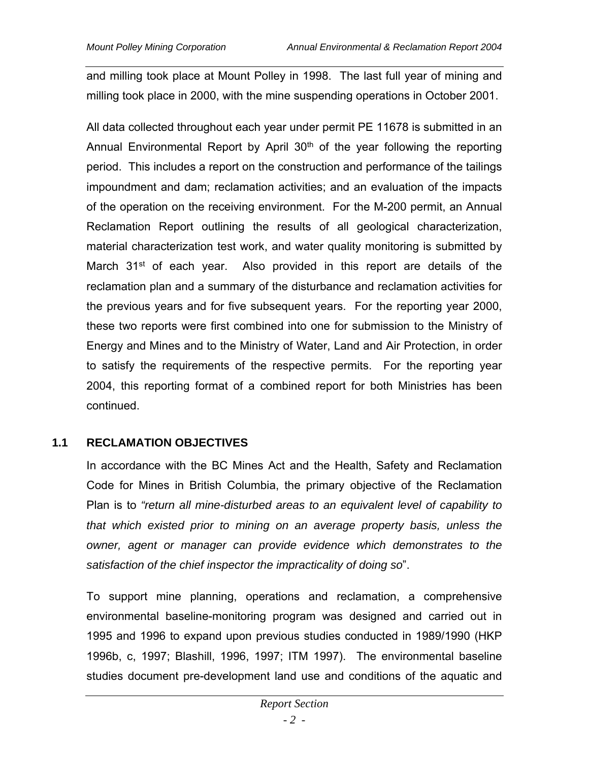and milling took place at Mount Polley in 1998. The last full year of mining and milling took place in 2000, with the mine suspending operations in October 2001.

All data collected throughout each year under permit PE 11678 is submitted in an Annual Environmental Report by April 30<sup>th</sup> of the year following the reporting period. This includes a report on the construction and performance of the tailings impoundment and dam; reclamation activities; and an evaluation of the impacts of the operation on the receiving environment. For the M-200 permit, an Annual Reclamation Report outlining the results of all geological characterization, material characterization test work, and water quality monitoring is submitted by March 31<sup>st</sup> of each year. Also provided in this report are details of the reclamation plan and a summary of the disturbance and reclamation activities for the previous years and for five subsequent years. For the reporting year 2000, these two reports were first combined into one for submission to the Ministry of Energy and Mines and to the Ministry of Water, Land and Air Protection, in order to satisfy the requirements of the respective permits. For the reporting year 2004, this reporting format of a combined report for both Ministries has been continued.

## **1.1 RECLAMATION OBJECTIVES**

In accordance with the BC Mines Act and the Health, Safety and Reclamation Code for Mines in British Columbia, the primary objective of the Reclamation Plan is to *"return all mine-disturbed areas to an equivalent level of capability to that which existed prior to mining on an average property basis, unless the owner, agent or manager can provide evidence which demonstrates to the satisfaction of the chief inspector the impracticality of doing so*".

To support mine planning, operations and reclamation, a comprehensive environmental baseline-monitoring program was designed and carried out in 1995 and 1996 to expand upon previous studies conducted in 1989/1990 (HKP 1996b, c, 1997; Blashill, 1996, 1997; ITM 1997). The environmental baseline studies document pre-development land use and conditions of the aquatic and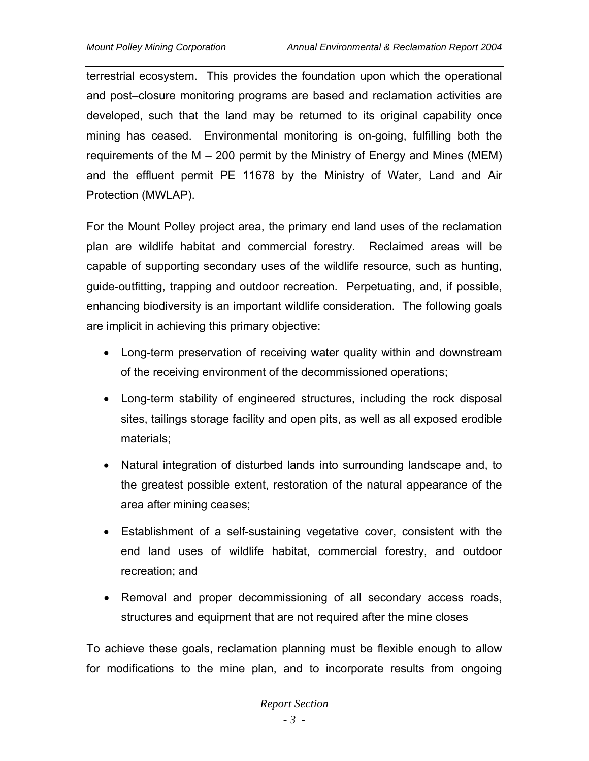terrestrial ecosystem. This provides the foundation upon which the operational and post–closure monitoring programs are based and reclamation activities are developed, such that the land may be returned to its original capability once mining has ceased. Environmental monitoring is on-going, fulfilling both the requirements of the M – 200 permit by the Ministry of Energy and Mines (MEM) and the effluent permit PE 11678 by the Ministry of Water, Land and Air Protection (MWLAP).

For the Mount Polley project area, the primary end land uses of the reclamation plan are wildlife habitat and commercial forestry. Reclaimed areas will be capable of supporting secondary uses of the wildlife resource, such as hunting, guide-outfitting, trapping and outdoor recreation. Perpetuating, and, if possible, enhancing biodiversity is an important wildlife consideration. The following goals are implicit in achieving this primary objective:

- Long-term preservation of receiving water quality within and downstream of the receiving environment of the decommissioned operations;
- Long-term stability of engineered structures, including the rock disposal sites, tailings storage facility and open pits, as well as all exposed erodible materials;
- Natural integration of disturbed lands into surrounding landscape and, to the greatest possible extent, restoration of the natural appearance of the area after mining ceases;
- Establishment of a self-sustaining vegetative cover, consistent with the end land uses of wildlife habitat, commercial forestry, and outdoor recreation; and
- Removal and proper decommissioning of all secondary access roads, structures and equipment that are not required after the mine closes

To achieve these goals, reclamation planning must be flexible enough to allow for modifications to the mine plan, and to incorporate results from ongoing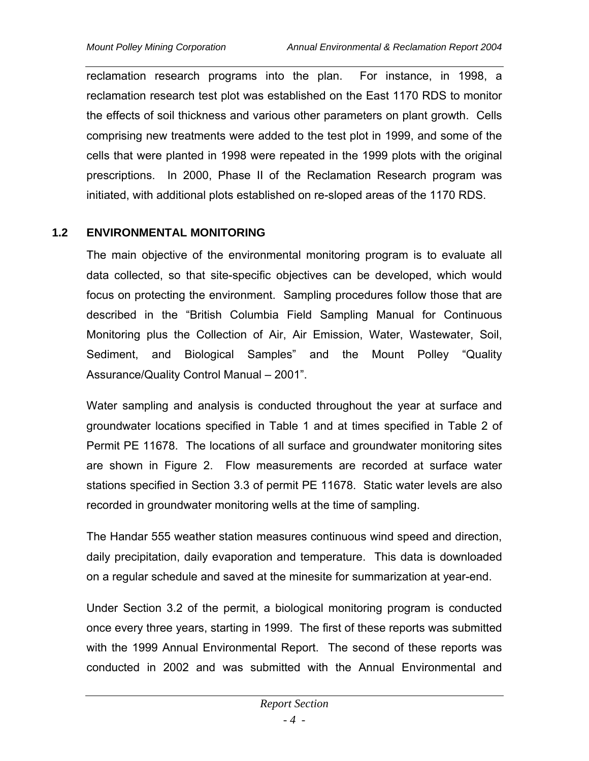reclamation research programs into the plan. For instance, in 1998, a reclamation research test plot was established on the East 1170 RDS to monitor the effects of soil thickness and various other parameters on plant growth. Cells comprising new treatments were added to the test plot in 1999, and some of the cells that were planted in 1998 were repeated in the 1999 plots with the original prescriptions. In 2000, Phase II of the Reclamation Research program was initiated, with additional plots established on re-sloped areas of the 1170 RDS.

## **1.2 ENVIRONMENTAL MONITORING**

The main objective of the environmental monitoring program is to evaluate all data collected, so that site-specific objectives can be developed, which would focus on protecting the environment. Sampling procedures follow those that are described in the "British Columbia Field Sampling Manual for Continuous Monitoring plus the Collection of Air, Air Emission, Water, Wastewater, Soil, Sediment, and Biological Samples" and the Mount Polley "Quality Assurance/Quality Control Manual – 2001".

Water sampling and analysis is conducted throughout the year at surface and groundwater locations specified in Table 1 and at times specified in Table 2 of Permit PE 11678. The locations of all surface and groundwater monitoring sites are shown in Figure 2. Flow measurements are recorded at surface water stations specified in Section 3.3 of permit PE 11678. Static water levels are also recorded in groundwater monitoring wells at the time of sampling.

The Handar 555 weather station measures continuous wind speed and direction, daily precipitation, daily evaporation and temperature. This data is downloaded on a regular schedule and saved at the minesite for summarization at year-end.

Under Section 3.2 of the permit, a biological monitoring program is conducted once every three years, starting in 1999. The first of these reports was submitted with the 1999 Annual Environmental Report. The second of these reports was conducted in 2002 and was submitted with the Annual Environmental and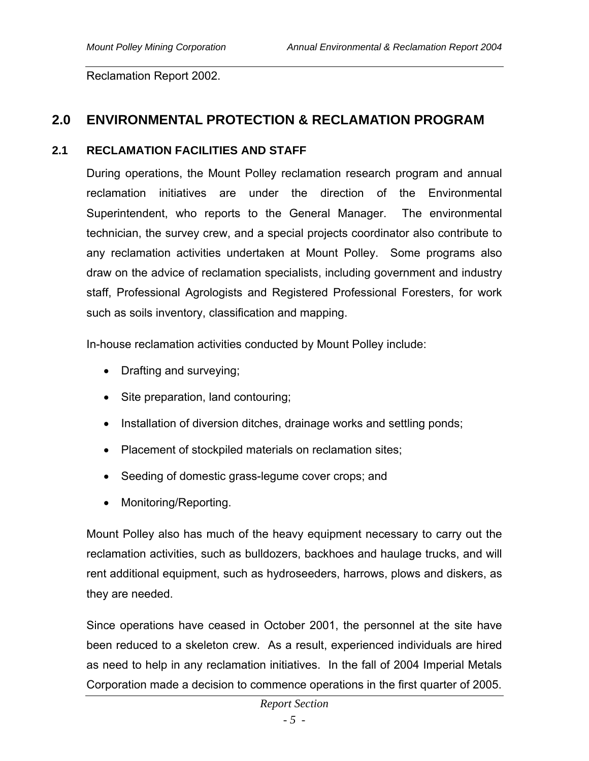Reclamation Report 2002.

# **2.0 ENVIRONMENTAL PROTECTION & RECLAMATION PROGRAM**

#### **2.1 RECLAMATION FACILITIES AND STAFF**

During operations, the Mount Polley reclamation research program and annual reclamation initiatives are under the direction of the Environmental Superintendent, who reports to the General Manager. The environmental technician, the survey crew, and a special projects coordinator also contribute to any reclamation activities undertaken at Mount Polley. Some programs also draw on the advice of reclamation specialists, including government and industry staff, Professional Agrologists and Registered Professional Foresters, for work such as soils inventory, classification and mapping.

In-house reclamation activities conducted by Mount Polley include:

- Drafting and surveying;
- Site preparation, land contouring;
- Installation of diversion ditches, drainage works and settling ponds;
- Placement of stockpiled materials on reclamation sites;
- Seeding of domestic grass-legume cover crops; and
- Monitoring/Reporting.

Mount Polley also has much of the heavy equipment necessary to carry out the reclamation activities, such as bulldozers, backhoes and haulage trucks, and will rent additional equipment, such as hydroseeders, harrows, plows and diskers, as they are needed.

Since operations have ceased in October 2001, the personnel at the site have been reduced to a skeleton crew. As a result, experienced individuals are hired as need to help in any reclamation initiatives. In the fall of 2004 Imperial Metals Corporation made a decision to commence operations in the first quarter of 2005.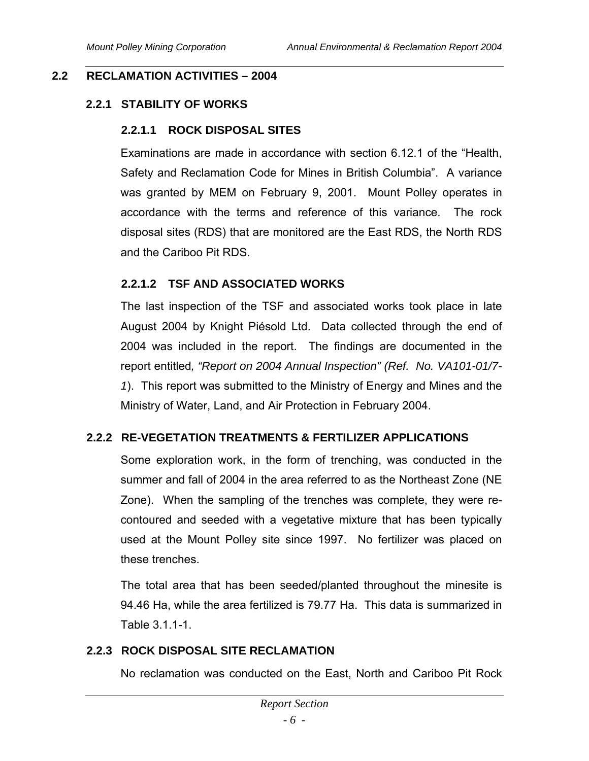## **2.2 RECLAMATION ACTIVITIES – 2004**

## **2.2.1 STABILITY OF WORKS**

## **2.2.1.1 ROCK DISPOSAL SITES**

Examinations are made in accordance with section 6.12.1 of the "Health, Safety and Reclamation Code for Mines in British Columbia". A variance was granted by MEM on February 9, 2001. Mount Polley operates in accordance with the terms and reference of this variance. The rock disposal sites (RDS) that are monitored are the East RDS, the North RDS and the Cariboo Pit RDS.

## **2.2.1.2 TSF AND ASSOCIATED WORKS**

The last inspection of the TSF and associated works took place in late August 2004 by Knight Piésold Ltd. Data collected through the end of 2004 was included in the report. The findings are documented in the report entitled*, "Report on 2004 Annual Inspection" (Ref. No. VA101-01/7- 1*). This report was submitted to the Ministry of Energy and Mines and the Ministry of Water, Land, and Air Protection in February 2004.

## **2.2.2 RE-VEGETATION TREATMENTS & FERTILIZER APPLICATIONS**

Some exploration work, in the form of trenching, was conducted in the summer and fall of 2004 in the area referred to as the Northeast Zone (NE Zone). When the sampling of the trenches was complete, they were recontoured and seeded with a vegetative mixture that has been typically used at the Mount Polley site since 1997. No fertilizer was placed on these trenches.

The total area that has been seeded/planted throughout the minesite is 94.46 Ha, while the area fertilized is 79.77 Ha. This data is summarized in Table 3.1.1-1.

## **2.2.3 ROCK DISPOSAL SITE RECLAMATION**

No reclamation was conducted on the East, North and Cariboo Pit Rock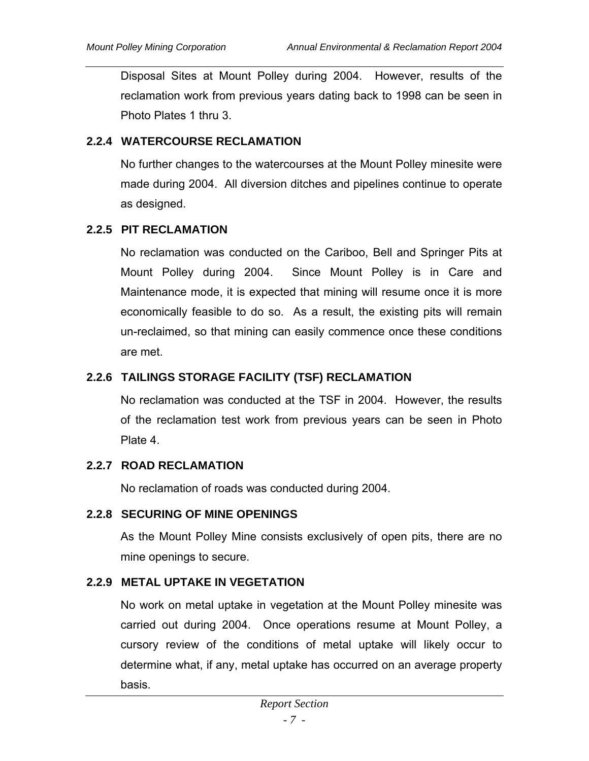Disposal Sites at Mount Polley during 2004. However, results of the reclamation work from previous years dating back to 1998 can be seen in Photo Plates 1 thru 3.

#### **2.2.4 WATERCOURSE RECLAMATION**

No further changes to the watercourses at the Mount Polley minesite were made during 2004. All diversion ditches and pipelines continue to operate as designed.

## **2.2.5 PIT RECLAMATION**

No reclamation was conducted on the Cariboo, Bell and Springer Pits at Mount Polley during 2004. Since Mount Polley is in Care and Maintenance mode, it is expected that mining will resume once it is more economically feasible to do so. As a result, the existing pits will remain un-reclaimed, so that mining can easily commence once these conditions are met.

## **2.2.6 TAILINGS STORAGE FACILITY (TSF) RECLAMATION**

No reclamation was conducted at the TSF in 2004. However, the results of the reclamation test work from previous years can be seen in Photo Plate 4.

## **2.2.7 ROAD RECLAMATION**

No reclamation of roads was conducted during 2004.

#### **2.2.8 SECURING OF MINE OPENINGS**

As the Mount Polley Mine consists exclusively of open pits, there are no mine openings to secure.

## **2.2.9 METAL UPTAKE IN VEGETATION**

No work on metal uptake in vegetation at the Mount Polley minesite was carried out during 2004. Once operations resume at Mount Polley, a cursory review of the conditions of metal uptake will likely occur to determine what, if any, metal uptake has occurred on an average property basis.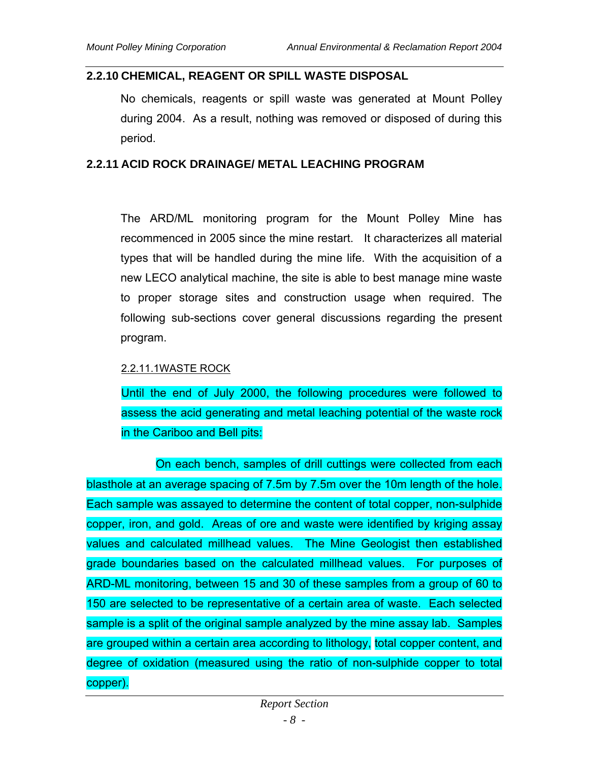#### **2.2.10 CHEMICAL, REAGENT OR SPILL WASTE DISPOSAL**

No chemicals, reagents or spill waste was generated at Mount Polley during 2004. As a result, nothing was removed or disposed of during this period.

#### **2.2.11 ACID ROCK DRAINAGE/ METAL LEACHING PROGRAM**

The ARD/ML monitoring program for the Mount Polley Mine has recommenced in 2005 since the mine restart. It characterizes all material types that will be handled during the mine life. With the acquisition of a new LECO analytical machine, the site is able to best manage mine waste to proper storage sites and construction usage when required. The following sub-sections cover general discussions regarding the present program.

#### 2.2.11.1WASTE ROCK

Until the end of July 2000, the following procedures were followed to assess the acid generating and metal leaching potential of the waste rock in the Cariboo and Bell pits:

On each bench, samples of drill cuttings were collected from each blasthole at an average spacing of 7.5m by 7.5m over the 10m length of the hole. Each sample was assayed to determine the content of total copper, non-sulphide copper, iron, and gold. Areas of ore and waste were identified by kriging assay values and calculated millhead values. The Mine Geologist then established grade boundaries based on the calculated millhead values. For purposes of ARD-ML monitoring, between 15 and 30 of these samples from a group of 60 to 150 are selected to be representative of a certain area of waste. Each selected sample is a split of the original sample analyzed by the mine assay lab. Samples are grouped within a certain area according to lithology, total copper content, and degree of oxidation (measured using the ratio of non-sulphide copper to total copper).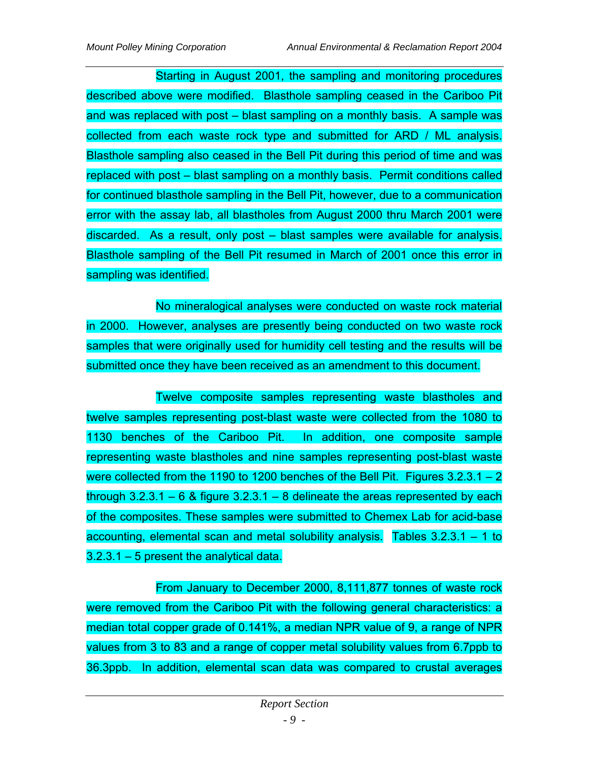Starting in August 2001, the sampling and monitoring procedures described above were modified. Blasthole sampling ceased in the Cariboo Pit and was replaced with post – blast sampling on a monthly basis. A sample was collected from each waste rock type and submitted for ARD / ML analysis. Blasthole sampling also ceased in the Bell Pit during this period of time and was replaced with post – blast sampling on a monthly basis. Permit conditions called for continued blasthole sampling in the Bell Pit, however, due to a communication error with the assay lab, all blastholes from August 2000 thru March 2001 were discarded. As a result, only post – blast samples were available for analysis. Blasthole sampling of the Bell Pit resumed in March of 2001 once this error in sampling was identified.

No mineralogical analyses were conducted on waste rock material in 2000. However, analyses are presently being conducted on two waste rock samples that were originally used for humidity cell testing and the results will be submitted once they have been received as an amendment to this document.

Twelve composite samples representing waste blastholes and twelve samples representing post-blast waste were collected from the 1080 to 1130 benches of the Cariboo Pit. In addition, one composite sample representing waste blastholes and nine samples representing post-blast waste were collected from the 1190 to 1200 benches of the Bell Pit. Figures  $3.2.3.1 - 2$ through  $3.2.3.1 - 6$  & figure  $3.2.3.1 - 8$  delineate the areas represented by each of the composites. These samples were submitted to Chemex Lab for acid-base accounting, elemental scan and metal solubility analysis. Tables 3.2.3.1 – 1 to 3.2.3.1 – 5 present the analytical data.

From January to December 2000, 8,111,877 tonnes of waste rock were removed from the Cariboo Pit with the following general characteristics: a median total copper grade of 0.141%, a median NPR value of 9, a range of NPR values from 3 to 83 and a range of copper metal solubility values from 6.7ppb to 36.3ppb. In addition, elemental scan data was compared to crustal averages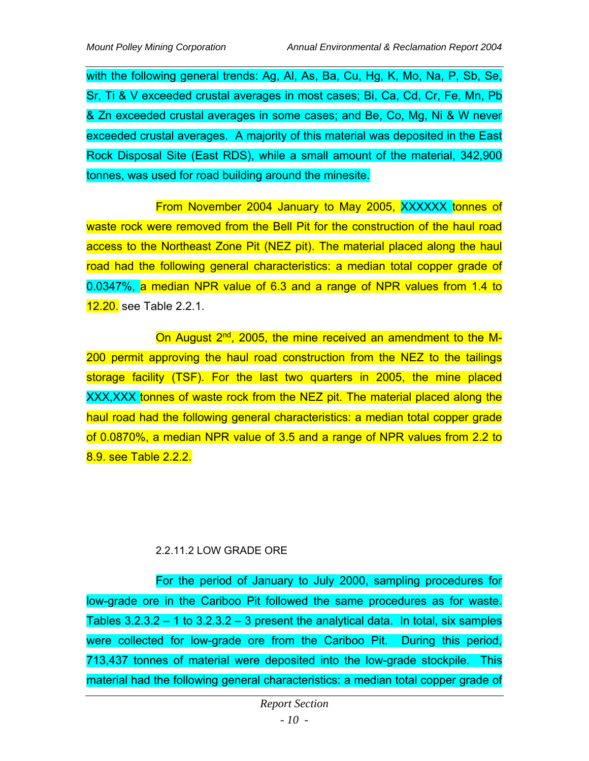with the following general trends: Ag, Al, As, Ba, Cu, Hg, K, Mo, Na, P, Sb, Se, Sr, Ti & V exceeded crustal averages in most cases; Bi, Ca, Cd, Cr, Fe, Mn, Pb & Zn exceeded crustal averages in some cases; and Be, Co, Mg, Ni & W never exceeded crustal averages. A majority of this material was deposited in the East Rock Disposal Site (East RDS), while a small amount of the material, 342,900 tonnes, was used for road building around the minesite.

From November 2004 January to May 2005, XXXXXX tonnes of waste rock were removed from the Bell Pit for the construction of the haul road access to the Northeast Zone Pit (NEZ pit). The material placed along the haul road had the following general characteristics: a median total copper grade of 0.0347%, a median NPR value of 6.3 and a range of NPR values from 1.4 to 12.20. see Table 2.2.1.

On August 2<sup>nd</sup>, 2005, the mine received an amendment to the M-200 permit approving the haul road construction from the NEZ to the tailings storage facility (TSF). For the last two quarters in 2005, the mine placed XXX,XXX tonnes of waste rock from the NEZ pit. The material placed along the haul road had the following general characteristics: a median total copper grade of 0.0870%, a median NPR value of 3.5 and a range of NPR values from 2.2 to 8.9. see Table 2.2.2.

#### 2.2.11.2 LOW GRADE ORE

For the period of January to July 2000, sampling procedures for low-grade ore in the Cariboo Pit followed the same procedures as for waste. Tables  $3.2.3.2 - 1$  to  $3.2.3.2 - 3$  present the analytical data. In total, six samples were collected for low-grade ore from the Cariboo Pit. During this period, 713,437 tonnes of material were deposited into the low-grade stockpile. This material had the following general characteristics: a median total copper grade of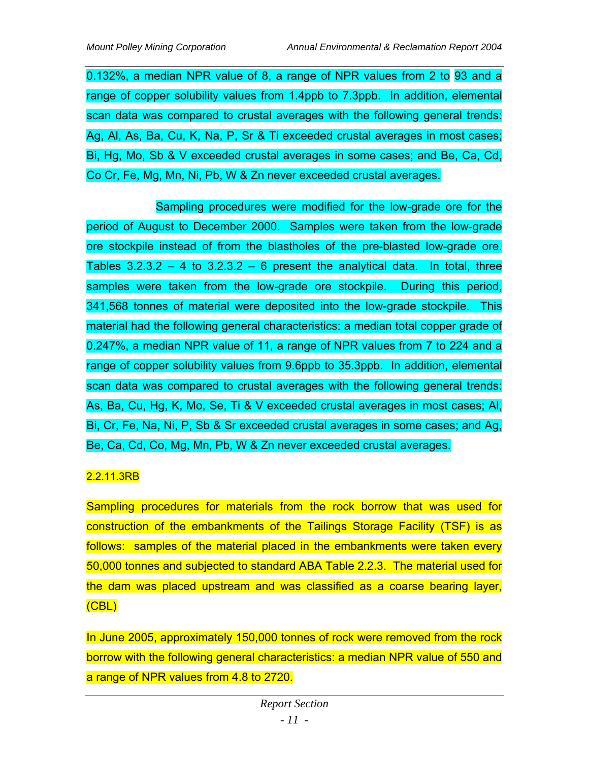0.132%, a median NPR value of 8, a range of NPR values from 2 to 93 and a range of copper solubility values from 1.4ppb to 7.3ppb. In addition, elemental scan data was compared to crustal averages with the following general trends: Ag, Al, As, Ba, Cu, K, Na, P, Sr & Ti exceeded crustal averages in most cases; Bi, Hg, Mo, Sb & V exceeded crustal averages in some cases; and Be, Ca, Cd, Co Cr, Fe, Mg, Mn, Ni, Pb, W & Zn never exceeded crustal averages.

Sampling procedures were modified for the low-grade ore for the period of August to December 2000. Samples were taken from the low-grade ore stockpile instead of from the blastholes of the pre-blasted low-grade ore. Tables  $3.2.3.2 - 4$  to  $3.2.3.2 - 6$  present the analytical data. In total, three samples were taken from the low-grade ore stockpile. During this period, 341,568 tonnes of material were deposited into the low-grade stockpile. This material had the following general characteristics: a median total copper grade of 0.247%, a median NPR value of 11, a range of NPR values from 7 to 224 and a range of copper solubility values from 9.6ppb to 35.3ppb. In addition, elemental scan data was compared to crustal averages with the following general trends: As, Ba, Cu, Hg, K, Mo, Se, Ti & V exceeded crustal averages in most cases; Al, Bi, Cr, Fe, Na, Ni, P, Sb & Sr exceeded crustal averages in some cases; and Ag, Be, Ca, Cd, Co, Mg, Mn, Pb, W & Zn never exceeded crustal averages.

## 2.2.11.3RB

Sampling procedures for materials from the rock borrow that was used for construction of the embankments of the Tailings Storage Facility (TSF) is as follows: samples of the material placed in the embankments were taken every 50,000 tonnes and subjected to standard ABA Table 2.2.3. The material used for the dam was placed upstream and was classified as a coarse bearing layer, (CBL)

In June 2005, approximately 150,000 tonnes of rock were removed from the rock borrow with the following general characteristics: a median NPR value of 550 and a range of NPR values from 4.8 to 2720.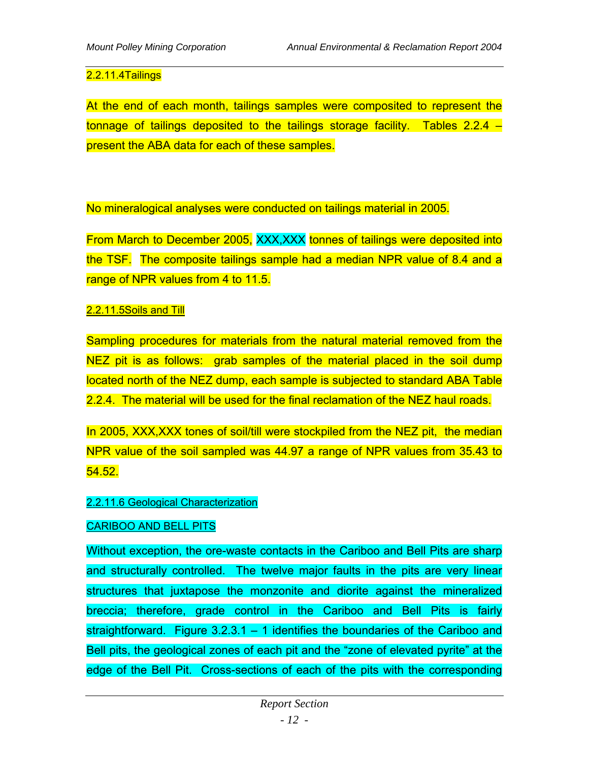#### 2.2.11.4Tailings

At the end of each month, tailings samples were composited to represent the tonnage of tailings deposited to the tailings storage facility. Tables 2.2.4 – present the ABA data for each of these samples.

No mineralogical analyses were conducted on tailings material in 2005.

From March to December 2005, XXX,XXX tonnes of tailings were deposited into the TSF. The composite tailings sample had a median NPR value of 8.4 and a range of NPR values from 4 to 11.5.

#### 2.2.11.5Soils and Till

Sampling procedures for materials from the natural material removed from the NEZ pit is as follows: grab samples of the material placed in the soil dump located north of the NEZ dump, each sample is subjected to standard ABA Table 2.2.4. The material will be used for the final reclamation of the NEZ haul roads.

In 2005, XXX,XXX tones of soil/till were stockpiled from the NEZ pit, the median NPR value of the soil sampled was 44.97 a range of NPR values from 35.43 to 54.52.

#### 2.2.11.6 Geological Characterization

#### CARIBOO AND BELL PITS

Without exception, the ore-waste contacts in the Cariboo and Bell Pits are sharp and structurally controlled. The twelve major faults in the pits are very linear structures that juxtapose the monzonite and diorite against the mineralized breccia; therefore, grade control in the Cariboo and Bell Pits is fairly straightforward. Figure 3.2.3.1 – 1 identifies the boundaries of the Cariboo and Bell pits, the geological zones of each pit and the "zone of elevated pyrite" at the edge of the Bell Pit. Cross-sections of each of the pits with the corresponding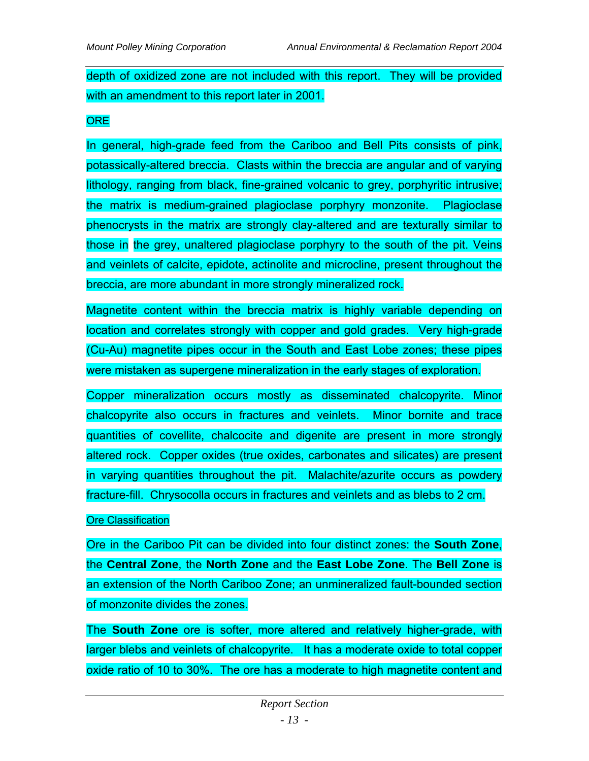depth of oxidized zone are not included with this report. They will be provided with an amendment to this report later in 2001.

#### **ORE**

In general, high-grade feed from the Cariboo and Bell Pits consists of pink, potassically-altered breccia. Clasts within the breccia are angular and of varying lithology, ranging from black, fine-grained volcanic to grey, porphyritic intrusive; the matrix is medium-grained plagioclase porphyry monzonite. Plagioclase phenocrysts in the matrix are strongly clay-altered and are texturally similar to those in the grey, unaltered plagioclase porphyry to the south of the pit. Veins and veinlets of calcite, epidote, actinolite and microcline, present throughout the breccia, are more abundant in more strongly mineralized rock.

Magnetite content within the breccia matrix is highly variable depending on location and correlates strongly with copper and gold grades. Very high-grade (Cu-Au) magnetite pipes occur in the South and East Lobe zones; these pipes were mistaken as supergene mineralization in the early stages of exploration.

Copper mineralization occurs mostly as disseminated chalcopyrite. Minor chalcopyrite also occurs in fractures and veinlets. Minor bornite and trace quantities of covellite, chalcocite and digenite are present in more strongly altered rock. Copper oxides (true oxides, carbonates and silicates) are present in varying quantities throughout the pit. Malachite/azurite occurs as powdery fracture-fill. Chrysocolla occurs in fractures and veinlets and as blebs to 2 cm.

#### **Ore Classification**

Ore in the Cariboo Pit can be divided into four distinct zones: the **South Zone**, the **Central Zone**, the **North Zone** and the **East Lobe Zone**. The **Bell Zone** is an extension of the North Cariboo Zone; an unmineralized fault-bounded section of monzonite divides the zones.

The **South Zone** ore is softer, more altered and relatively higher-grade, with larger blebs and veinlets of chalcopyrite. It has a moderate oxide to total copper oxide ratio of 10 to 30%. The ore has a moderate to high magnetite content and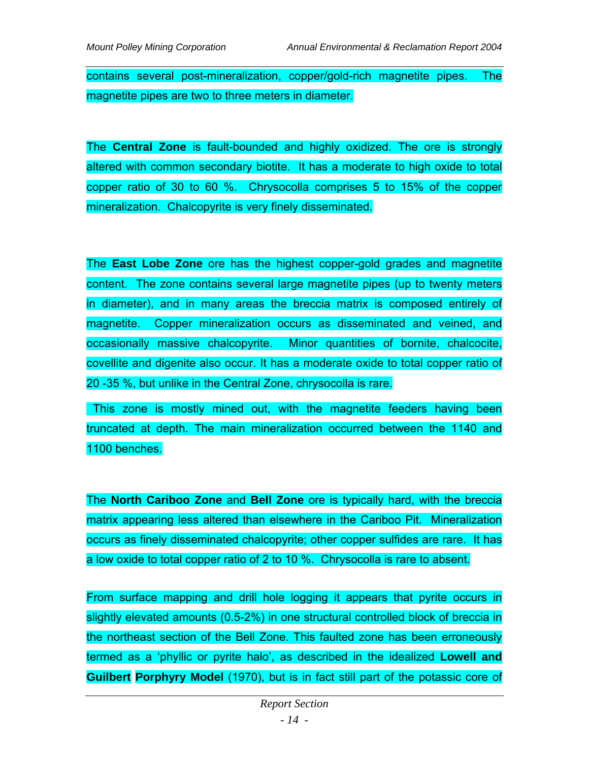contains several post-mineralization, copper/gold-rich magnetite pipes. The magnetite pipes are two to three meters in diameter.

The **Central Zone** is fault-bounded and highly oxidized. The ore is strongly altered with common secondary biotite. It has a moderate to high oxide to total copper ratio of 30 to 60 %. Chrysocolla comprises 5 to 15% of the copper mineralization. Chalcopyrite is very finely disseminated.

The **East Lobe Zone** ore has the highest copper-gold grades and magnetite content. The zone contains several large magnetite pipes (up to twenty meters in diameter), and in many areas the breccia matrix is composed entirely of magnetite. Copper mineralization occurs as disseminated and veined, and occasionally massive chalcopyrite. Minor quantities of bornite, chalcocite, covellite and digenite also occur. It has a moderate oxide to total copper ratio of 20 -35 %, but unlike in the Central Zone, chrysocolla is rare.

 This zone is mostly mined out, with the magnetite feeders having been truncated at depth. The main mineralization occurred between the 1140 and 1100 benches.

The **North Cariboo Zone** and **Bell Zone** ore is typically hard, with the breccia matrix appearing less altered than elsewhere in the Cariboo Pit. Mineralization occurs as finely disseminated chalcopyrite; other copper sulfides are rare. It has a low oxide to total copper ratio of 2 to 10 %. Chrysocolla is rare to absent.

From surface mapping and drill hole logging it appears that pyrite occurs in slightly elevated amounts (0.5-2%) in one structural controlled block of breccia in the northeast section of the Bell Zone. This faulted zone has been erroneously termed as a 'phyllic or pyrite halo', as described in the idealized **Lowell and Guilbert Porphyry Model** (1970), but is in fact still part of the potassic core of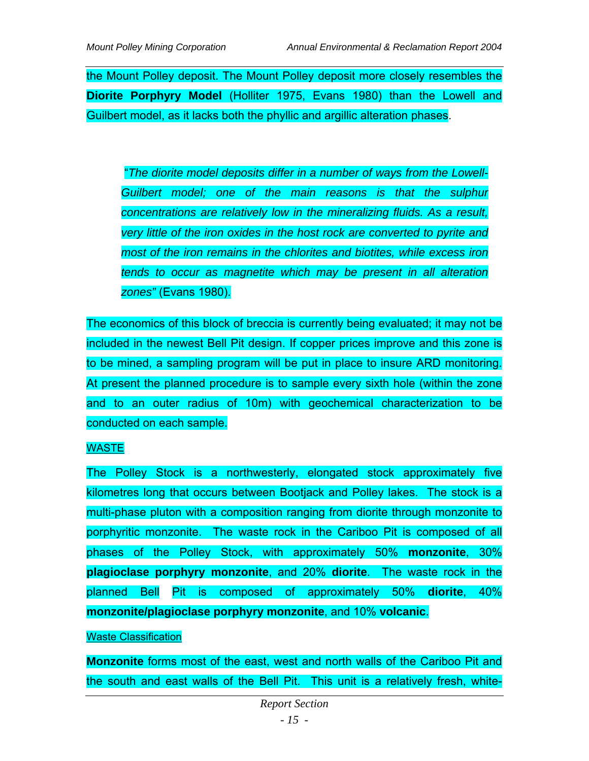the Mount Polley deposit. The Mount Polley deposit more closely resembles the **Diorite Porphyry Model** (Holliter 1975, Evans 1980) than the Lowell and Guilbert model, as it lacks both the phyllic and argillic alteration phases.

 "*The diorite model deposits differ in a number of ways from the Lowell-Guilbert model; one of the main reasons is that the sulphur concentrations are relatively low in the mineralizing fluids. As a result, very little of the iron oxides in the host rock are converted to pyrite and most of the iron remains in the chlorites and biotites, while excess iron tends to occur as magnetite which may be present in all alteration zones"* (Evans 1980).

The economics of this block of breccia is currently being evaluated; it may not be included in the newest Bell Pit design. If copper prices improve and this zone is to be mined, a sampling program will be put in place to insure ARD monitoring. At present the planned procedure is to sample every sixth hole (within the zone and to an outer radius of 10m) with geochemical characterization to be conducted on each sample.

## WASTE

The Polley Stock is a northwesterly, elongated stock approximately five kilometres long that occurs between Bootjack and Polley lakes. The stock is a multi-phase pluton with a composition ranging from diorite through monzonite to porphyritic monzonite. The waste rock in the Cariboo Pit is composed of all phases of the Polley Stock, with approximately 50% **monzonite**, 30% **plagioclase porphyry monzonite**, and 20% **diorite**. The waste rock in the planned Bell Pit is composed of approximately 50% **diorite**, 40% **monzonite/plagioclase porphyry monzonite**, and 10% **volcanic**.

#### Waste Classification

**Monzonite** forms most of the east, west and north walls of the Cariboo Pit and the south and east walls of the Bell Pit. This unit is a relatively fresh, white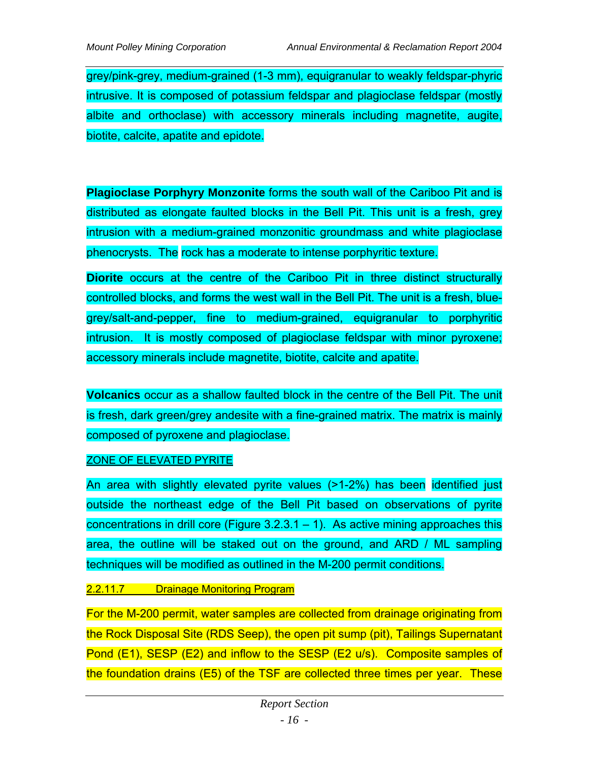grey/pink-grey, medium-grained (1-3 mm), equigranular to weakly feldspar-phyric intrusive. It is composed of potassium feldspar and plagioclase feldspar (mostly albite and orthoclase) with accessory minerals including magnetite, augite, biotite, calcite, apatite and epidote.

**Plagioclase Porphyry Monzonite** forms the south wall of the Cariboo Pit and is distributed as elongate faulted blocks in the Bell Pit. This unit is a fresh, grey intrusion with a medium-grained monzonitic groundmass and white plagioclase phenocrysts. The rock has a moderate to intense porphyritic texture.

**Diorite** occurs at the centre of the Cariboo Pit in three distinct structurally controlled blocks, and forms the west wall in the Bell Pit. The unit is a fresh, bluegrey/salt-and-pepper, fine to medium-grained, equigranular to porphyritic intrusion. It is mostly composed of plagioclase feldspar with minor pyroxene; accessory minerals include magnetite, biotite, calcite and apatite.

**Volcanics** occur as a shallow faulted block in the centre of the Bell Pit. The unit is fresh, dark green/grey andesite with a fine-grained matrix. The matrix is mainly composed of pyroxene and plagioclase.

#### ZONE OF ELEVATED PYRITE

An area with slightly elevated pyrite values (>1-2%) has been identified just outside the northeast edge of the Bell Pit based on observations of pyrite concentrations in drill core (Figure  $3.2.3.1 - 1$ ). As active mining approaches this area, the outline will be staked out on the ground, and ARD / ML sampling techniques will be modified as outlined in the M-200 permit conditions.

## 2.2.11.7 Drainage Monitoring Program

For the M-200 permit, water samples are collected from drainage originating from the Rock Disposal Site (RDS Seep), the open pit sump (pit), Tailings Supernatant Pond (E1), SESP (E2) and inflow to the SESP (E2 u/s). Composite samples of the foundation drains (E5) of the TSF are collected three times per year. These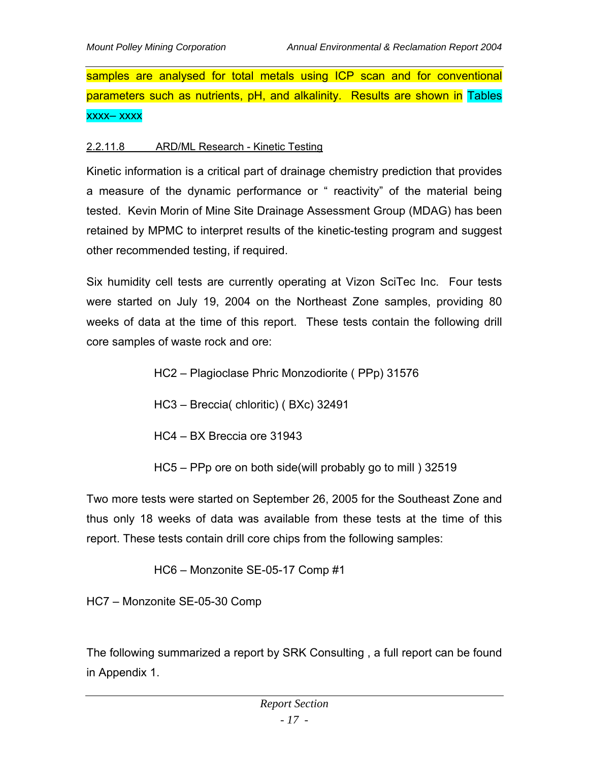samples are analysed for total metals using ICP scan and for conventional parameters such as nutrients, pH, and alkalinity. Results are shown in Tables xxxx– xxxx

#### 2.2.11.8 ARD/ML Research - Kinetic Testing

Kinetic information is a critical part of drainage chemistry prediction that provides a measure of the dynamic performance or " reactivity" of the material being tested. Kevin Morin of Mine Site Drainage Assessment Group (MDAG) has been retained by MPMC to interpret results of the kinetic-testing program and suggest other recommended testing, if required.

Six humidity cell tests are currently operating at Vizon SciTec Inc. Four tests were started on July 19, 2004 on the Northeast Zone samples, providing 80 weeks of data at the time of this report. These tests contain the following drill core samples of waste rock and ore:

- HC2 Plagioclase Phric Monzodiorite ( PPp) 31576
- HC3 Breccia( chloritic) ( BXc) 32491
- HC4 BX Breccia ore 31943
- HC5 PPp ore on both side(will probably go to mill ) 32519

Two more tests were started on September 26, 2005 for the Southeast Zone and thus only 18 weeks of data was available from these tests at the time of this report. These tests contain drill core chips from the following samples:

HC6 – Monzonite SE-05-17 Comp #1

HC7 – Monzonite SE-05-30 Comp

The following summarized a report by SRK Consulting , a full report can be found in Appendix 1.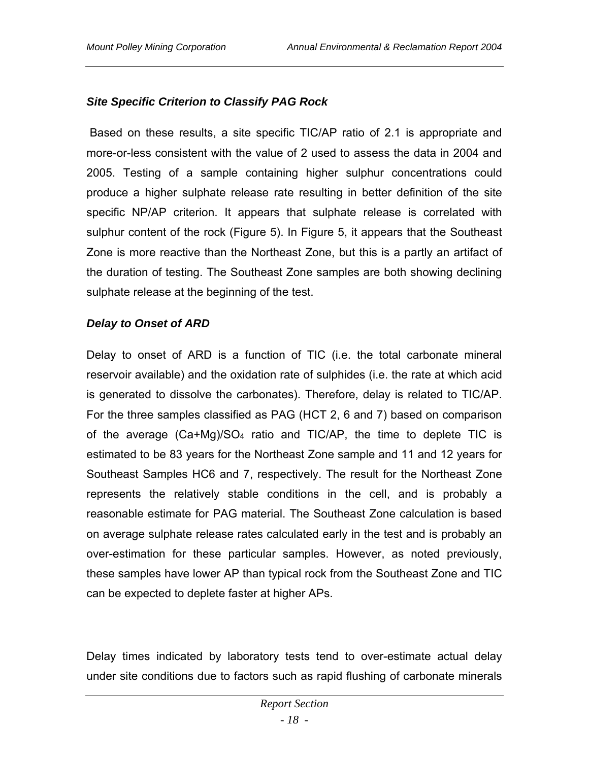# *Site Specific Criterion to Classify PAG Rock*

 Based on these results, a site specific TIC/AP ratio of 2.1 is appropriate and more-or-less consistent with the value of 2 used to assess the data in 2004 and 2005. Testing of a sample containing higher sulphur concentrations could produce a higher sulphate release rate resulting in better definition of the site specific NP/AP criterion. It appears that sulphate release is correlated with sulphur content of the rock (Figure 5). In Figure 5, it appears that the Southeast Zone is more reactive than the Northeast Zone, but this is a partly an artifact of the duration of testing. The Southeast Zone samples are both showing declining sulphate release at the beginning of the test.

## *Delay to Onset of ARD*

Delay to onset of ARD is a function of TIC (i.e. the total carbonate mineral reservoir available) and the oxidation rate of sulphides (i.e. the rate at which acid is generated to dissolve the carbonates). Therefore, delay is related to TIC/AP. For the three samples classified as PAG (HCT 2, 6 and 7) based on comparison of the average (Ca+Mg)/SO4 ratio and TIC/AP, the time to deplete TIC is estimated to be 83 years for the Northeast Zone sample and 11 and 12 years for Southeast Samples HC6 and 7, respectively. The result for the Northeast Zone represents the relatively stable conditions in the cell, and is probably a reasonable estimate for PAG material. The Southeast Zone calculation is based on average sulphate release rates calculated early in the test and is probably an over-estimation for these particular samples. However, as noted previously, these samples have lower AP than typical rock from the Southeast Zone and TIC can be expected to deplete faster at higher APs.

Delay times indicated by laboratory tests tend to over-estimate actual delay under site conditions due to factors such as rapid flushing of carbonate minerals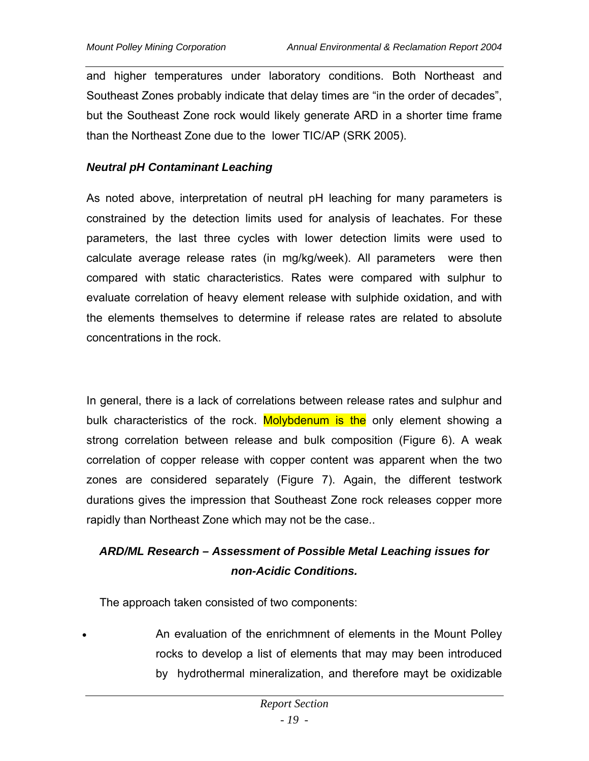and higher temperatures under laboratory conditions. Both Northeast and Southeast Zones probably indicate that delay times are "in the order of decades", but the Southeast Zone rock would likely generate ARD in a shorter time frame than the Northeast Zone due to the lower TIC/AP (SRK 2005).

#### *Neutral pH Contaminant Leaching*

As noted above, interpretation of neutral pH leaching for many parameters is constrained by the detection limits used for analysis of leachates. For these parameters, the last three cycles with lower detection limits were used to calculate average release rates (in mg/kg/week). All parameters were then compared with static characteristics. Rates were compared with sulphur to evaluate correlation of heavy element release with sulphide oxidation, and with the elements themselves to determine if release rates are related to absolute concentrations in the rock.

In general, there is a lack of correlations between release rates and sulphur and bulk characteristics of the rock. Molybdenum is the only element showing a strong correlation between release and bulk composition (Figure 6). A weak correlation of copper release with copper content was apparent when the two zones are considered separately (Figure 7). Again, the different testwork durations gives the impression that Southeast Zone rock releases copper more rapidly than Northeast Zone which may not be the case..

# *ARD/ML Research – Assessment of Possible Metal Leaching issues for non-Acidic Conditions.*

The approach taken consisted of two components:

 An evaluation of the enrichmnent of elements in the Mount Polley rocks to develop a list of elements that may may been introduced by hydrothermal mineralization, and therefore mayt be oxidizable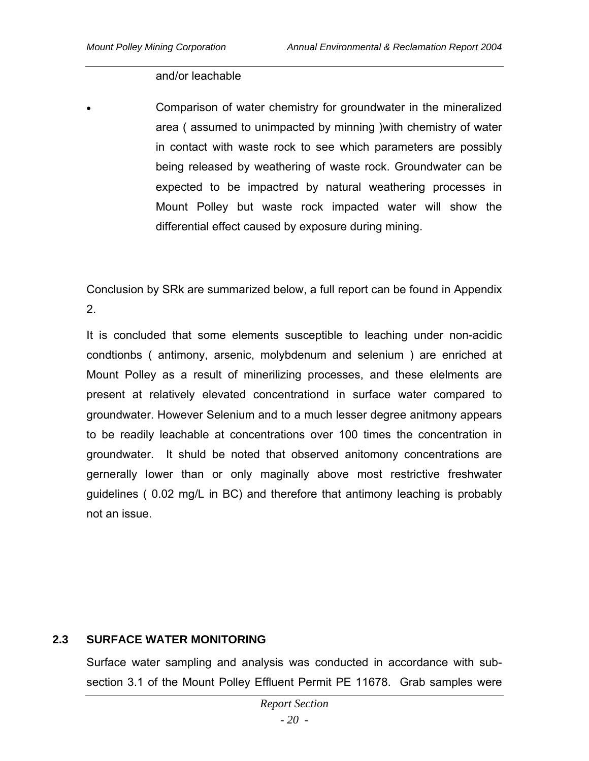#### and/or leachable

 Comparison of water chemistry for groundwater in the mineralized area ( assumed to unimpacted by minning )with chemistry of water in contact with waste rock to see which parameters are possibly being released by weathering of waste rock. Groundwater can be expected to be impactred by natural weathering processes in Mount Polley but waste rock impacted water will show the differential effect caused by exposure during mining.

Conclusion by SRk are summarized below, a full report can be found in Appendix 2.

It is concluded that some elements susceptible to leaching under non-acidic condtionbs ( antimony, arsenic, molybdenum and selenium ) are enriched at Mount Polley as a result of minerilizing processes, and these elelments are present at relatively elevated concentrationd in surface water compared to groundwater. However Selenium and to a much lesser degree anitmony appears to be readily leachable at concentrations over 100 times the concentration in groundwater. It shuld be noted that observed anitomony concentrations are gernerally lower than or only maginally above most restrictive freshwater guidelines ( 0.02 mg/L in BC) and therefore that antimony leaching is probably not an issue.

## **2.3 SURFACE WATER MONITORING**

Surface water sampling and analysis was conducted in accordance with subsection 3.1 of the Mount Polley Effluent Permit PE 11678. Grab samples were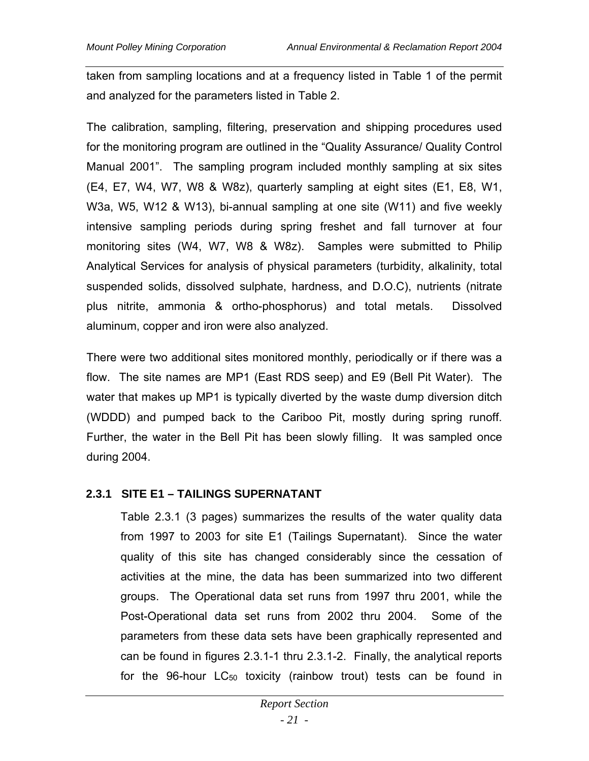taken from sampling locations and at a frequency listed in Table 1 of the permit and analyzed for the parameters listed in Table 2.

The calibration, sampling, filtering, preservation and shipping procedures used for the monitoring program are outlined in the "Quality Assurance/ Quality Control Manual 2001". The sampling program included monthly sampling at six sites (E4, E7, W4, W7, W8 & W8z), quarterly sampling at eight sites (E1, E8, W1, W3a, W5, W12 & W13), bi-annual sampling at one site (W11) and five weekly intensive sampling periods during spring freshet and fall turnover at four monitoring sites (W4, W7, W8 & W8z). Samples were submitted to Philip Analytical Services for analysis of physical parameters (turbidity, alkalinity, total suspended solids, dissolved sulphate, hardness, and D.O.C), nutrients (nitrate plus nitrite, ammonia & ortho-phosphorus) and total metals. Dissolved aluminum, copper and iron were also analyzed.

There were two additional sites monitored monthly, periodically or if there was a flow. The site names are MP1 (East RDS seep) and E9 (Bell Pit Water). The water that makes up MP1 is typically diverted by the waste dump diversion ditch (WDDD) and pumped back to the Cariboo Pit, mostly during spring runoff. Further, the water in the Bell Pit has been slowly filling. It was sampled once during 2004.

## **2.3.1 SITE E1 – TAILINGS SUPERNATANT**

Table 2.3.1 (3 pages) summarizes the results of the water quality data from 1997 to 2003 for site E1 (Tailings Supernatant). Since the water quality of this site has changed considerably since the cessation of activities at the mine, the data has been summarized into two different groups. The Operational data set runs from 1997 thru 2001, while the Post-Operational data set runs from 2002 thru 2004. Some of the parameters from these data sets have been graphically represented and can be found in figures 2.3.1-1 thru 2.3.1-2. Finally, the analytical reports for the 96-hour LC<sub>50</sub> toxicity (rainbow trout) tests can be found in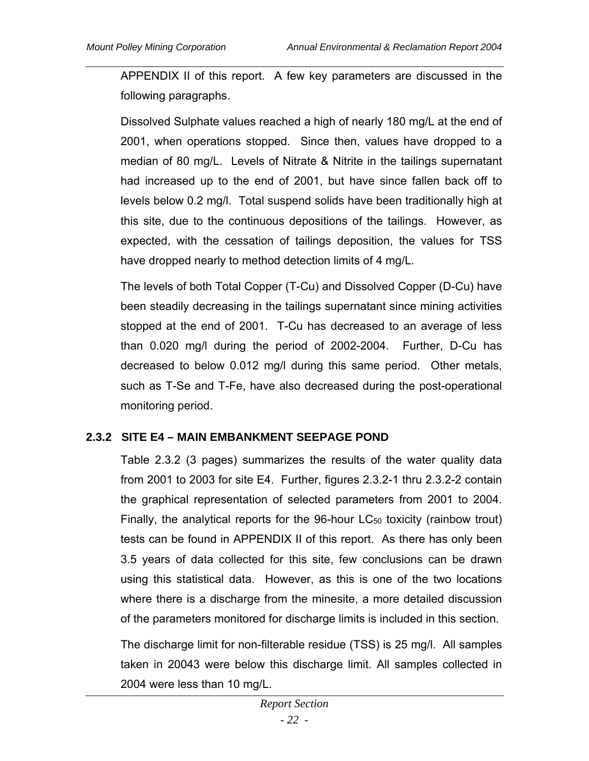APPENDIX II of this report. A few key parameters are discussed in the following paragraphs.

Dissolved Sulphate values reached a high of nearly 180 mg/L at the end of 2001, when operations stopped. Since then, values have dropped to a median of 80 mg/L. Levels of Nitrate & Nitrite in the tailings supernatant had increased up to the end of 2001, but have since fallen back off to levels below 0.2 mg/l. Total suspend solids have been traditionally high at this site, due to the continuous depositions of the tailings. However, as expected, with the cessation of tailings deposition, the values for TSS have dropped nearly to method detection limits of 4 mg/L.

The levels of both Total Copper (T-Cu) and Dissolved Copper (D-Cu) have been steadily decreasing in the tailings supernatant since mining activities stopped at the end of 2001. T-Cu has decreased to an average of less than 0.020 mg/l during the period of 2002-2004. Further, D-Cu has decreased to below 0.012 mg/l during this same period. Other metals, such as T-Se and T-Fe, have also decreased during the post-operational monitoring period.

## **2.3.2 SITE E4 – MAIN EMBANKMENT SEEPAGE POND**

Table 2.3.2 (3 pages) summarizes the results of the water quality data from 2001 to 2003 for site E4. Further, figures 2.3.2-1 thru 2.3.2-2 contain the graphical representation of selected parameters from 2001 to 2004. Finally, the analytical reports for the 96-hour LC<sub>50</sub> toxicity (rainbow trout) tests can be found in APPENDIX II of this report. As there has only been 3.5 years of data collected for this site, few conclusions can be drawn using this statistical data. However, as this is one of the two locations where there is a discharge from the minesite, a more detailed discussion of the parameters monitored for discharge limits is included in this section.

The discharge limit for non-filterable residue (TSS) is 25 mg/l. All samples taken in 20043 were below this discharge limit. All samples collected in 2004 were less than 10 mg/L.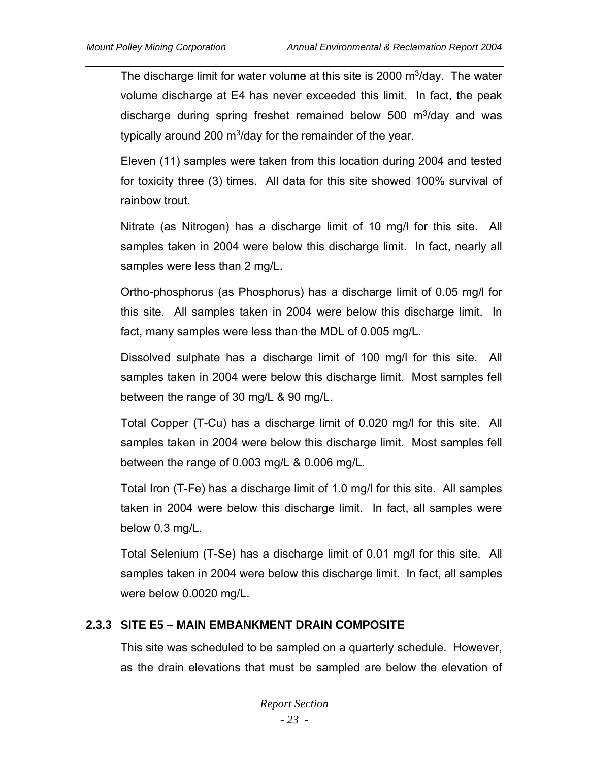The discharge limit for water volume at this site is 2000  $m^3/dav$ . The water volume discharge at E4 has never exceeded this limit. In fact, the peak discharge during spring freshet remained below 500  $\mathrm{m}^3$ /day and was typically around 200  $\mathrm{m}^3$ /day for the remainder of the year.

Eleven (11) samples were taken from this location during 2004 and tested for toxicity three (3) times. All data for this site showed 100% survival of rainbow trout.

Nitrate (as Nitrogen) has a discharge limit of 10 mg/l for this site. All samples taken in 2004 were below this discharge limit. In fact, nearly all samples were less than 2 mg/L.

Ortho-phosphorus (as Phosphorus) has a discharge limit of 0.05 mg/l for this site. All samples taken in 2004 were below this discharge limit. In fact, many samples were less than the MDL of 0.005 mg/L.

Dissolved sulphate has a discharge limit of 100 mg/l for this site. All samples taken in 2004 were below this discharge limit. Most samples fell between the range of 30 mg/L & 90 mg/L.

Total Copper (T-Cu) has a discharge limit of 0.020 mg/l for this site. All samples taken in 2004 were below this discharge limit. Most samples fell between the range of 0.003 mg/L & 0.006 mg/L.

Total Iron (T-Fe) has a discharge limit of 1.0 mg/l for this site. All samples taken in 2004 were below this discharge limit. In fact, all samples were below 0.3 mg/L.

Total Selenium (T-Se) has a discharge limit of 0.01 mg/l for this site. All samples taken in 2004 were below this discharge limit. In fact, all samples were below 0.0020 mg/L.

# **2.3.3 SITE E5 – MAIN EMBANKMENT DRAIN COMPOSITE**

This site was scheduled to be sampled on a quarterly schedule. However, as the drain elevations that must be sampled are below the elevation of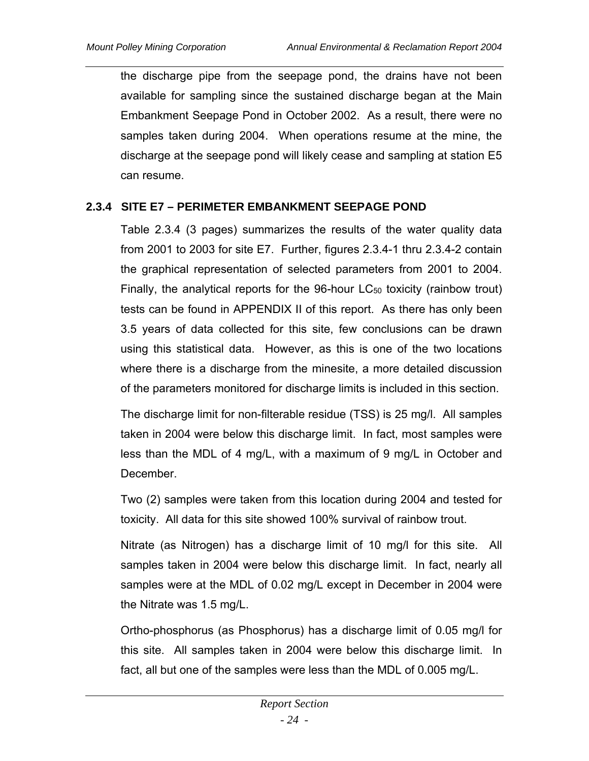the discharge pipe from the seepage pond, the drains have not been available for sampling since the sustained discharge began at the Main Embankment Seepage Pond in October 2002. As a result, there were no samples taken during 2004. When operations resume at the mine, the discharge at the seepage pond will likely cease and sampling at station E5 can resume.

# **2.3.4 SITE E7 – PERIMETER EMBANKMENT SEEPAGE POND**

Table 2.3.4 (3 pages) summarizes the results of the water quality data from 2001 to 2003 for site E7. Further, figures 2.3.4-1 thru 2.3.4-2 contain the graphical representation of selected parameters from 2001 to 2004. Finally, the analytical reports for the 96-hour  $LC_{50}$  toxicity (rainbow trout) tests can be found in APPENDIX II of this report. As there has only been 3.5 years of data collected for this site, few conclusions can be drawn using this statistical data. However, as this is one of the two locations where there is a discharge from the minesite, a more detailed discussion of the parameters monitored for discharge limits is included in this section.

The discharge limit for non-filterable residue (TSS) is 25 mg/l. All samples taken in 2004 were below this discharge limit. In fact, most samples were less than the MDL of 4 mg/L, with a maximum of 9 mg/L in October and December.

Two (2) samples were taken from this location during 2004 and tested for toxicity. All data for this site showed 100% survival of rainbow trout.

Nitrate (as Nitrogen) has a discharge limit of 10 mg/l for this site. All samples taken in 2004 were below this discharge limit. In fact, nearly all samples were at the MDL of 0.02 mg/L except in December in 2004 were the Nitrate was 1.5 mg/L.

Ortho-phosphorus (as Phosphorus) has a discharge limit of 0.05 mg/l for this site. All samples taken in 2004 were below this discharge limit. In fact, all but one of the samples were less than the MDL of 0.005 mg/L.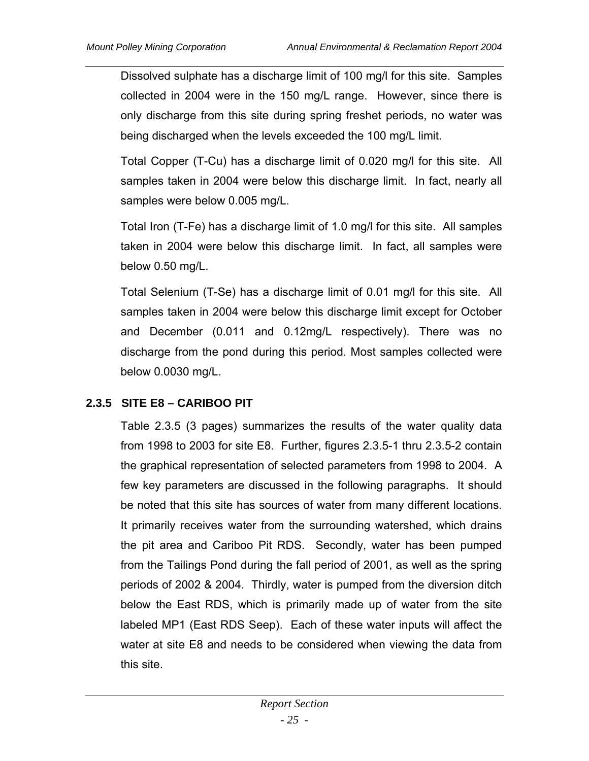Dissolved sulphate has a discharge limit of 100 mg/l for this site. Samples collected in 2004 were in the 150 mg/L range. However, since there is only discharge from this site during spring freshet periods, no water was being discharged when the levels exceeded the 100 mg/L limit.

Total Copper (T-Cu) has a discharge limit of 0.020 mg/l for this site. All samples taken in 2004 were below this discharge limit. In fact, nearly all samples were below 0.005 mg/L.

Total Iron (T-Fe) has a discharge limit of 1.0 mg/l for this site. All samples taken in 2004 were below this discharge limit. In fact, all samples were below 0.50 mg/L.

Total Selenium (T-Se) has a discharge limit of 0.01 mg/l for this site. All samples taken in 2004 were below this discharge limit except for October and December (0.011 and 0.12mg/L respectively). There was no discharge from the pond during this period. Most samples collected were below 0.0030 mg/L.

# **2.3.5 SITE E8 – CARIBOO PIT**

Table 2.3.5 (3 pages) summarizes the results of the water quality data from 1998 to 2003 for site E8. Further, figures 2.3.5-1 thru 2.3.5-2 contain the graphical representation of selected parameters from 1998 to 2004. A few key parameters are discussed in the following paragraphs. It should be noted that this site has sources of water from many different locations. It primarily receives water from the surrounding watershed, which drains the pit area and Cariboo Pit RDS. Secondly, water has been pumped from the Tailings Pond during the fall period of 2001, as well as the spring periods of 2002 & 2004. Thirdly, water is pumped from the diversion ditch below the East RDS, which is primarily made up of water from the site labeled MP1 (East RDS Seep). Each of these water inputs will affect the water at site E8 and needs to be considered when viewing the data from this site.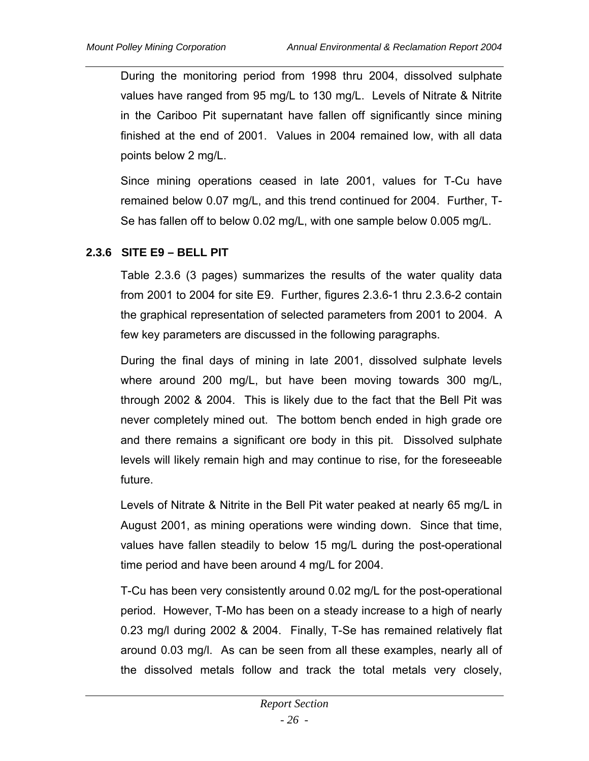During the monitoring period from 1998 thru 2004, dissolved sulphate values have ranged from 95 mg/L to 130 mg/L. Levels of Nitrate & Nitrite in the Cariboo Pit supernatant have fallen off significantly since mining finished at the end of 2001. Values in 2004 remained low, with all data points below 2 mg/L.

Since mining operations ceased in late 2001, values for T-Cu have remained below 0.07 mg/L, and this trend continued for 2004. Further, T-Se has fallen off to below 0.02 mg/L, with one sample below 0.005 mg/L.

## **2.3.6 SITE E9 – BELL PIT**

Table 2.3.6 (3 pages) summarizes the results of the water quality data from 2001 to 2004 for site E9. Further, figures 2.3.6-1 thru 2.3.6-2 contain the graphical representation of selected parameters from 2001 to 2004. A few key parameters are discussed in the following paragraphs.

During the final days of mining in late 2001, dissolved sulphate levels where around 200 mg/L, but have been moving towards 300 mg/L, through 2002 & 2004. This is likely due to the fact that the Bell Pit was never completely mined out. The bottom bench ended in high grade ore and there remains a significant ore body in this pit. Dissolved sulphate levels will likely remain high and may continue to rise, for the foreseeable future.

Levels of Nitrate & Nitrite in the Bell Pit water peaked at nearly 65 mg/L in August 2001, as mining operations were winding down. Since that time, values have fallen steadily to below 15 mg/L during the post-operational time period and have been around 4 mg/L for 2004.

T-Cu has been very consistently around 0.02 mg/L for the post-operational period. However, T-Mo has been on a steady increase to a high of nearly 0.23 mg/l during 2002 & 2004. Finally, T-Se has remained relatively flat around 0.03 mg/l. As can be seen from all these examples, nearly all of the dissolved metals follow and track the total metals very closely,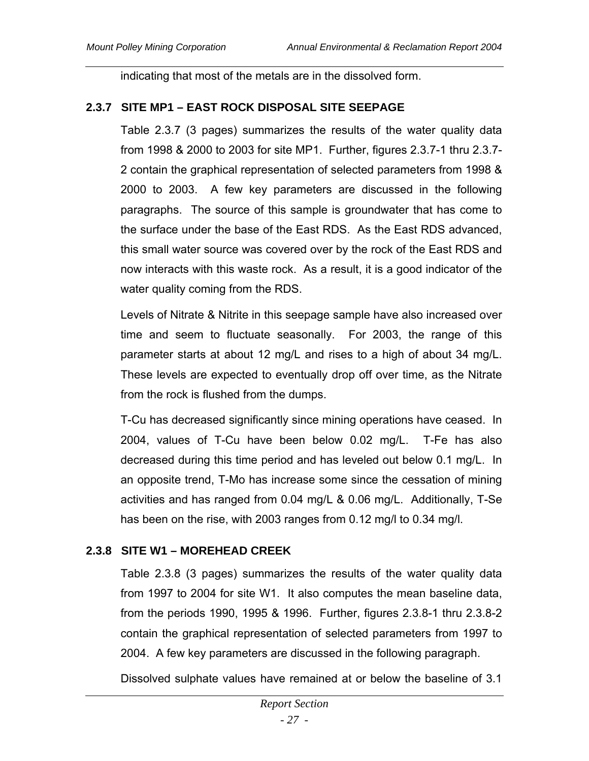indicating that most of the metals are in the dissolved form.

## **2.3.7 SITE MP1 – EAST ROCK DISPOSAL SITE SEEPAGE**

Table 2.3.7 (3 pages) summarizes the results of the water quality data from 1998 & 2000 to 2003 for site MP1. Further, figures 2.3.7-1 thru 2.3.7- 2 contain the graphical representation of selected parameters from 1998 & 2000 to 2003. A few key parameters are discussed in the following paragraphs. The source of this sample is groundwater that has come to the surface under the base of the East RDS. As the East RDS advanced, this small water source was covered over by the rock of the East RDS and now interacts with this waste rock. As a result, it is a good indicator of the water quality coming from the RDS.

Levels of Nitrate & Nitrite in this seepage sample have also increased over time and seem to fluctuate seasonally. For 2003, the range of this parameter starts at about 12 mg/L and rises to a high of about 34 mg/L. These levels are expected to eventually drop off over time, as the Nitrate from the rock is flushed from the dumps.

T-Cu has decreased significantly since mining operations have ceased. In 2004, values of T-Cu have been below 0.02 mg/L. T-Fe has also decreased during this time period and has leveled out below 0.1 mg/L. In an opposite trend, T-Mo has increase some since the cessation of mining activities and has ranged from 0.04 mg/L & 0.06 mg/L. Additionally, T-Se has been on the rise, with 2003 ranges from 0.12 mg/l to 0.34 mg/l.

# **2.3.8 SITE W1 – MOREHEAD CREEK**

Table 2.3.8 (3 pages) summarizes the results of the water quality data from 1997 to 2004 for site W1. It also computes the mean baseline data, from the periods 1990, 1995 & 1996. Further, figures 2.3.8-1 thru 2.3.8-2 contain the graphical representation of selected parameters from 1997 to 2004. A few key parameters are discussed in the following paragraph.

Dissolved sulphate values have remained at or below the baseline of 3.1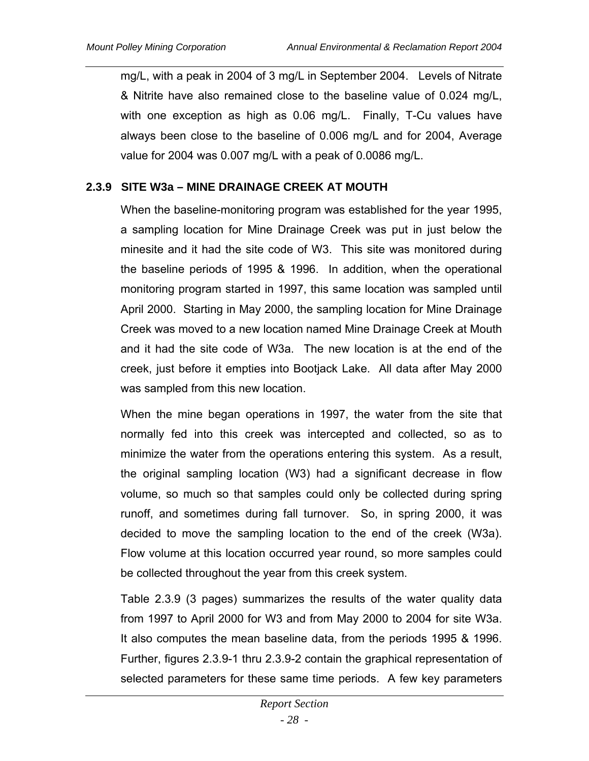mg/L, with a peak in 2004 of 3 mg/L in September 2004. Levels of Nitrate & Nitrite have also remained close to the baseline value of 0.024 mg/L, with one exception as high as 0.06 mg/L. Finally, T-Cu values have always been close to the baseline of 0.006 mg/L and for 2004, Average value for 2004 was 0.007 mg/L with a peak of 0.0086 mg/L.

### **2.3.9 SITE W3a – MINE DRAINAGE CREEK AT MOUTH**

When the baseline-monitoring program was established for the year 1995, a sampling location for Mine Drainage Creek was put in just below the minesite and it had the site code of W3. This site was monitored during the baseline periods of 1995 & 1996. In addition, when the operational monitoring program started in 1997, this same location was sampled until April 2000. Starting in May 2000, the sampling location for Mine Drainage Creek was moved to a new location named Mine Drainage Creek at Mouth and it had the site code of W3a. The new location is at the end of the creek, just before it empties into Bootjack Lake. All data after May 2000 was sampled from this new location.

When the mine began operations in 1997, the water from the site that normally fed into this creek was intercepted and collected, so as to minimize the water from the operations entering this system. As a result, the original sampling location (W3) had a significant decrease in flow volume, so much so that samples could only be collected during spring runoff, and sometimes during fall turnover. So, in spring 2000, it was decided to move the sampling location to the end of the creek (W3a). Flow volume at this location occurred year round, so more samples could be collected throughout the year from this creek system.

Table 2.3.9 (3 pages) summarizes the results of the water quality data from 1997 to April 2000 for W3 and from May 2000 to 2004 for site W3a. It also computes the mean baseline data, from the periods 1995 & 1996. Further, figures 2.3.9-1 thru 2.3.9-2 contain the graphical representation of selected parameters for these same time periods. A few key parameters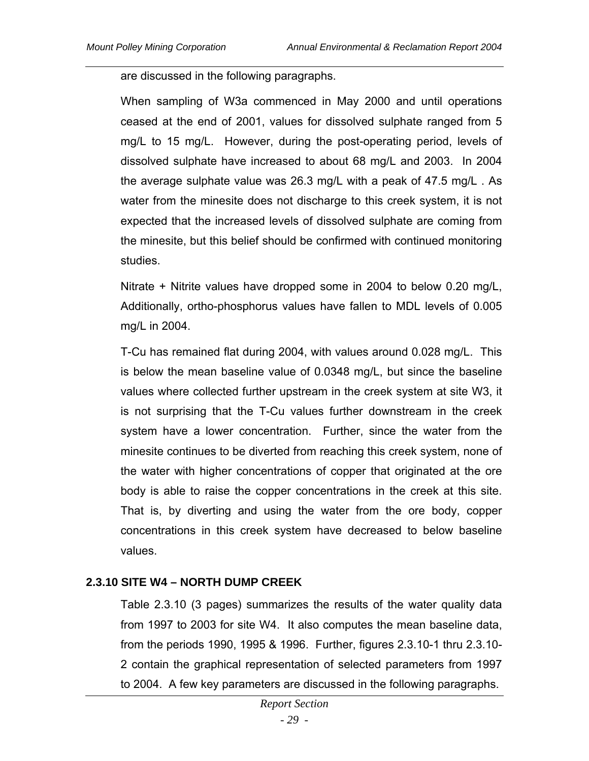are discussed in the following paragraphs.

When sampling of W3a commenced in May 2000 and until operations ceased at the end of 2001, values for dissolved sulphate ranged from 5 mg/L to 15 mg/L. However, during the post-operating period, levels of dissolved sulphate have increased to about 68 mg/L and 2003. In 2004 the average sulphate value was 26.3 mg/L with a peak of 47.5 mg/L . As water from the minesite does not discharge to this creek system, it is not expected that the increased levels of dissolved sulphate are coming from the minesite, but this belief should be confirmed with continued monitoring studies.

Nitrate + Nitrite values have dropped some in 2004 to below 0.20 mg/L, Additionally, ortho-phosphorus values have fallen to MDL levels of 0.005 mg/L in 2004.

T-Cu has remained flat during 2004, with values around 0.028 mg/L. This is below the mean baseline value of 0.0348 mg/L, but since the baseline values where collected further upstream in the creek system at site W3, it is not surprising that the T-Cu values further downstream in the creek system have a lower concentration. Further, since the water from the minesite continues to be diverted from reaching this creek system, none of the water with higher concentrations of copper that originated at the ore body is able to raise the copper concentrations in the creek at this site. That is, by diverting and using the water from the ore body, copper concentrations in this creek system have decreased to below baseline values.

#### **2.3.10 SITE W4 – NORTH DUMP CREEK**

Table 2.3.10 (3 pages) summarizes the results of the water quality data from 1997 to 2003 for site W4. It also computes the mean baseline data, from the periods 1990, 1995 & 1996. Further, figures 2.3.10-1 thru 2.3.10- 2 contain the graphical representation of selected parameters from 1997 to 2004. A few key parameters are discussed in the following paragraphs.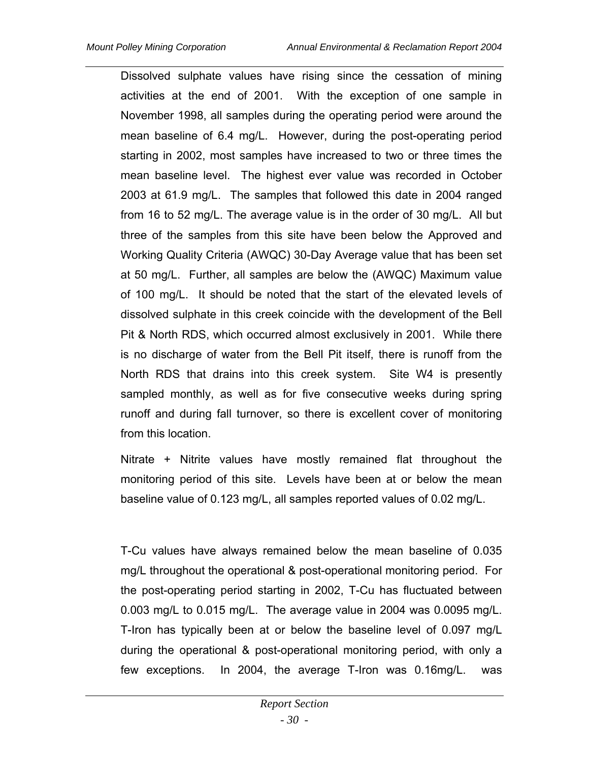Dissolved sulphate values have rising since the cessation of mining activities at the end of 2001. With the exception of one sample in November 1998, all samples during the operating period were around the mean baseline of 6.4 mg/L. However, during the post-operating period starting in 2002, most samples have increased to two or three times the mean baseline level. The highest ever value was recorded in October 2003 at 61.9 mg/L. The samples that followed this date in 2004 ranged from 16 to 52 mg/L. The average value is in the order of 30 mg/L. All but three of the samples from this site have been below the Approved and Working Quality Criteria (AWQC) 30-Day Average value that has been set at 50 mg/L. Further, all samples are below the (AWQC) Maximum value of 100 mg/L. It should be noted that the start of the elevated levels of dissolved sulphate in this creek coincide with the development of the Bell Pit & North RDS, which occurred almost exclusively in 2001. While there is no discharge of water from the Bell Pit itself, there is runoff from the North RDS that drains into this creek system. Site W4 is presently sampled monthly, as well as for five consecutive weeks during spring runoff and during fall turnover, so there is excellent cover of monitoring from this location.

Nitrate + Nitrite values have mostly remained flat throughout the monitoring period of this site. Levels have been at or below the mean baseline value of 0.123 mg/L, all samples reported values of 0.02 mg/L.

T-Cu values have always remained below the mean baseline of 0.035 mg/L throughout the operational & post-operational monitoring period. For the post-operating period starting in 2002, T-Cu has fluctuated between 0.003 mg/L to 0.015 mg/L. The average value in 2004 was 0.0095 mg/L. T-Iron has typically been at or below the baseline level of 0.097 mg/L during the operational & post-operational monitoring period, with only a few exceptions. In 2004, the average T-Iron was 0.16mg/L. was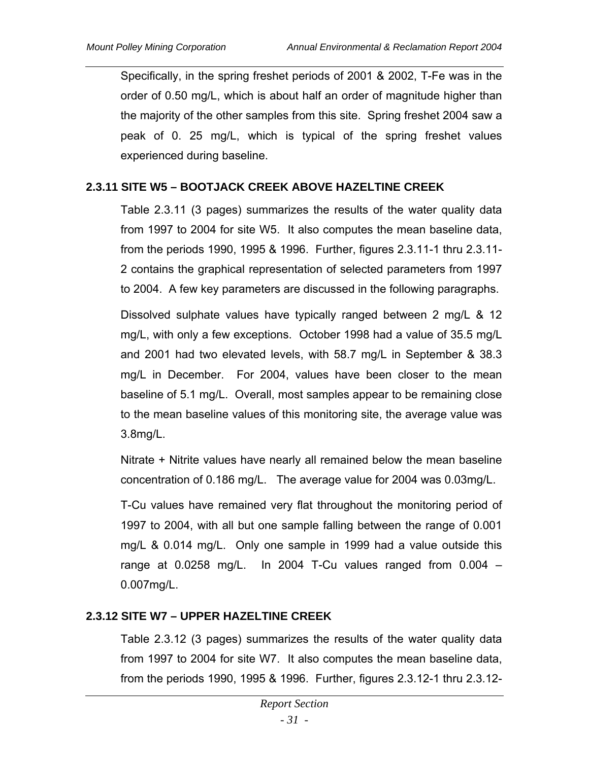Specifically, in the spring freshet periods of 2001 & 2002, T-Fe was in the order of 0.50 mg/L, which is about half an order of magnitude higher than the majority of the other samples from this site. Spring freshet 2004 saw a peak of 0. 25 mg/L, which is typical of the spring freshet values experienced during baseline.

#### **2.3.11 SITE W5 – BOOTJACK CREEK ABOVE HAZELTINE CREEK**

Table 2.3.11 (3 pages) summarizes the results of the water quality data from 1997 to 2004 for site W5. It also computes the mean baseline data, from the periods 1990, 1995 & 1996. Further, figures 2.3.11-1 thru 2.3.11- 2 contains the graphical representation of selected parameters from 1997 to 2004. A few key parameters are discussed in the following paragraphs.

Dissolved sulphate values have typically ranged between 2 mg/L & 12 mg/L, with only a few exceptions. October 1998 had a value of 35.5 mg/L and 2001 had two elevated levels, with 58.7 mg/L in September & 38.3 mg/L in December. For 2004, values have been closer to the mean baseline of 5.1 mg/L. Overall, most samples appear to be remaining close to the mean baseline values of this monitoring site, the average value was 3.8mg/L.

Nitrate + Nitrite values have nearly all remained below the mean baseline concentration of 0.186 mg/L. The average value for 2004 was 0.03mg/L.

T-Cu values have remained very flat throughout the monitoring period of 1997 to 2004, with all but one sample falling between the range of 0.001 mg/L & 0.014 mg/L. Only one sample in 1999 had a value outside this range at 0.0258 mg/L. In 2004 T-Cu values ranged from 0.004 – 0.007mg/L.

#### **2.3.12 SITE W7 – UPPER HAZELTINE CREEK**

Table 2.3.12 (3 pages) summarizes the results of the water quality data from 1997 to 2004 for site W7. It also computes the mean baseline data, from the periods 1990, 1995 & 1996. Further, figures 2.3.12-1 thru 2.3.12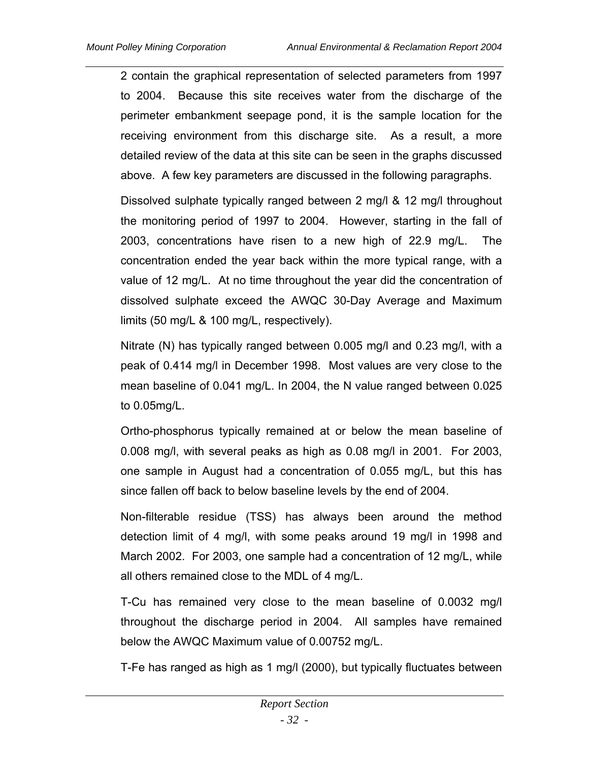2 contain the graphical representation of selected parameters from 1997 to 2004. Because this site receives water from the discharge of the perimeter embankment seepage pond, it is the sample location for the receiving environment from this discharge site. As a result, a more detailed review of the data at this site can be seen in the graphs discussed above. A few key parameters are discussed in the following paragraphs.

Dissolved sulphate typically ranged between 2 mg/l & 12 mg/l throughout the monitoring period of 1997 to 2004. However, starting in the fall of 2003, concentrations have risen to a new high of 22.9 mg/L. The concentration ended the year back within the more typical range, with a value of 12 mg/L. At no time throughout the year did the concentration of dissolved sulphate exceed the AWQC 30-Day Average and Maximum limits (50 mg/L & 100 mg/L, respectively).

Nitrate (N) has typically ranged between 0.005 mg/l and 0.23 mg/l, with a peak of 0.414 mg/l in December 1998. Most values are very close to the mean baseline of 0.041 mg/L. In 2004, the N value ranged between 0.025 to 0.05mg/L.

Ortho-phosphorus typically remained at or below the mean baseline of 0.008 mg/l, with several peaks as high as 0.08 mg/l in 2001. For 2003, one sample in August had a concentration of 0.055 mg/L, but this has since fallen off back to below baseline levels by the end of 2004.

Non-filterable residue (TSS) has always been around the method detection limit of 4 mg/l, with some peaks around 19 mg/l in 1998 and March 2002. For 2003, one sample had a concentration of 12 mg/L, while all others remained close to the MDL of 4 mg/L.

T-Cu has remained very close to the mean baseline of 0.0032 mg/l throughout the discharge period in 2004. All samples have remained below the AWQC Maximum value of 0.00752 mg/L.

T-Fe has ranged as high as 1 mg/l (2000), but typically fluctuates between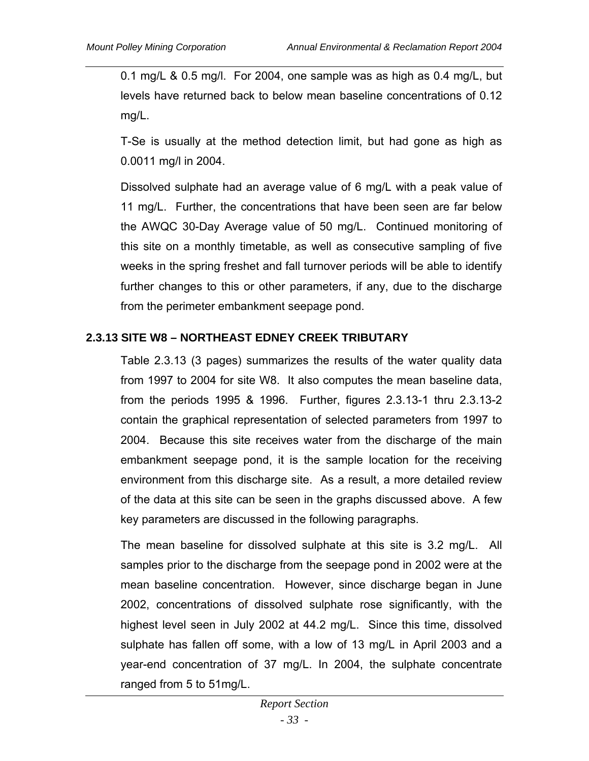0.1 mg/L & 0.5 mg/l. For 2004, one sample was as high as 0.4 mg/L, but levels have returned back to below mean baseline concentrations of 0.12 mg/L.

T-Se is usually at the method detection limit, but had gone as high as 0.0011 mg/l in 2004.

Dissolved sulphate had an average value of 6 mg/L with a peak value of 11 mg/L. Further, the concentrations that have been seen are far below the AWQC 30-Day Average value of 50 mg/L. Continued monitoring of this site on a monthly timetable, as well as consecutive sampling of five weeks in the spring freshet and fall turnover periods will be able to identify further changes to this or other parameters, if any, due to the discharge from the perimeter embankment seepage pond.

## **2.3.13 SITE W8 – NORTHEAST EDNEY CREEK TRIBUTARY**

Table 2.3.13 (3 pages) summarizes the results of the water quality data from 1997 to 2004 for site W8. It also computes the mean baseline data, from the periods 1995 & 1996. Further, figures 2.3.13-1 thru 2.3.13-2 contain the graphical representation of selected parameters from 1997 to 2004. Because this site receives water from the discharge of the main embankment seepage pond, it is the sample location for the receiving environment from this discharge site. As a result, a more detailed review of the data at this site can be seen in the graphs discussed above. A few key parameters are discussed in the following paragraphs.

The mean baseline for dissolved sulphate at this site is 3.2 mg/L. All samples prior to the discharge from the seepage pond in 2002 were at the mean baseline concentration. However, since discharge began in June 2002, concentrations of dissolved sulphate rose significantly, with the highest level seen in July 2002 at 44.2 mg/L. Since this time, dissolved sulphate has fallen off some, with a low of 13 mg/L in April 2003 and a year-end concentration of 37 mg/L. In 2004, the sulphate concentrate ranged from 5 to 51mg/L.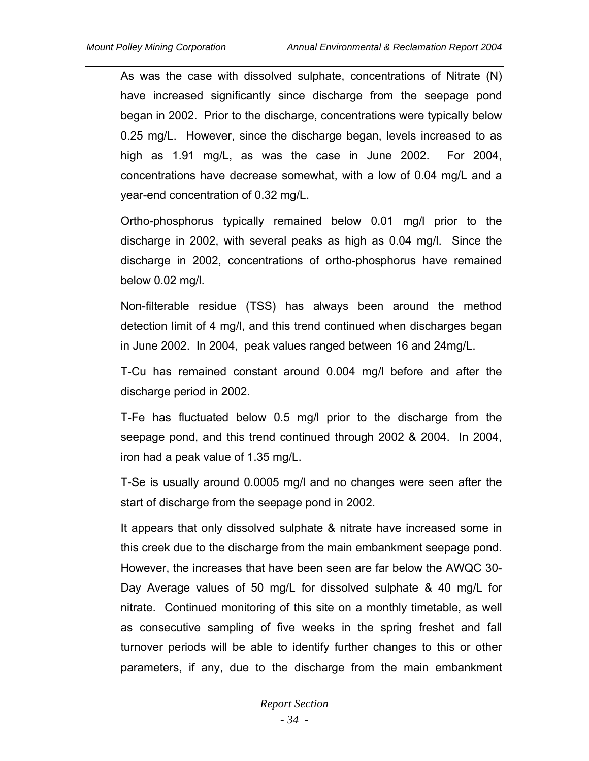As was the case with dissolved sulphate, concentrations of Nitrate (N) have increased significantly since discharge from the seepage pond began in 2002. Prior to the discharge, concentrations were typically below 0.25 mg/L. However, since the discharge began, levels increased to as high as 1.91 mg/L, as was the case in June 2002. For 2004, concentrations have decrease somewhat, with a low of 0.04 mg/L and a year-end concentration of 0.32 mg/L.

Ortho-phosphorus typically remained below 0.01 mg/l prior to the discharge in 2002, with several peaks as high as 0.04 mg/l. Since the discharge in 2002, concentrations of ortho-phosphorus have remained below 0.02 mg/l.

Non-filterable residue (TSS) has always been around the method detection limit of 4 mg/l, and this trend continued when discharges began in June 2002. In 2004, peak values ranged between 16 and 24mg/L.

T-Cu has remained constant around 0.004 mg/l before and after the discharge period in 2002.

T-Fe has fluctuated below 0.5 mg/l prior to the discharge from the seepage pond, and this trend continued through 2002 & 2004. In 2004, iron had a peak value of 1.35 mg/L.

T-Se is usually around 0.0005 mg/l and no changes were seen after the start of discharge from the seepage pond in 2002.

It appears that only dissolved sulphate & nitrate have increased some in this creek due to the discharge from the main embankment seepage pond. However, the increases that have been seen are far below the AWQC 30- Day Average values of 50 mg/L for dissolved sulphate & 40 mg/L for nitrate. Continued monitoring of this site on a monthly timetable, as well as consecutive sampling of five weeks in the spring freshet and fall turnover periods will be able to identify further changes to this or other parameters, if any, due to the discharge from the main embankment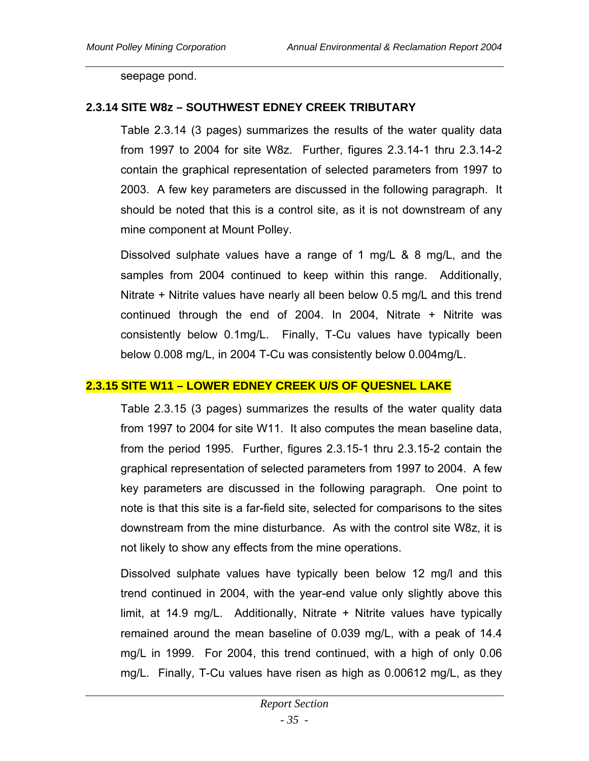seepage pond.

### **2.3.14 SITE W8z – SOUTHWEST EDNEY CREEK TRIBUTARY**

Table 2.3.14 (3 pages) summarizes the results of the water quality data from 1997 to 2004 for site W8z. Further, figures 2.3.14-1 thru 2.3.14-2 contain the graphical representation of selected parameters from 1997 to 2003. A few key parameters are discussed in the following paragraph. It should be noted that this is a control site, as it is not downstream of any mine component at Mount Polley.

Dissolved sulphate values have a range of 1 mg/L & 8 mg/L, and the samples from 2004 continued to keep within this range. Additionally, Nitrate + Nitrite values have nearly all been below 0.5 mg/L and this trend continued through the end of 2004. In 2004, Nitrate + Nitrite was consistently below 0.1mg/L. Finally, T-Cu values have typically been below 0.008 mg/L, in 2004 T-Cu was consistently below 0.004mg/L.

#### **2.3.15 SITE W11 – LOWER EDNEY CREEK U/S OF QUESNEL LAKE**

Table 2.3.15 (3 pages) summarizes the results of the water quality data from 1997 to 2004 for site W11. It also computes the mean baseline data, from the period 1995. Further, figures 2.3.15-1 thru 2.3.15-2 contain the graphical representation of selected parameters from 1997 to 2004. A few key parameters are discussed in the following paragraph. One point to note is that this site is a far-field site, selected for comparisons to the sites downstream from the mine disturbance. As with the control site W8z, it is not likely to show any effects from the mine operations.

Dissolved sulphate values have typically been below 12 mg/l and this trend continued in 2004, with the year-end value only slightly above this limit, at 14.9 mg/L. Additionally, Nitrate + Nitrite values have typically remained around the mean baseline of 0.039 mg/L, with a peak of 14.4 mg/L in 1999. For 2004, this trend continued, with a high of only 0.06 mg/L. Finally, T-Cu values have risen as high as 0.00612 mg/L, as they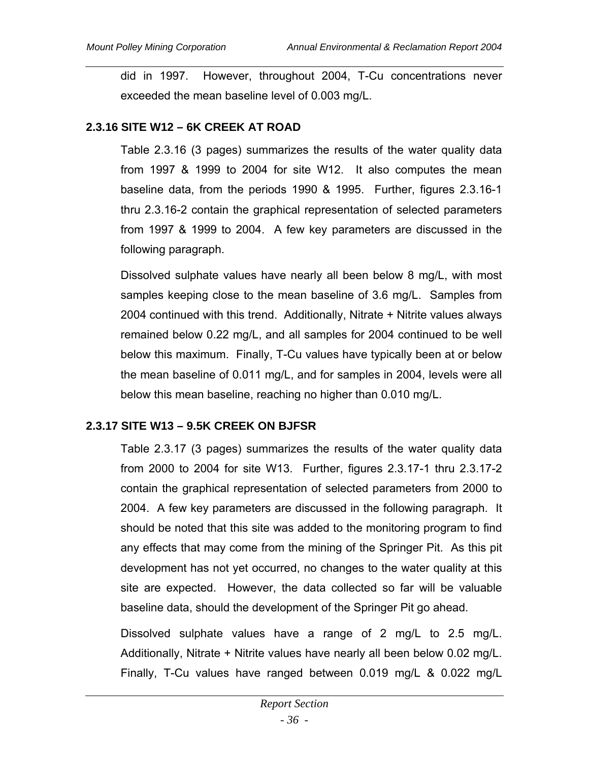did in 1997. However, throughout 2004, T-Cu concentrations never exceeded the mean baseline level of 0.003 mg/L.

### **2.3.16 SITE W12 – 6K CREEK AT ROAD**

Table 2.3.16 (3 pages) summarizes the results of the water quality data from 1997 & 1999 to 2004 for site W12. It also computes the mean baseline data, from the periods 1990 & 1995. Further, figures 2.3.16-1 thru 2.3.16-2 contain the graphical representation of selected parameters from 1997 & 1999 to 2004. A few key parameters are discussed in the following paragraph.

Dissolved sulphate values have nearly all been below 8 mg/L, with most samples keeping close to the mean baseline of 3.6 mg/L. Samples from 2004 continued with this trend. Additionally, Nitrate + Nitrite values always remained below 0.22 mg/L, and all samples for 2004 continued to be well below this maximum. Finally, T-Cu values have typically been at or below the mean baseline of 0.011 mg/L, and for samples in 2004, levels were all below this mean baseline, reaching no higher than 0.010 mg/L.

## **2.3.17 SITE W13 – 9.5K CREEK ON BJFSR**

Table 2.3.17 (3 pages) summarizes the results of the water quality data from 2000 to 2004 for site W13. Further, figures 2.3.17-1 thru 2.3.17-2 contain the graphical representation of selected parameters from 2000 to 2004. A few key parameters are discussed in the following paragraph. It should be noted that this site was added to the monitoring program to find any effects that may come from the mining of the Springer Pit. As this pit development has not yet occurred, no changes to the water quality at this site are expected. However, the data collected so far will be valuable baseline data, should the development of the Springer Pit go ahead.

Dissolved sulphate values have a range of 2 mg/L to 2.5 mg/L. Additionally, Nitrate + Nitrite values have nearly all been below 0.02 mg/L. Finally, T-Cu values have ranged between 0.019 mg/L & 0.022 mg/L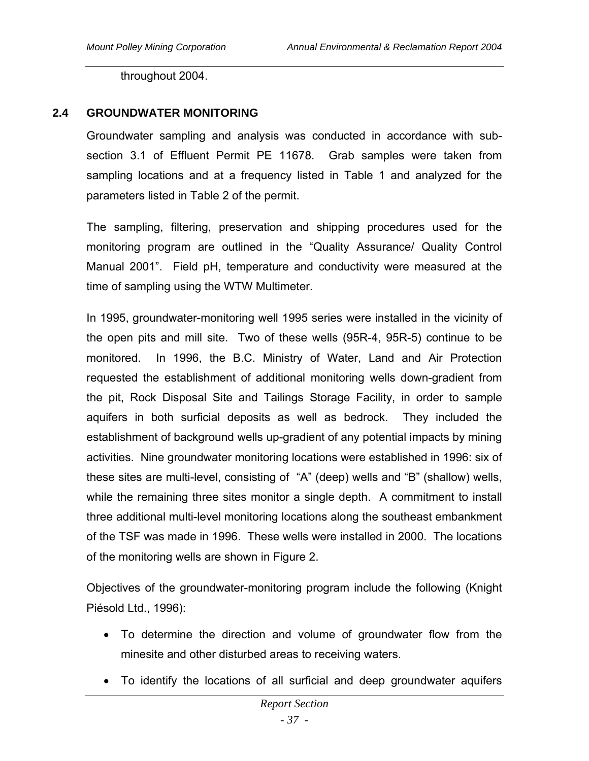throughout 2004.

## **2.4 GROUNDWATER MONITORING**

Groundwater sampling and analysis was conducted in accordance with subsection 3.1 of Effluent Permit PE 11678. Grab samples were taken from sampling locations and at a frequency listed in Table 1 and analyzed for the parameters listed in Table 2 of the permit.

The sampling, filtering, preservation and shipping procedures used for the monitoring program are outlined in the "Quality Assurance/ Quality Control Manual 2001". Field pH, temperature and conductivity were measured at the time of sampling using the WTW Multimeter.

In 1995, groundwater-monitoring well 1995 series were installed in the vicinity of the open pits and mill site. Two of these wells (95R-4, 95R-5) continue to be monitored. In 1996, the B.C. Ministry of Water, Land and Air Protection requested the establishment of additional monitoring wells down-gradient from the pit, Rock Disposal Site and Tailings Storage Facility, in order to sample aquifers in both surficial deposits as well as bedrock. They included the establishment of background wells up-gradient of any potential impacts by mining activities. Nine groundwater monitoring locations were established in 1996: six of these sites are multi-level, consisting of "A" (deep) wells and "B" (shallow) wells, while the remaining three sites monitor a single depth. A commitment to install three additional multi-level monitoring locations along the southeast embankment of the TSF was made in 1996. These wells were installed in 2000. The locations of the monitoring wells are shown in Figure 2.

Objectives of the groundwater-monitoring program include the following (Knight Piésold Ltd., 1996):

- To determine the direction and volume of groundwater flow from the minesite and other disturbed areas to receiving waters.
- To identify the locations of all surficial and deep groundwater aquifers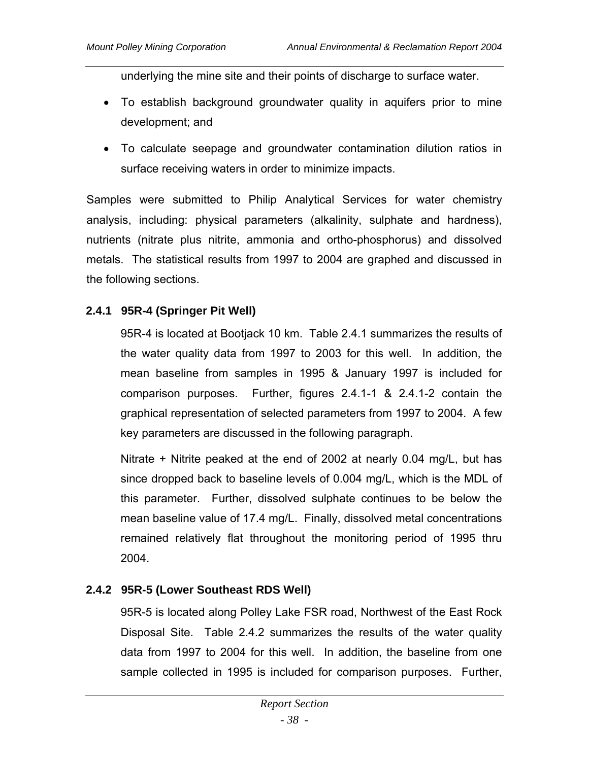underlying the mine site and their points of discharge to surface water.

- To establish background groundwater quality in aquifers prior to mine development; and
- To calculate seepage and groundwater contamination dilution ratios in surface receiving waters in order to minimize impacts.

Samples were submitted to Philip Analytical Services for water chemistry analysis, including: physical parameters (alkalinity, sulphate and hardness), nutrients (nitrate plus nitrite, ammonia and ortho-phosphorus) and dissolved metals. The statistical results from 1997 to 2004 are graphed and discussed in the following sections.

# **2.4.1 95R-4 (Springer Pit Well)**

95R-4 is located at Bootjack 10 km. Table 2.4.1 summarizes the results of the water quality data from 1997 to 2003 for this well. In addition, the mean baseline from samples in 1995 & January 1997 is included for comparison purposes. Further, figures 2.4.1-1 & 2.4.1-2 contain the graphical representation of selected parameters from 1997 to 2004. A few key parameters are discussed in the following paragraph.

Nitrate + Nitrite peaked at the end of 2002 at nearly 0.04 mg/L, but has since dropped back to baseline levels of 0.004 mg/L, which is the MDL of this parameter. Further, dissolved sulphate continues to be below the mean baseline value of 17.4 mg/L. Finally, dissolved metal concentrations remained relatively flat throughout the monitoring period of 1995 thru 2004.

# **2.4.2 95R-5 (Lower Southeast RDS Well)**

95R-5 is located along Polley Lake FSR road, Northwest of the East Rock Disposal Site. Table 2.4.2 summarizes the results of the water quality data from 1997 to 2004 for this well. In addition, the baseline from one sample collected in 1995 is included for comparison purposes. Further,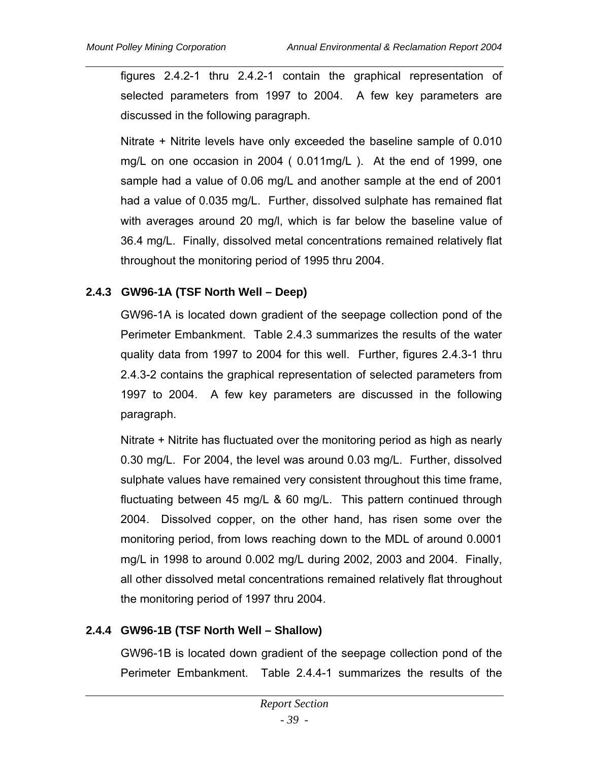figures 2.4.2-1 thru 2.4.2-1 contain the graphical representation of selected parameters from 1997 to 2004. A few key parameters are discussed in the following paragraph.

Nitrate + Nitrite levels have only exceeded the baseline sample of 0.010 mg/L on one occasion in 2004 ( 0.011mg/L ). At the end of 1999, one sample had a value of 0.06 mg/L and another sample at the end of 2001 had a value of 0.035 mg/L. Further, dissolved sulphate has remained flat with averages around 20 mg/l, which is far below the baseline value of 36.4 mg/L. Finally, dissolved metal concentrations remained relatively flat throughout the monitoring period of 1995 thru 2004.

## **2.4.3 GW96-1A (TSF North Well – Deep)**

GW96-1A is located down gradient of the seepage collection pond of the Perimeter Embankment. Table 2.4.3 summarizes the results of the water quality data from 1997 to 2004 for this well. Further, figures 2.4.3-1 thru 2.4.3-2 contains the graphical representation of selected parameters from 1997 to 2004. A few key parameters are discussed in the following paragraph.

Nitrate + Nitrite has fluctuated over the monitoring period as high as nearly 0.30 mg/L. For 2004, the level was around 0.03 mg/L. Further, dissolved sulphate values have remained very consistent throughout this time frame, fluctuating between 45 mg/L & 60 mg/L. This pattern continued through 2004. Dissolved copper, on the other hand, has risen some over the monitoring period, from lows reaching down to the MDL of around 0.0001 mg/L in 1998 to around 0.002 mg/L during 2002, 2003 and 2004. Finally, all other dissolved metal concentrations remained relatively flat throughout the monitoring period of 1997 thru 2004.

# **2.4.4 GW96-1B (TSF North Well – Shallow)**

GW96-1B is located down gradient of the seepage collection pond of the Perimeter Embankment. Table 2.4.4-1 summarizes the results of the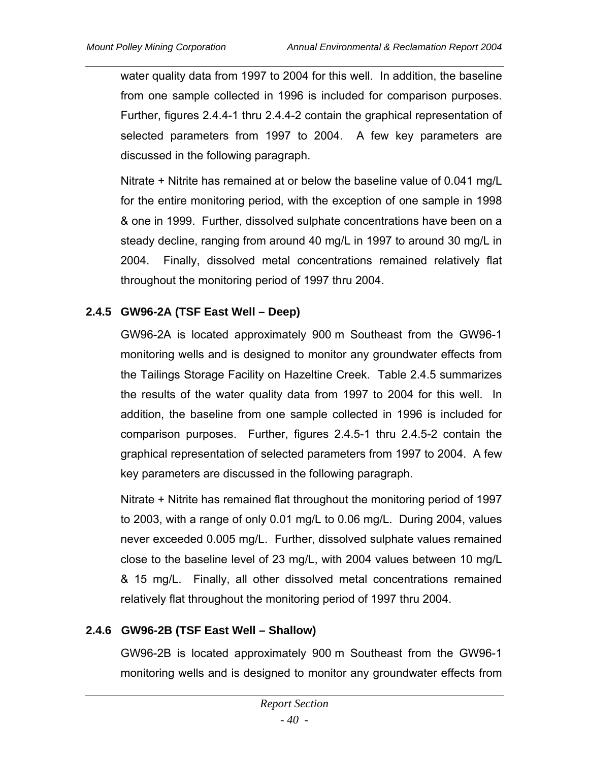water quality data from 1997 to 2004 for this well. In addition, the baseline from one sample collected in 1996 is included for comparison purposes. Further, figures 2.4.4-1 thru 2.4.4-2 contain the graphical representation of selected parameters from 1997 to 2004. A few key parameters are discussed in the following paragraph.

Nitrate + Nitrite has remained at or below the baseline value of 0.041 mg/L for the entire monitoring period, with the exception of one sample in 1998 & one in 1999. Further, dissolved sulphate concentrations have been on a steady decline, ranging from around 40 mg/L in 1997 to around 30 mg/L in 2004. Finally, dissolved metal concentrations remained relatively flat throughout the monitoring period of 1997 thru 2004.

## **2.4.5 GW96-2A (TSF East Well – Deep)**

GW96-2A is located approximately 900 m Southeast from the GW96-1 monitoring wells and is designed to monitor any groundwater effects from the Tailings Storage Facility on Hazeltine Creek. Table 2.4.5 summarizes the results of the water quality data from 1997 to 2004 for this well. In addition, the baseline from one sample collected in 1996 is included for comparison purposes. Further, figures 2.4.5-1 thru 2.4.5-2 contain the graphical representation of selected parameters from 1997 to 2004. A few key parameters are discussed in the following paragraph.

Nitrate + Nitrite has remained flat throughout the monitoring period of 1997 to 2003, with a range of only 0.01 mg/L to 0.06 mg/L. During 2004, values never exceeded 0.005 mg/L. Further, dissolved sulphate values remained close to the baseline level of 23 mg/L, with 2004 values between 10 mg/L & 15 mg/L. Finally, all other dissolved metal concentrations remained relatively flat throughout the monitoring period of 1997 thru 2004.

## **2.4.6 GW96-2B (TSF East Well – Shallow)**

GW96-2B is located approximately 900 m Southeast from the GW96-1 monitoring wells and is designed to monitor any groundwater effects from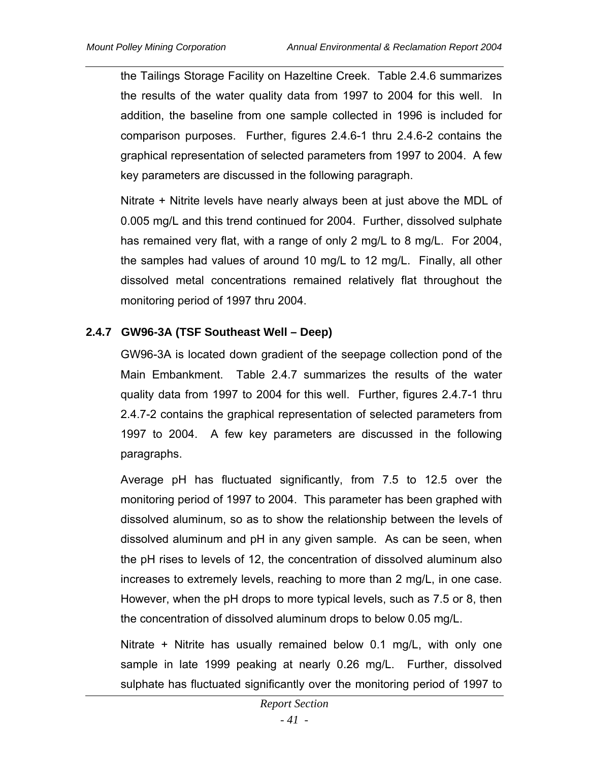the Tailings Storage Facility on Hazeltine Creek. Table 2.4.6 summarizes the results of the water quality data from 1997 to 2004 for this well. In addition, the baseline from one sample collected in 1996 is included for comparison purposes. Further, figures 2.4.6-1 thru 2.4.6-2 contains the graphical representation of selected parameters from 1997 to 2004. A few key parameters are discussed in the following paragraph.

Nitrate + Nitrite levels have nearly always been at just above the MDL of 0.005 mg/L and this trend continued for 2004. Further, dissolved sulphate has remained very flat, with a range of only 2 mg/L to 8 mg/L. For 2004, the samples had values of around 10 mg/L to 12 mg/L. Finally, all other dissolved metal concentrations remained relatively flat throughout the monitoring period of 1997 thru 2004.

## **2.4.7 GW96-3A (TSF Southeast Well – Deep)**

GW96-3A is located down gradient of the seepage collection pond of the Main Embankment. Table 2.4.7 summarizes the results of the water quality data from 1997 to 2004 for this well. Further, figures 2.4.7-1 thru 2.4.7-2 contains the graphical representation of selected parameters from 1997 to 2004. A few key parameters are discussed in the following paragraphs.

Average pH has fluctuated significantly, from 7.5 to 12.5 over the monitoring period of 1997 to 2004. This parameter has been graphed with dissolved aluminum, so as to show the relationship between the levels of dissolved aluminum and pH in any given sample. As can be seen, when the pH rises to levels of 12, the concentration of dissolved aluminum also increases to extremely levels, reaching to more than 2 mg/L, in one case. However, when the pH drops to more typical levels, such as 7.5 or 8, then the concentration of dissolved aluminum drops to below 0.05 mg/L.

Nitrate + Nitrite has usually remained below 0.1 mg/L, with only one sample in late 1999 peaking at nearly 0.26 mg/L. Further, dissolved sulphate has fluctuated significantly over the monitoring period of 1997 to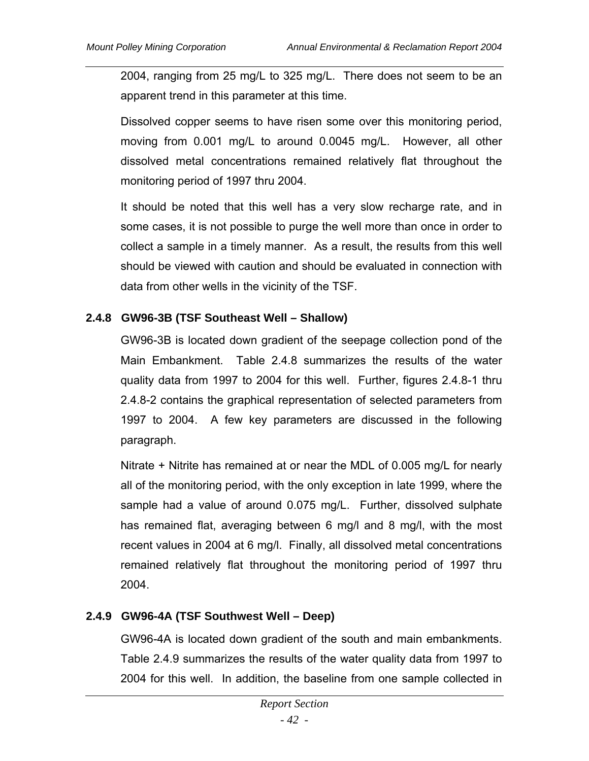2004, ranging from 25 mg/L to 325 mg/L. There does not seem to be an apparent trend in this parameter at this time.

Dissolved copper seems to have risen some over this monitoring period, moving from 0.001 mg/L to around 0.0045 mg/L. However, all other dissolved metal concentrations remained relatively flat throughout the monitoring period of 1997 thru 2004.

It should be noted that this well has a very slow recharge rate, and in some cases, it is not possible to purge the well more than once in order to collect a sample in a timely manner. As a result, the results from this well should be viewed with caution and should be evaluated in connection with data from other wells in the vicinity of the TSF.

## **2.4.8 GW96-3B (TSF Southeast Well – Shallow)**

GW96-3B is located down gradient of the seepage collection pond of the Main Embankment. Table 2.4.8 summarizes the results of the water quality data from 1997 to 2004 for this well. Further, figures 2.4.8-1 thru 2.4.8-2 contains the graphical representation of selected parameters from 1997 to 2004. A few key parameters are discussed in the following paragraph.

Nitrate + Nitrite has remained at or near the MDL of 0.005 mg/L for nearly all of the monitoring period, with the only exception in late 1999, where the sample had a value of around 0.075 mg/L. Further, dissolved sulphate has remained flat, averaging between 6 mg/l and 8 mg/l, with the most recent values in 2004 at 6 mg/l. Finally, all dissolved metal concentrations remained relatively flat throughout the monitoring period of 1997 thru 2004.

## **2.4.9 GW96-4A (TSF Southwest Well – Deep)**

GW96-4A is located down gradient of the south and main embankments. Table 2.4.9 summarizes the results of the water quality data from 1997 to 2004 for this well. In addition, the baseline from one sample collected in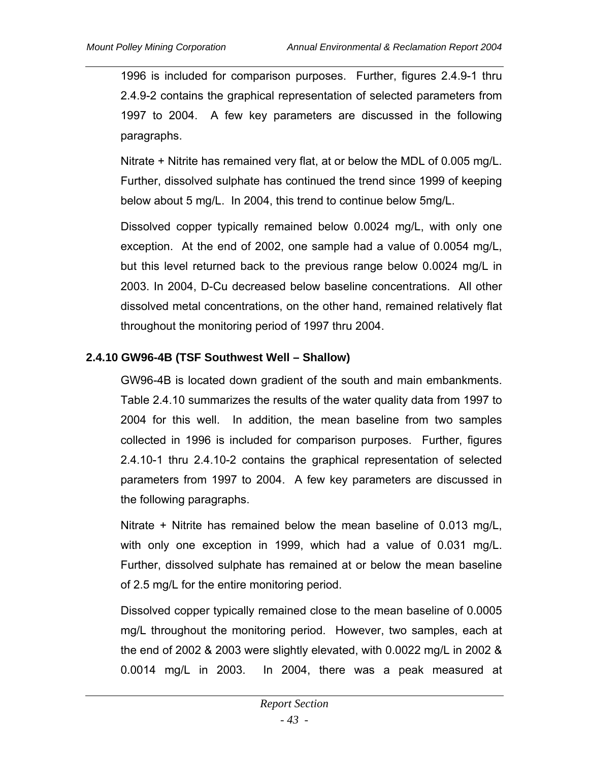1996 is included for comparison purposes. Further, figures 2.4.9-1 thru 2.4.9-2 contains the graphical representation of selected parameters from 1997 to 2004. A few key parameters are discussed in the following paragraphs.

Nitrate + Nitrite has remained very flat, at or below the MDL of 0.005 mg/L. Further, dissolved sulphate has continued the trend since 1999 of keeping below about 5 mg/L. In 2004, this trend to continue below 5mg/L.

Dissolved copper typically remained below 0.0024 mg/L, with only one exception. At the end of 2002, one sample had a value of 0.0054 mg/L, but this level returned back to the previous range below 0.0024 mg/L in 2003. In 2004, D-Cu decreased below baseline concentrations. All other dissolved metal concentrations, on the other hand, remained relatively flat throughout the monitoring period of 1997 thru 2004.

### **2.4.10 GW96-4B (TSF Southwest Well – Shallow)**

GW96-4B is located down gradient of the south and main embankments. Table 2.4.10 summarizes the results of the water quality data from 1997 to 2004 for this well. In addition, the mean baseline from two samples collected in 1996 is included for comparison purposes. Further, figures 2.4.10-1 thru 2.4.10-2 contains the graphical representation of selected parameters from 1997 to 2004. A few key parameters are discussed in the following paragraphs.

Nitrate + Nitrite has remained below the mean baseline of 0.013 mg/L, with only one exception in 1999, which had a value of 0.031 mg/L. Further, dissolved sulphate has remained at or below the mean baseline of 2.5 mg/L for the entire monitoring period.

Dissolved copper typically remained close to the mean baseline of 0.0005 mg/L throughout the monitoring period. However, two samples, each at the end of 2002 & 2003 were slightly elevated, with 0.0022 mg/L in 2002 & 0.0014 mg/L in 2003. In 2004, there was a peak measured at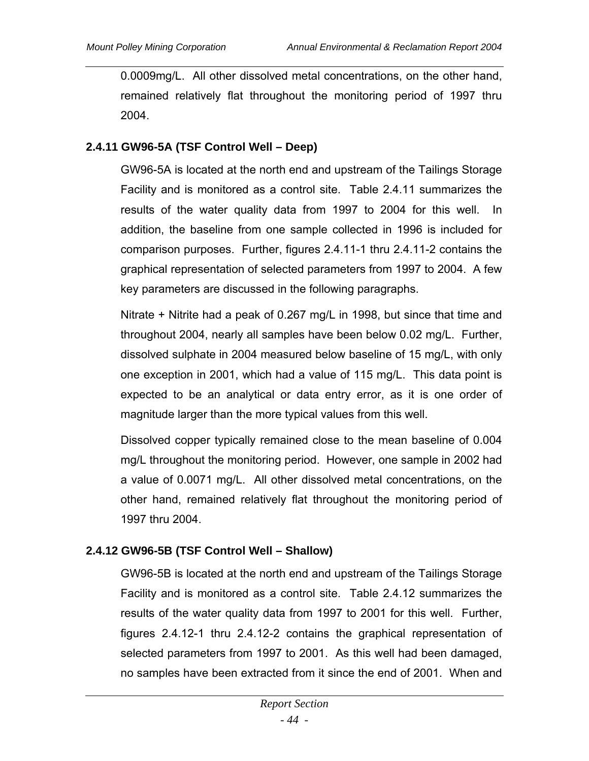0.0009mg/L. All other dissolved metal concentrations, on the other hand, remained relatively flat throughout the monitoring period of 1997 thru 2004.

## **2.4.11 GW96-5A (TSF Control Well – Deep)**

GW96-5A is located at the north end and upstream of the Tailings Storage Facility and is monitored as a control site. Table 2.4.11 summarizes the results of the water quality data from 1997 to 2004 for this well. In addition, the baseline from one sample collected in 1996 is included for comparison purposes. Further, figures 2.4.11-1 thru 2.4.11-2 contains the graphical representation of selected parameters from 1997 to 2004. A few key parameters are discussed in the following paragraphs.

Nitrate + Nitrite had a peak of 0.267 mg/L in 1998, but since that time and throughout 2004, nearly all samples have been below 0.02 mg/L. Further, dissolved sulphate in 2004 measured below baseline of 15 mg/L, with only one exception in 2001, which had a value of 115 mg/L. This data point is expected to be an analytical or data entry error, as it is one order of magnitude larger than the more typical values from this well.

Dissolved copper typically remained close to the mean baseline of 0.004 mg/L throughout the monitoring period. However, one sample in 2002 had a value of 0.0071 mg/L. All other dissolved metal concentrations, on the other hand, remained relatively flat throughout the monitoring period of 1997 thru 2004.

# **2.4.12 GW96-5B (TSF Control Well – Shallow)**

GW96-5B is located at the north end and upstream of the Tailings Storage Facility and is monitored as a control site. Table 2.4.12 summarizes the results of the water quality data from 1997 to 2001 for this well. Further, figures 2.4.12-1 thru 2.4.12-2 contains the graphical representation of selected parameters from 1997 to 2001. As this well had been damaged, no samples have been extracted from it since the end of 2001. When and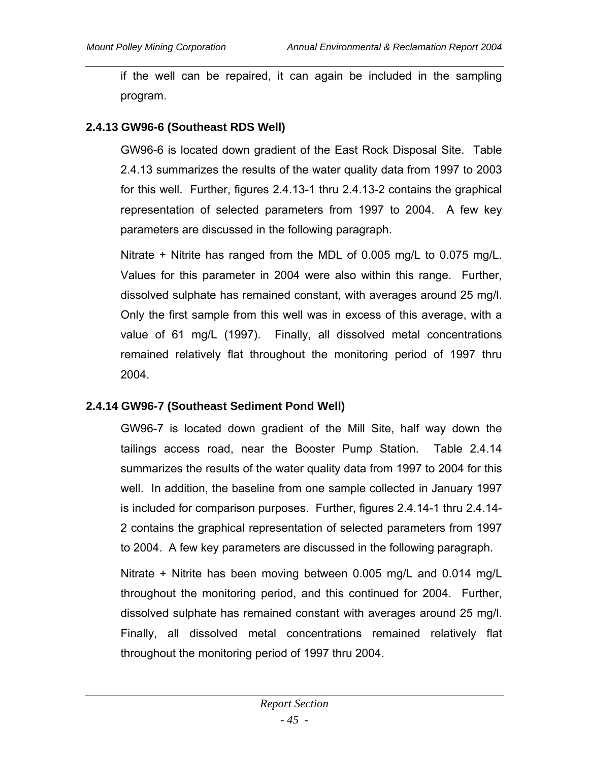if the well can be repaired, it can again be included in the sampling program.

## **2.4.13 GW96-6 (Southeast RDS Well)**

GW96-6 is located down gradient of the East Rock Disposal Site. Table 2.4.13 summarizes the results of the water quality data from 1997 to 2003 for this well. Further, figures 2.4.13-1 thru 2.4.13-2 contains the graphical representation of selected parameters from 1997 to 2004. A few key parameters are discussed in the following paragraph.

Nitrate + Nitrite has ranged from the MDL of 0.005 mg/L to 0.075 mg/L. Values for this parameter in 2004 were also within this range. Further, dissolved sulphate has remained constant, with averages around 25 mg/l. Only the first sample from this well was in excess of this average, with a value of 61 mg/L (1997). Finally, all dissolved metal concentrations remained relatively flat throughout the monitoring period of 1997 thru 2004.

#### **2.4.14 GW96-7 (Southeast Sediment Pond Well)**

GW96-7 is located down gradient of the Mill Site, half way down the tailings access road, near the Booster Pump Station. Table 2.4.14 summarizes the results of the water quality data from 1997 to 2004 for this well. In addition, the baseline from one sample collected in January 1997 is included for comparison purposes. Further, figures 2.4.14-1 thru 2.4.14- 2 contains the graphical representation of selected parameters from 1997 to 2004. A few key parameters are discussed in the following paragraph.

Nitrate + Nitrite has been moving between 0.005 mg/L and 0.014 mg/L throughout the monitoring period, and this continued for 2004. Further, dissolved sulphate has remained constant with averages around 25 mg/l. Finally, all dissolved metal concentrations remained relatively flat throughout the monitoring period of 1997 thru 2004.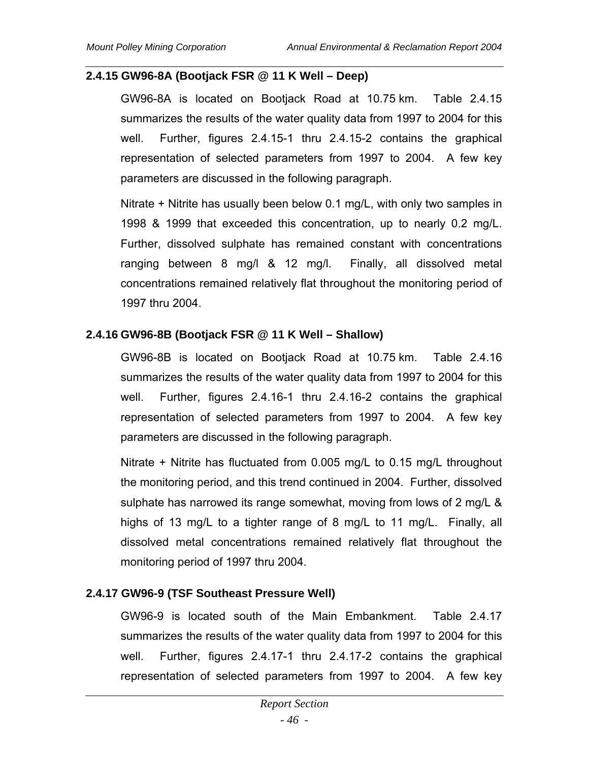### **2.4.15 GW96-8A (Bootjack FSR @ 11 K Well – Deep)**

GW96-8A is located on Bootjack Road at 10.75 km. Table 2.4.15 summarizes the results of the water quality data from 1997 to 2004 for this well. Further, figures 2.4.15-1 thru 2.4.15-2 contains the graphical representation of selected parameters from 1997 to 2004. A few key parameters are discussed in the following paragraph.

Nitrate + Nitrite has usually been below 0.1 mg/L, with only two samples in 1998 & 1999 that exceeded this concentration, up to nearly 0.2 mg/L. Further, dissolved sulphate has remained constant with concentrations ranging between 8 mg/l & 12 mg/l. Finally, all dissolved metal concentrations remained relatively flat throughout the monitoring period of 1997 thru 2004.

## **2.4.16 GW96-8B (Bootjack FSR @ 11 K Well – Shallow)**

GW96-8B is located on Bootjack Road at 10.75 km. Table 2.4.16 summarizes the results of the water quality data from 1997 to 2004 for this well. Further, figures 2.4.16-1 thru 2.4.16-2 contains the graphical representation of selected parameters from 1997 to 2004. A few key parameters are discussed in the following paragraph.

Nitrate + Nitrite has fluctuated from 0.005 mg/L to 0.15 mg/L throughout the monitoring period, and this trend continued in 2004. Further, dissolved sulphate has narrowed its range somewhat, moving from lows of 2 mg/L & highs of 13 mg/L to a tighter range of 8 mg/L to 11 mg/L. Finally, all dissolved metal concentrations remained relatively flat throughout the monitoring period of 1997 thru 2004.

## **2.4.17 GW96-9 (TSF Southeast Pressure Well)**

GW96-9 is located south of the Main Embankment. Table 2.4.17 summarizes the results of the water quality data from 1997 to 2004 for this well. Further, figures 2.4.17-1 thru 2.4.17-2 contains the graphical representation of selected parameters from 1997 to 2004. A few key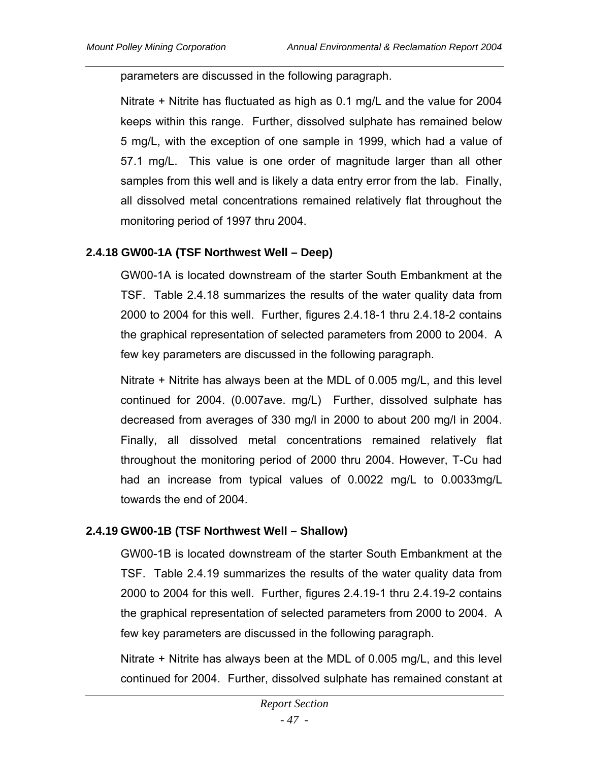parameters are discussed in the following paragraph.

Nitrate + Nitrite has fluctuated as high as 0.1 mg/L and the value for 2004 keeps within this range. Further, dissolved sulphate has remained below 5 mg/L, with the exception of one sample in 1999, which had a value of 57.1 mg/L. This value is one order of magnitude larger than all other samples from this well and is likely a data entry error from the lab. Finally, all dissolved metal concentrations remained relatively flat throughout the monitoring period of 1997 thru 2004.

### **2.4.18 GW00-1A (TSF Northwest Well – Deep)**

GW00-1A is located downstream of the starter South Embankment at the TSF. Table 2.4.18 summarizes the results of the water quality data from 2000 to 2004 for this well. Further, figures 2.4.18-1 thru 2.4.18-2 contains the graphical representation of selected parameters from 2000 to 2004. A few key parameters are discussed in the following paragraph.

Nitrate + Nitrite has always been at the MDL of 0.005 mg/L, and this level continued for 2004. (0.007ave. mg/L) Further, dissolved sulphate has decreased from averages of 330 mg/l in 2000 to about 200 mg/l in 2004. Finally, all dissolved metal concentrations remained relatively flat throughout the monitoring period of 2000 thru 2004. However, T-Cu had had an increase from typical values of 0.0022 mg/L to 0.0033mg/L towards the end of 2004.

## **2.4.19 GW00-1B (TSF Northwest Well – Shallow)**

GW00-1B is located downstream of the starter South Embankment at the TSF. Table 2.4.19 summarizes the results of the water quality data from 2000 to 2004 for this well. Further, figures 2.4.19-1 thru 2.4.19-2 contains the graphical representation of selected parameters from 2000 to 2004. A few key parameters are discussed in the following paragraph.

Nitrate + Nitrite has always been at the MDL of 0.005 mg/L, and this level continued for 2004. Further, dissolved sulphate has remained constant at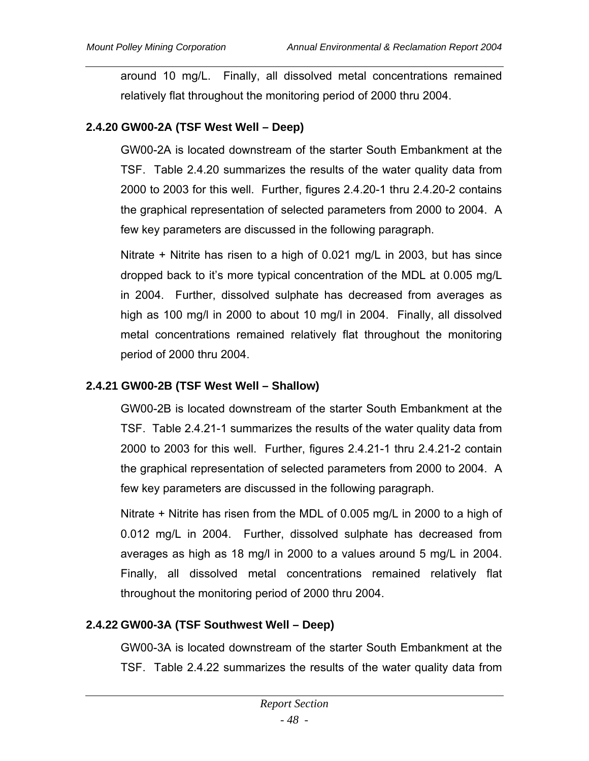around 10 mg/L. Finally, all dissolved metal concentrations remained relatively flat throughout the monitoring period of 2000 thru 2004.

# **2.4.20 GW00-2A (TSF West Well – Deep)**

GW00-2A is located downstream of the starter South Embankment at the TSF. Table 2.4.20 summarizes the results of the water quality data from 2000 to 2003 for this well. Further, figures 2.4.20-1 thru 2.4.20-2 contains the graphical representation of selected parameters from 2000 to 2004. A few key parameters are discussed in the following paragraph.

Nitrate + Nitrite has risen to a high of 0.021 mg/L in 2003, but has since dropped back to it's more typical concentration of the MDL at 0.005 mg/L in 2004. Further, dissolved sulphate has decreased from averages as high as 100 mg/l in 2000 to about 10 mg/l in 2004. Finally, all dissolved metal concentrations remained relatively flat throughout the monitoring period of 2000 thru 2004.

# **2.4.21 GW00-2B (TSF West Well – Shallow)**

GW00-2B is located downstream of the starter South Embankment at the TSF. Table 2.4.21-1 summarizes the results of the water quality data from 2000 to 2003 for this well. Further, figures 2.4.21-1 thru 2.4.21-2 contain the graphical representation of selected parameters from 2000 to 2004. A few key parameters are discussed in the following paragraph.

Nitrate + Nitrite has risen from the MDL of 0.005 mg/L in 2000 to a high of 0.012 mg/L in 2004. Further, dissolved sulphate has decreased from averages as high as 18 mg/l in 2000 to a values around 5 mg/L in 2004. Finally, all dissolved metal concentrations remained relatively flat throughout the monitoring period of 2000 thru 2004.

# **2.4.22 GW00-3A (TSF Southwest Well – Deep)**

GW00-3A is located downstream of the starter South Embankment at the TSF. Table 2.4.22 summarizes the results of the water quality data from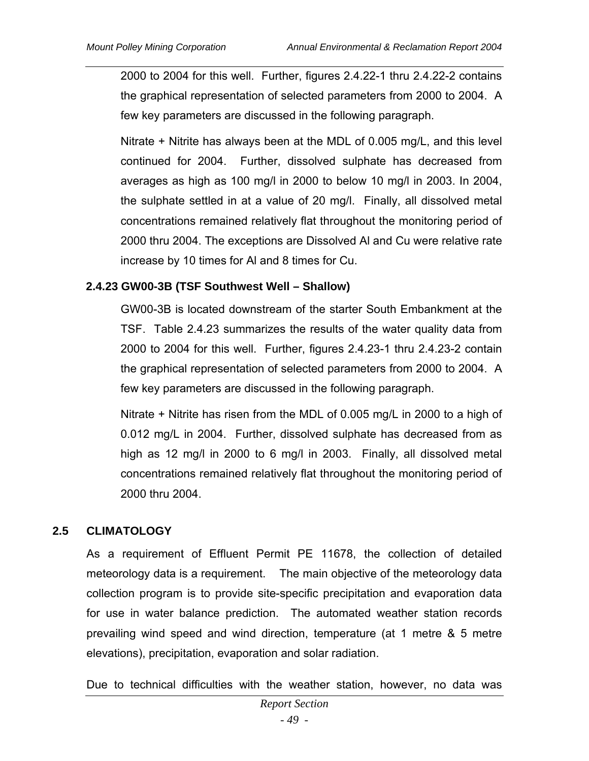2000 to 2004 for this well. Further, figures 2.4.22-1 thru 2.4.22-2 contains the graphical representation of selected parameters from 2000 to 2004. A few key parameters are discussed in the following paragraph.

Nitrate + Nitrite has always been at the MDL of 0.005 mg/L, and this level continued for 2004. Further, dissolved sulphate has decreased from averages as high as 100 mg/l in 2000 to below 10 mg/l in 2003. In 2004, the sulphate settled in at a value of 20 mg/l. Finally, all dissolved metal concentrations remained relatively flat throughout the monitoring period of 2000 thru 2004. The exceptions are Dissolved Al and Cu were relative rate increase by 10 times for Al and 8 times for Cu.

## **2.4.23 GW00-3B (TSF Southwest Well – Shallow)**

GW00-3B is located downstream of the starter South Embankment at the TSF. Table 2.4.23 summarizes the results of the water quality data from 2000 to 2004 for this well. Further, figures 2.4.23-1 thru 2.4.23-2 contain the graphical representation of selected parameters from 2000 to 2004. A few key parameters are discussed in the following paragraph.

Nitrate + Nitrite has risen from the MDL of 0.005 mg/L in 2000 to a high of 0.012 mg/L in 2004. Further, dissolved sulphate has decreased from as high as 12 mg/l in 2000 to 6 mg/l in 2003. Finally, all dissolved metal concentrations remained relatively flat throughout the monitoring period of 2000 thru 2004.

## **2.5 CLIMATOLOGY**

As a requirement of Effluent Permit PE 11678, the collection of detailed meteorology data is a requirement. The main objective of the meteorology data collection program is to provide site-specific precipitation and evaporation data for use in water balance prediction. The automated weather station records prevailing wind speed and wind direction, temperature (at 1 metre & 5 metre elevations), precipitation, evaporation and solar radiation.

Due to technical difficulties with the weather station, however, no data was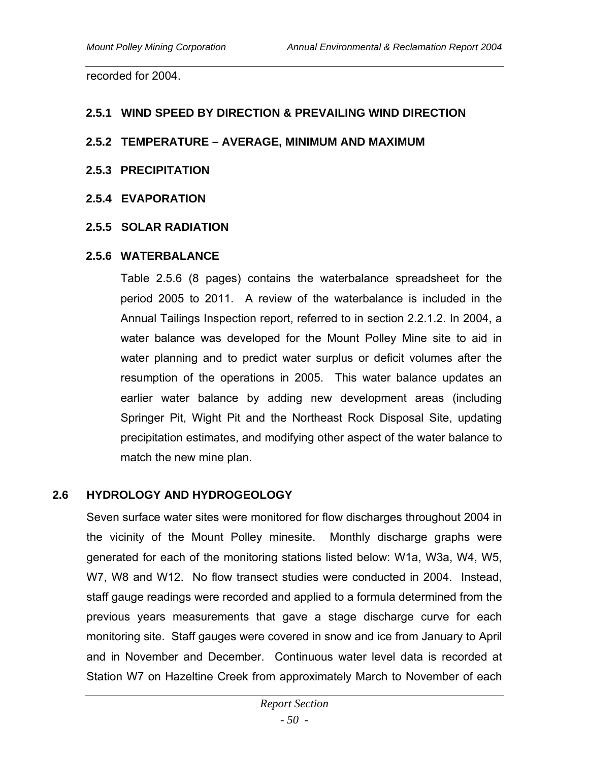recorded for 2004.

#### **2.5.1 WIND SPEED BY DIRECTION & PREVAILING WIND DIRECTION**

#### **2.5.2 TEMPERATURE – AVERAGE, MINIMUM AND MAXIMUM**

#### **2.5.3 PRECIPITATION**

#### **2.5.4 EVAPORATION**

#### **2.5.5 SOLAR RADIATION**

#### **2.5.6 WATERBALANCE**

Table 2.5.6 (8 pages) contains the waterbalance spreadsheet for the period 2005 to 2011. A review of the waterbalance is included in the Annual Tailings Inspection report, referred to in section 2.2.1.2. In 2004, a water balance was developed for the Mount Polley Mine site to aid in water planning and to predict water surplus or deficit volumes after the resumption of the operations in 2005. This water balance updates an earlier water balance by adding new development areas (including Springer Pit, Wight Pit and the Northeast Rock Disposal Site, updating precipitation estimates, and modifying other aspect of the water balance to match the new mine plan.

#### **2.6 HYDROLOGY AND HYDROGEOLOGY**

Seven surface water sites were monitored for flow discharges throughout 2004 in the vicinity of the Mount Polley minesite. Monthly discharge graphs were generated for each of the monitoring stations listed below: W1a, W3a, W4, W5, W7, W8 and W12. No flow transect studies were conducted in 2004. Instead, staff gauge readings were recorded and applied to a formula determined from the previous years measurements that gave a stage discharge curve for each monitoring site. Staff gauges were covered in snow and ice from January to April and in November and December. Continuous water level data is recorded at Station W7 on Hazeltine Creek from approximately March to November of each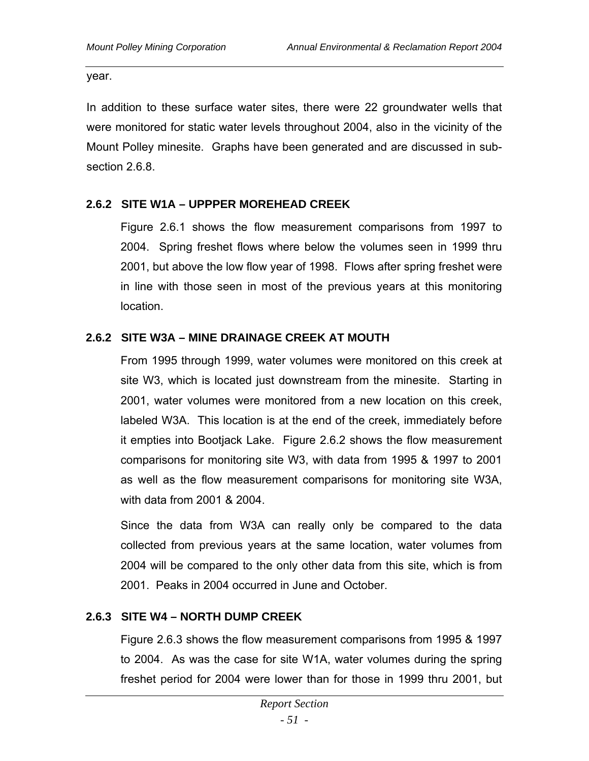year.

In addition to these surface water sites, there were 22 groundwater wells that were monitored for static water levels throughout 2004, also in the vicinity of the Mount Polley minesite. Graphs have been generated and are discussed in subsection 2.6.8.

## **2.6.2 SITE W1A – UPPPER MOREHEAD CREEK**

Figure 2.6.1 shows the flow measurement comparisons from 1997 to 2004. Spring freshet flows where below the volumes seen in 1999 thru 2001, but above the low flow year of 1998. Flows after spring freshet were in line with those seen in most of the previous years at this monitoring location.

## **2.6.2 SITE W3A – MINE DRAINAGE CREEK AT MOUTH**

From 1995 through 1999, water volumes were monitored on this creek at site W3, which is located just downstream from the minesite. Starting in 2001, water volumes were monitored from a new location on this creek, labeled W3A. This location is at the end of the creek, immediately before it empties into Bootjack Lake. Figure 2.6.2 shows the flow measurement comparisons for monitoring site W3, with data from 1995 & 1997 to 2001 as well as the flow measurement comparisons for monitoring site W3A, with data from 2001 & 2004.

Since the data from W3A can really only be compared to the data collected from previous years at the same location, water volumes from 2004 will be compared to the only other data from this site, which is from 2001. Peaks in 2004 occurred in June and October.

## **2.6.3 SITE W4 – NORTH DUMP CREEK**

Figure 2.6.3 shows the flow measurement comparisons from 1995 & 1997 to 2004. As was the case for site W1A, water volumes during the spring freshet period for 2004 were lower than for those in 1999 thru 2001, but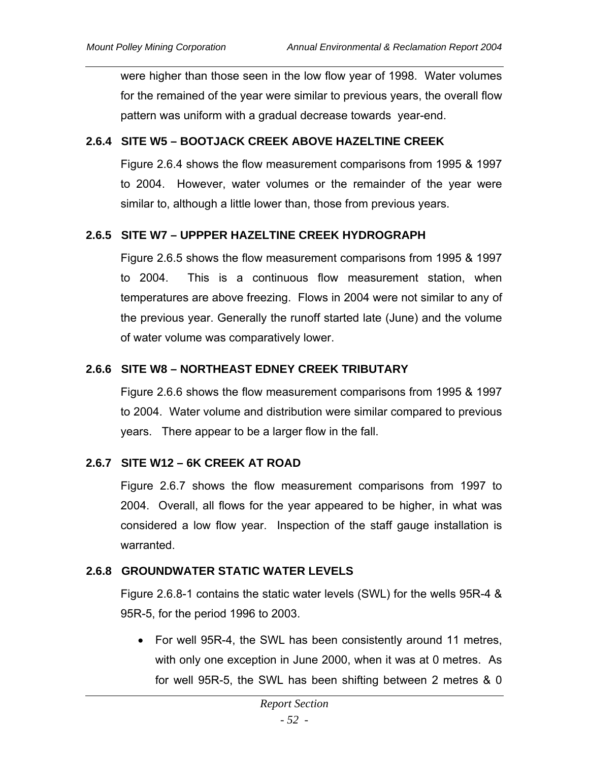were higher than those seen in the low flow year of 1998. Water volumes for the remained of the year were similar to previous years, the overall flow pattern was uniform with a gradual decrease towards year-end.

## **2.6.4 SITE W5 – BOOTJACK CREEK ABOVE HAZELTINE CREEK**

Figure 2.6.4 shows the flow measurement comparisons from 1995 & 1997 to 2004. However, water volumes or the remainder of the year were similar to, although a little lower than, those from previous years.

## **2.6.5 SITE W7 – UPPPER HAZELTINE CREEK HYDROGRAPH**

Figure 2.6.5 shows the flow measurement comparisons from 1995 & 1997 to 2004. This is a continuous flow measurement station, when temperatures are above freezing. Flows in 2004 were not similar to any of the previous year. Generally the runoff started late (June) and the volume of water volume was comparatively lower.

## **2.6.6 SITE W8 – NORTHEAST EDNEY CREEK TRIBUTARY**

Figure 2.6.6 shows the flow measurement comparisons from 1995 & 1997 to 2004. Water volume and distribution were similar compared to previous years. There appear to be a larger flow in the fall.

## **2.6.7 SITE W12 – 6K CREEK AT ROAD**

Figure 2.6.7 shows the flow measurement comparisons from 1997 to 2004. Overall, all flows for the year appeared to be higher, in what was considered a low flow year. Inspection of the staff gauge installation is warranted.

## **2.6.8 GROUNDWATER STATIC WATER LEVELS**

Figure 2.6.8-1 contains the static water levels (SWL) for the wells 95R-4 & 95R-5, for the period 1996 to 2003.

• For well 95R-4, the SWL has been consistently around 11 metres, with only one exception in June 2000, when it was at 0 metres. As for well 95R-5, the SWL has been shifting between 2 metres & 0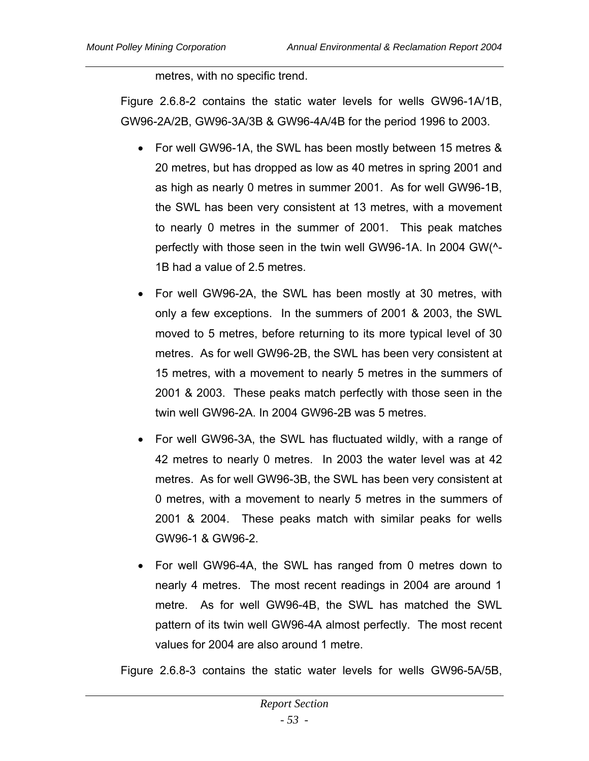metres, with no specific trend.

Figure 2.6.8-2 contains the static water levels for wells GW96-1A/1B, GW96-2A/2B, GW96-3A/3B & GW96-4A/4B for the period 1996 to 2003.

- For well GW96-1A, the SWL has been mostly between 15 metres & 20 metres, but has dropped as low as 40 metres in spring 2001 and as high as nearly 0 metres in summer 2001. As for well GW96-1B, the SWL has been very consistent at 13 metres, with a movement to nearly 0 metres in the summer of 2001. This peak matches perfectly with those seen in the twin well GW96-1A. In 2004 GW(^- 1B had a value of 2.5 metres.
- For well GW96-2A, the SWL has been mostly at 30 metres, with only a few exceptions. In the summers of 2001 & 2003, the SWL moved to 5 metres, before returning to its more typical level of 30 metres. As for well GW96-2B, the SWL has been very consistent at 15 metres, with a movement to nearly 5 metres in the summers of 2001 & 2003. These peaks match perfectly with those seen in the twin well GW96-2A. In 2004 GW96-2B was 5 metres.
- For well GW96-3A, the SWL has fluctuated wildly, with a range of 42 metres to nearly 0 metres. In 2003 the water level was at 42 metres. As for well GW96-3B, the SWL has been very consistent at 0 metres, with a movement to nearly 5 metres in the summers of 2001 & 2004. These peaks match with similar peaks for wells GW96-1 & GW96-2.
- For well GW96-4A, the SWL has ranged from 0 metres down to nearly 4 metres. The most recent readings in 2004 are around 1 metre. As for well GW96-4B, the SWL has matched the SWL pattern of its twin well GW96-4A almost perfectly. The most recent values for 2004 are also around 1 metre.

Figure 2.6.8-3 contains the static water levels for wells GW96-5A/5B,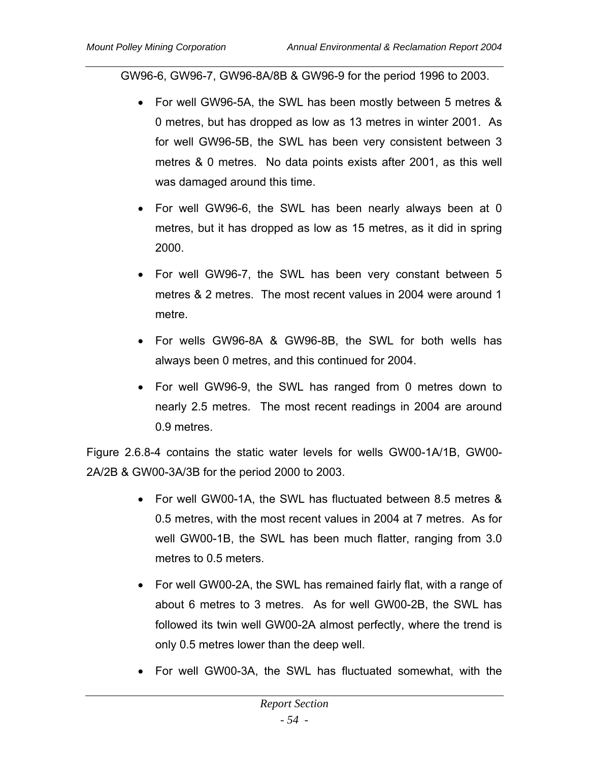GW96-6, GW96-7, GW96-8A/8B & GW96-9 for the period 1996 to 2003.

- For well GW96-5A, the SWL has been mostly between 5 metres & 0 metres, but has dropped as low as 13 metres in winter 2001. As for well GW96-5B, the SWL has been very consistent between 3 metres & 0 metres. No data points exists after 2001, as this well was damaged around this time.
- For well GW96-6, the SWL has been nearly always been at 0 metres, but it has dropped as low as 15 metres, as it did in spring 2000.
- For well GW96-7, the SWL has been very constant between 5 metres & 2 metres. The most recent values in 2004 were around 1 metre.
- For wells GW96-8A & GW96-8B, the SWL for both wells has always been 0 metres, and this continued for 2004.
- For well GW96-9, the SWL has ranged from 0 metres down to nearly 2.5 metres. The most recent readings in 2004 are around 0.9 metres.

Figure 2.6.8-4 contains the static water levels for wells GW00-1A/1B, GW00- 2A/2B & GW00-3A/3B for the period 2000 to 2003.

- For well GW00-1A, the SWL has fluctuated between 8.5 metres & 0.5 metres, with the most recent values in 2004 at 7 metres. As for well GW00-1B, the SWL has been much flatter, ranging from 3.0 metres to 0.5 meters.
- For well GW00-2A, the SWL has remained fairly flat, with a range of about 6 metres to 3 metres. As for well GW00-2B, the SWL has followed its twin well GW00-2A almost perfectly, where the trend is only 0.5 metres lower than the deep well.
- For well GW00-3A, the SWL has fluctuated somewhat, with the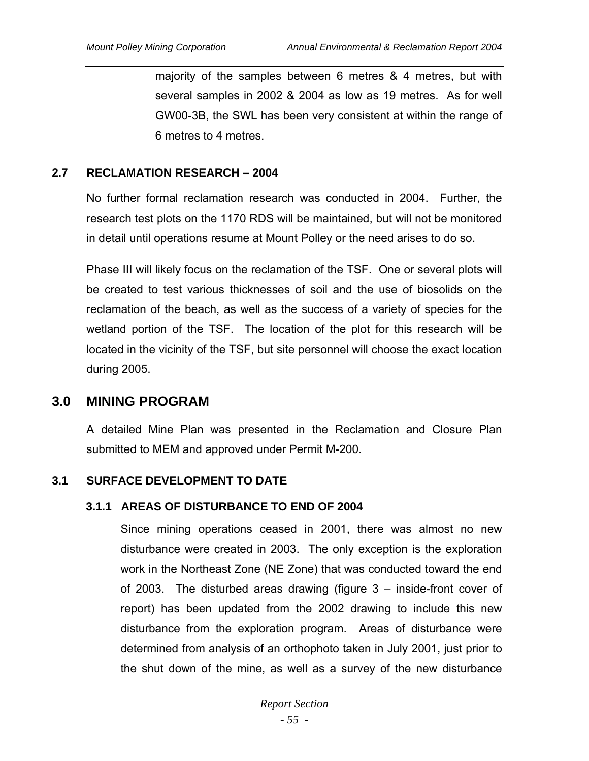majority of the samples between 6 metres & 4 metres, but with several samples in 2002 & 2004 as low as 19 metres. As for well GW00-3B, the SWL has been very consistent at within the range of 6 metres to 4 metres.

### **2.7 RECLAMATION RESEARCH – 2004**

No further formal reclamation research was conducted in 2004. Further, the research test plots on the 1170 RDS will be maintained, but will not be monitored in detail until operations resume at Mount Polley or the need arises to do so.

Phase III will likely focus on the reclamation of the TSF. One or several plots will be created to test various thicknesses of soil and the use of biosolids on the reclamation of the beach, as well as the success of a variety of species for the wetland portion of the TSF. The location of the plot for this research will be located in the vicinity of the TSF, but site personnel will choose the exact location during 2005.

## **3.0 MINING PROGRAM**

A detailed Mine Plan was presented in the Reclamation and Closure Plan submitted to MEM and approved under Permit M-200.

## **3.1 SURFACE DEVELOPMENT TO DATE**

#### **3.1.1 AREAS OF DISTURBANCE TO END OF 2004**

Since mining operations ceased in 2001, there was almost no new disturbance were created in 2003. The only exception is the exploration work in the Northeast Zone (NE Zone) that was conducted toward the end of 2003. The disturbed areas drawing (figure 3 – inside-front cover of report) has been updated from the 2002 drawing to include this new disturbance from the exploration program. Areas of disturbance were determined from analysis of an orthophoto taken in July 2001, just prior to the shut down of the mine, as well as a survey of the new disturbance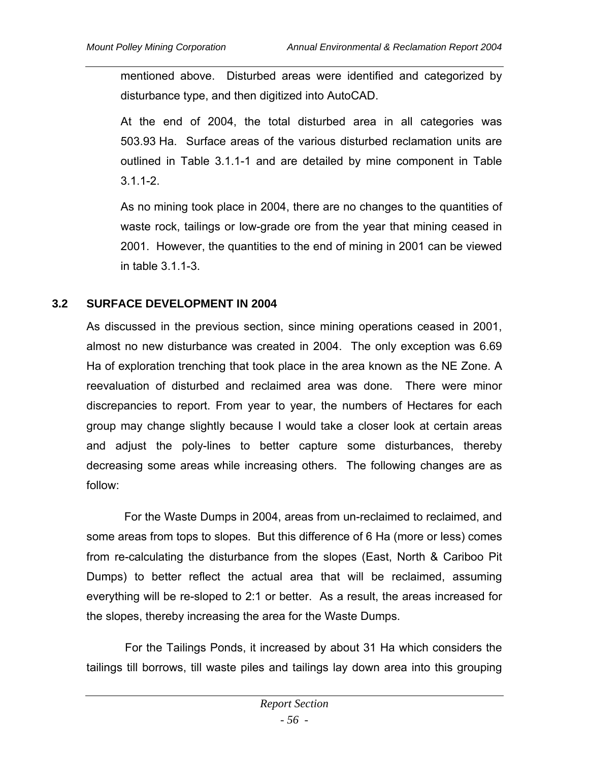mentioned above. Disturbed areas were identified and categorized by disturbance type, and then digitized into AutoCAD.

At the end of 2004, the total disturbed area in all categories was 503.93 Ha. Surface areas of the various disturbed reclamation units are outlined in Table 3.1.1-1 and are detailed by mine component in Table 3.1.1-2.

As no mining took place in 2004, there are no changes to the quantities of waste rock, tailings or low-grade ore from the year that mining ceased in 2001. However, the quantities to the end of mining in 2001 can be viewed in table 3.1.1-3.

# **3.2 SURFACE DEVELOPMENT IN 2004**

As discussed in the previous section, since mining operations ceased in 2001, almost no new disturbance was created in 2004. The only exception was 6.69 Ha of exploration trenching that took place in the area known as the NE Zone. A reevaluation of disturbed and reclaimed area was done. There were minor discrepancies to report. From year to year, the numbers of Hectares for each group may change slightly because I would take a closer look at certain areas and adjust the poly-lines to better capture some disturbances, thereby decreasing some areas while increasing others. The following changes are as follow:

 For the Waste Dumps in 2004, areas from un-reclaimed to reclaimed, and some areas from tops to slopes. But this difference of 6 Ha (more or less) comes from re-calculating the disturbance from the slopes (East, North & Cariboo Pit Dumps) to better reflect the actual area that will be reclaimed, assuming everything will be re-sloped to 2:1 or better. As a result, the areas increased for the slopes, thereby increasing the area for the Waste Dumps.

 For the Tailings Ponds, it increased by about 31 Ha which considers the tailings till borrows, till waste piles and tailings lay down area into this grouping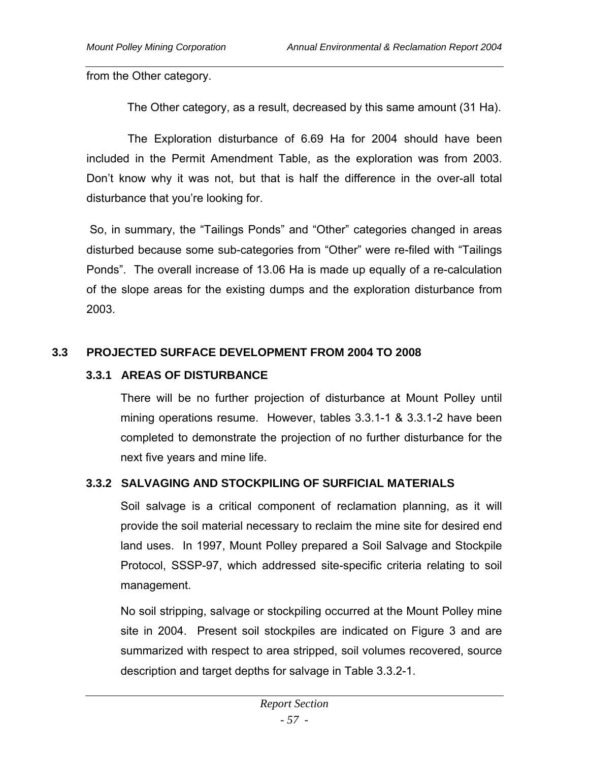from the Other category.

The Other category, as a result, decreased by this same amount (31 Ha).

 The Exploration disturbance of 6.69 Ha for 2004 should have been included in the Permit Amendment Table, as the exploration was from 2003. Don't know why it was not, but that is half the difference in the over-all total disturbance that you're looking for.

 So, in summary, the "Tailings Ponds" and "Other" categories changed in areas disturbed because some sub-categories from "Other" were re-filed with "Tailings Ponds". The overall increase of 13.06 Ha is made up equally of a re-calculation of the slope areas for the existing dumps and the exploration disturbance from 2003.

# **3.3 PROJECTED SURFACE DEVELOPMENT FROM 2004 TO 2008**

# **3.3.1 AREAS OF DISTURBANCE**

There will be no further projection of disturbance at Mount Polley until mining operations resume. However, tables 3.3.1-1 & 3.3.1-2 have been completed to demonstrate the projection of no further disturbance for the next five years and mine life.

# **3.3.2 SALVAGING AND STOCKPILING OF SURFICIAL MATERIALS**

Soil salvage is a critical component of reclamation planning, as it will provide the soil material necessary to reclaim the mine site for desired end land uses. In 1997, Mount Polley prepared a Soil Salvage and Stockpile Protocol, SSSP-97, which addressed site-specific criteria relating to soil management.

No soil stripping, salvage or stockpiling occurred at the Mount Polley mine site in 2004. Present soil stockpiles are indicated on Figure 3 and are summarized with respect to area stripped, soil volumes recovered, source description and target depths for salvage in Table 3.3.2-1.